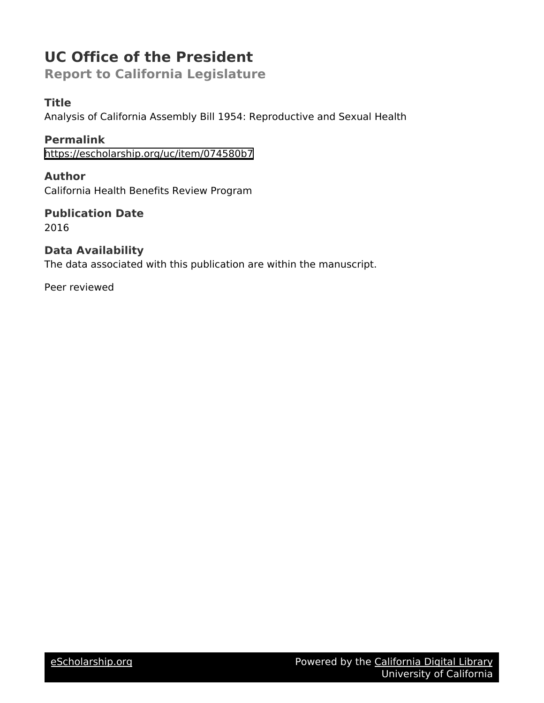# **UC Office of the President**

**Report to California Legislature**

## **Title**

Analysis of California Assembly Bill 1954: Reproductive and Sexual Health

**Permalink** <https://escholarship.org/uc/item/074580b7>

**Author** California Health Benefits Review Program

**Publication Date** 2016

## **Data Availability** The data associated with this publication are within the manuscript.

Peer reviewed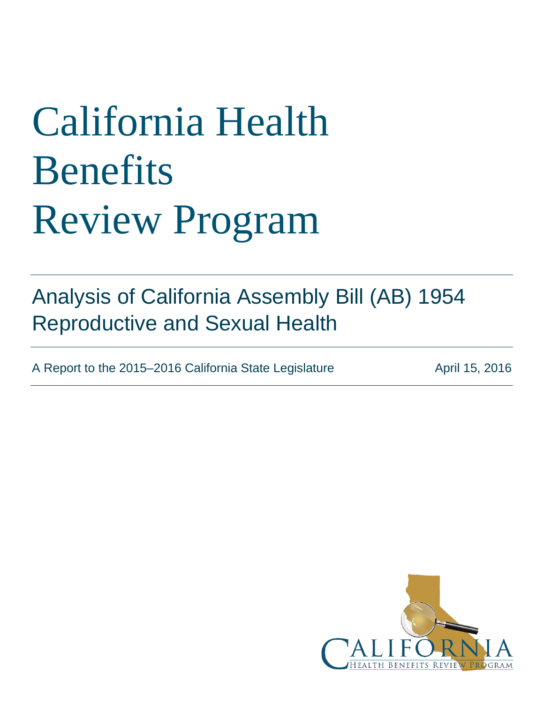# <span id="page-1-3"></span>California Health **Benefits** Review Program

# <span id="page-1-1"></span>Analysis of California Assembly Bill (AB) 1954 Reproductive and Sexual Health

A Report to the 2015–2016 California State Legislature April 15, 2016

<span id="page-1-4"></span><span id="page-1-2"></span><span id="page-1-0"></span>

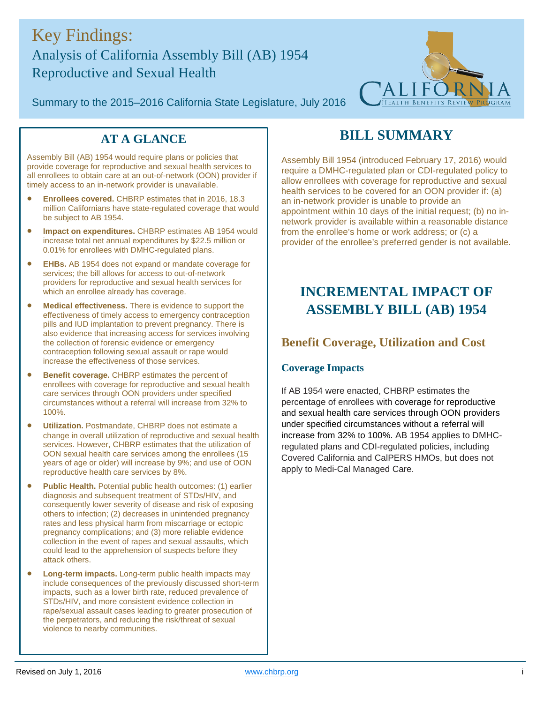# Key Findings: Analysis of California Assembly Bill (AB) 1954 Reproductive and Sexual Health

Summary to the 2015–2016 California State Legislature, July 2016



## **AT A GLANCE**

Assembly Bill (AB) 1954 would require plans or policies that provide coverage for reproductive and sexual health services to all enrollees to obtain care at an out-of-network (OON) provider if timely access to an in-network provider is unavailable.

- **Enrollees covered.** CHBRP estimates that in 2016, 18.3 million Californians have state-regulated coverage that would be subject to AB 1954.
- **Impact on expenditures.** CHBRP estimates AB 1954 would increase total net annual expenditures by \$22.5 million or 0.01% for enrollees with DMHC-regulated plans.
- **EHBs.** AB 1954 does not expand or mandate coverage for services; the bill allows for access to out-of-network providers for reproductive and sexual health services for which an enrollee already has coverage.
- **Medical effectiveness.** There is evidence to support the effectiveness of timely access to emergency contraception pills and IUD implantation to prevent pregnancy. There is also evidence that increasing access for services involving the collection of forensic evidence or emergency contraception following sexual assault or rape would increase the effectiveness of those services.
- **Benefit coverage.** CHBRP estimates the percent of enrollees with coverage for reproductive and sexual health care services through OON providers under specified circumstances without a referral will increase from 32% to 100%.
- **Utilization.** Postmandate, CHBRP does not estimate a change in overall utilization of reproductive and sexual health services. However, CHBRP estimates that the utilization of OON sexual health care services among the enrollees (15 years of age or older) will increase by 9%; and use of OON reproductive health care services by 8%.
- **Public Health.** Potential public health outcomes: (1) earlier diagnosis and subsequent treatment of STDs/HIV, and consequently lower severity of disease and risk of exposing others to infection; (2) decreases in unintended pregnancy rates and less physical harm from miscarriage or ectopic pregnancy complications; and (3) more reliable evidence collection in the event of rapes and sexual assaults, which could lead to the apprehension of suspects before they attack others.
- **Long-term impacts.** Long-term public health impacts may include consequences of the previously discussed short-term impacts, such as a lower birth rate, reduced prevalence of STDs/HIV, and more consistent evidence collection in rape/sexual assault cases leading to greater prosecution of the perpetrators, and reducing the risk/threat of sexual violence to nearby communities.

# **BILL SUMMARY**

Assembly Bill 1954 (introduced February 17, 2016) would require a DMHC-regulated plan or CDI-regulated policy to allow enrollees with coverage for reproductive and sexual health services to be covered for an OON provider if: (a) an in-network provider is unable to provide an appointment within 10 days of the initial request; (b) no innetwork provider is available within a reasonable distance from the enrollee's home or work address; or (c) a provider of the enrollee's preferred gender is not available.

# **INCREMENTAL IMPACT OF ASSEMBLY BILL (AB) 1954**

# **Benefit Coverage, Utilization and Cost**

#### **Coverage Impacts**

If AB 1954 were enacted, CHBRP estimates the percentage of enrollees with coverage for reproductive and sexual health care services through OON providers under specified circumstances without a referral will increase from 32% to 100%. AB 1954 applies to DMHCregulated plans and CDI-regulated policies, including Covered California and CalPERS HMOs, but does not apply to Medi-Cal Managed Care.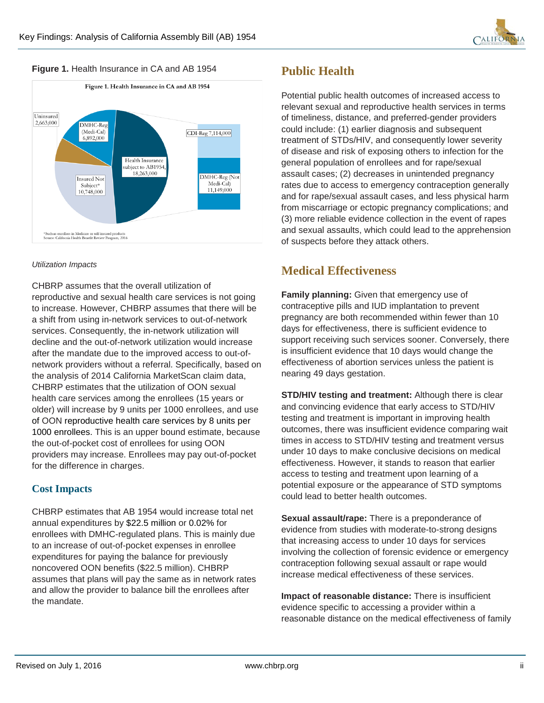

#### **Figure 1.** Health Insurance in CA and AB 1954



#### *Utilization Impacts*

CHBRP assumes that the overall utilization of reproductive and sexual health care services is not going to increase. However, CHBRP assumes that there will be a shift from using in-network services to out-of-network services. Consequently, the in-network utilization will decline and the out-of-network utilization would increase after the mandate due to the improved access to out-ofnetwork providers without a referral. Specifically, based on the analysis of 2014 California MarketScan claim data, CHBRP estimates that the utilization of OON sexual health care services among the enrollees (15 years or older) will increase by 9 units per 1000 enrollees, and use of OON reproductive health care services by 8 units per 1000 enrollees. This is an upper bound estimate, because the out-of-pocket cost of enrollees for using OON providers may increase. Enrollees may pay out-of-pocket for the difference in charges.

#### **Cost Impacts**

CHBRP estimates that AB 1954 would increase total net annual expenditures by \$22.5 million or 0.02% for enrollees with DMHC-regulated plans. This is mainly due to an increase of out-of-pocket expenses in enrollee expenditures for paying the balance for previously noncovered OON benefits (\$22.5 million). CHBRP assumes that plans will pay the same as in network rates and allow the provider to balance bill the enrollees after the mandate.

## **Public Health**

Potential public health outcomes of increased access to relevant sexual and reproductive health services in terms of timeliness, distance, and preferred-gender providers could include: (1) earlier diagnosis and subsequent treatment of STDs/HIV, and consequently lower severity of disease and risk of exposing others to infection for the general population of enrollees and for rape/sexual assault cases; (2) decreases in unintended pregnancy rates due to access to emergency contraception generally and for rape/sexual assault cases, and less physical harm from miscarriage or ectopic pregnancy complications; and (3) more reliable evidence collection in the event of rapes and sexual assaults, which could lead to the apprehension of suspects before they attack others.

## **Medical Effectiveness**

**Family planning:** Given that emergency use of contraceptive pills and IUD implantation to prevent pregnancy are both recommended within fewer than 10 days for effectiveness, there is sufficient evidence to support receiving such services sooner. Conversely, there is insufficient evidence that 10 days would change the effectiveness of abortion services unless the patient is nearing 49 days gestation.

**STD/HIV testing and treatment:** Although there is clear and convincing evidence that early access to STD/HIV testing and treatment is important in improving health outcomes, there was insufficient evidence comparing wait times in access to STD/HIV testing and treatment versus under 10 days to make conclusive decisions on medical effectiveness. However, it stands to reason that earlier access to testing and treatment upon learning of a potential exposure or the appearance of STD symptoms could lead to better health outcomes.

**Sexual assault/rape:** There is a preponderance of evidence from studies with moderate-to-strong designs that increasing access to under 10 days for services involving the collection of forensic evidence or emergency contraception following sexual assault or rape would increase medical effectiveness of these services.

**Impact of reasonable distance:** There is insufficient evidence specific to accessing a provider within a reasonable distance on the medical effectiveness of family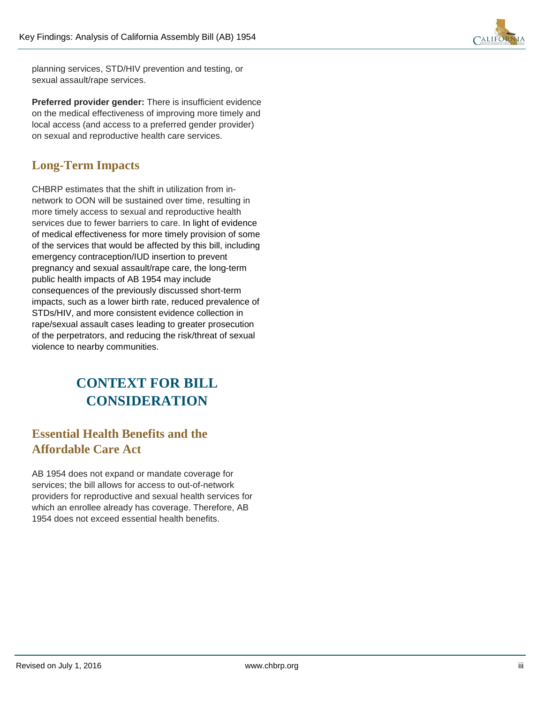

planning services, STD/HIV prevention and testing, or sexual assault/rape services.

**Preferred provider gender:** There is insufficient evidence on the medical effectiveness of improving more timely and local access (and access to a preferred gender provider) on sexual and reproductive health care services.

## **Long-Term Impacts**

CHBRP estimates that the shift in utilization from innetwork to OON will be sustained over time, resulting in more timely access to sexual and reproductive health services due to fewer barriers to care. In light of evidence of medical effectiveness for more timely provision of some of the services that would be affected by this bill, including emergency contraception/IUD insertion to prevent pregnancy and sexual assault/rape care, the long-term public health impacts of AB 1954 may include consequences of the previously discussed short-term impacts, such as a lower birth rate, reduced prevalence of STDs/HIV, and more consistent evidence collection in rape/sexual assault cases leading to greater prosecution of the perpetrators, and reducing the risk/threat of sexual violence to nearby communities.

# **CONTEXT FOR BILL CONSIDERATION**

## **Essential Health Benefits and the Affordable Care Act**

AB 1954 does not expand or mandate coverage for services; the bill allows for access to out-of-network providers for reproductive and sexual health services for which an enrollee already has coverage. Therefore, AB 1954 does not exceed essential health benefits.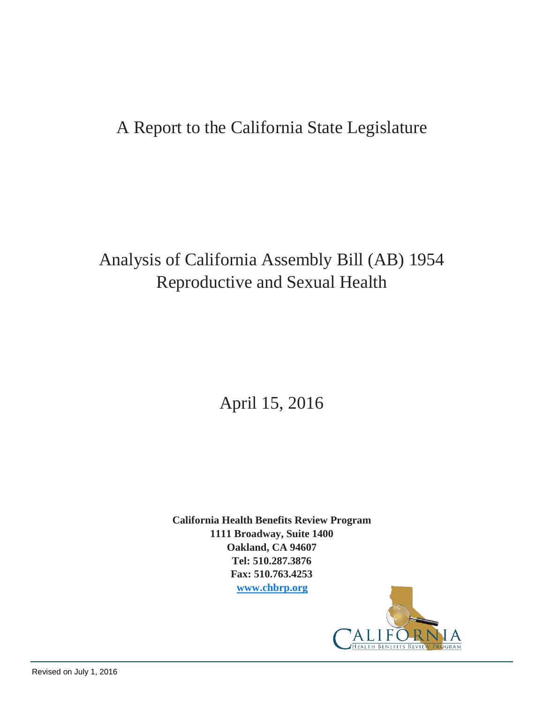# A Report to the California State Legislature

# Analysis of California Assembly Bill (AB) 1954 Reproductive and Sexual Health

# [April 15, 2016](#page-1-0)

**California Health Benefits Review Program 1111 Broadway, Suite 1400 Oakland, CA 94607 Tel: 510.287.3876 Fax: 510.763.4253 [www.chbrp.org](http://www.chbrp.org/)**

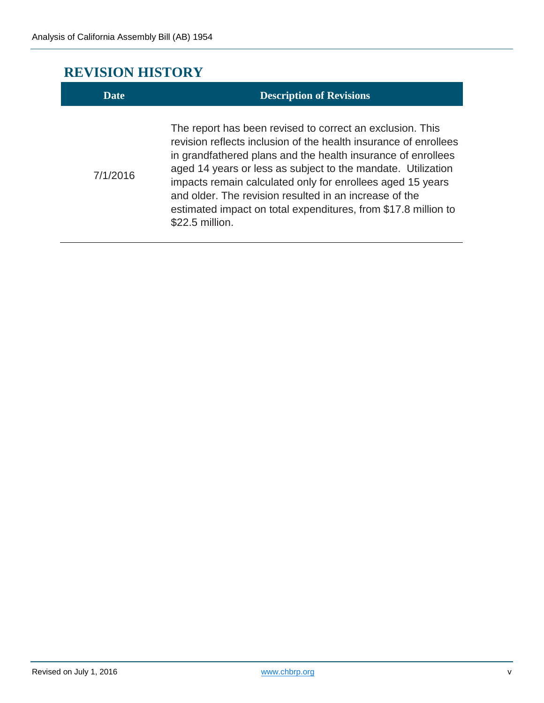# **REVISION HISTORY**

| Date     | <b>Description of Revisions</b>                                                                                                                                                                                                                                                                                                                                                                                                                                            |
|----------|----------------------------------------------------------------------------------------------------------------------------------------------------------------------------------------------------------------------------------------------------------------------------------------------------------------------------------------------------------------------------------------------------------------------------------------------------------------------------|
| 7/1/2016 | The report has been revised to correct an exclusion. This<br>revision reflects inclusion of the health insurance of enrollees<br>in grandfathered plans and the health insurance of enrollees<br>aged 14 years or less as subject to the mandate. Utilization<br>impacts remain calculated only for enrollees aged 15 years<br>and older. The revision resulted in an increase of the<br>estimated impact on total expenditures, from \$17.8 million to<br>\$22.5 million. |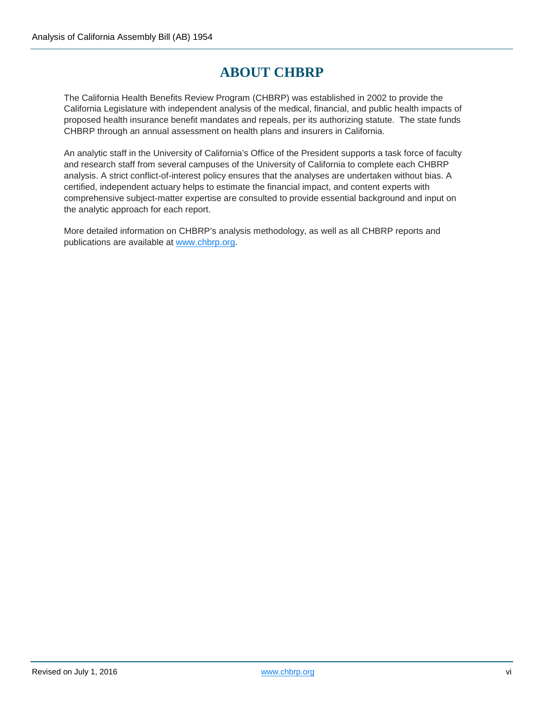# **ABOUT CHBRP**

The California Health Benefits Review Program (CHBRP) was established in 2002 to provide the California Legislature with independent analysis of the medical, financial, and public health impacts of proposed health insurance benefit mandates and repeals, per its authorizing statute. The state funds CHBRP through an annual assessment on health plans and insurers in California.

An analytic staff in the University of California's Office of the President supports a task force of faculty and research staff from several campuses of the University of California to complete each CHBRP analysis. A strict conflict-of-interest policy ensures that the analyses are undertaken without bias. A certified, independent actuary helps to estimate the financial impact, and content experts with comprehensive subject-matter expertise are consulted to provide essential background and input on the analytic approach for each report.

More detailed information on CHBRP's analysis methodology, as well as all CHBRP reports and publications are available at [www.chbrp.org.](http://www.chbrp.org/)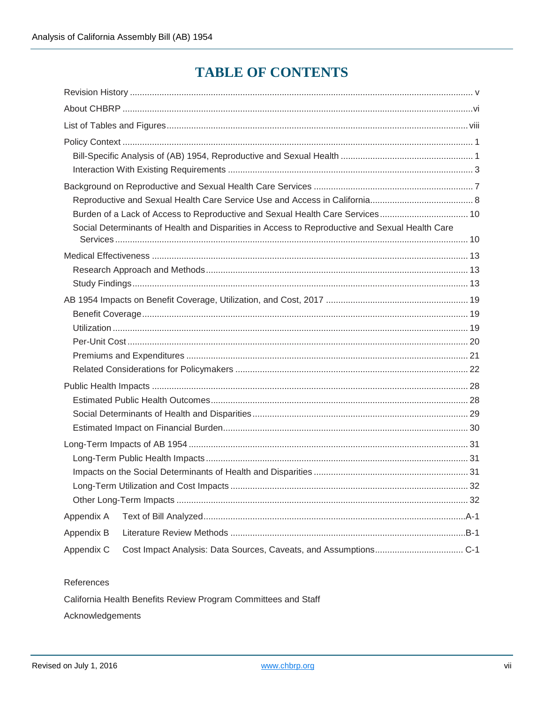# **TABLE OF CONTENTS**

|            | Burden of a Lack of Access to Reproductive and Sexual Health Care Services 10                  |  |
|------------|------------------------------------------------------------------------------------------------|--|
|            | Social Determinants of Health and Disparities in Access to Reproductive and Sexual Health Care |  |
|            |                                                                                                |  |
|            |                                                                                                |  |
|            |                                                                                                |  |
|            |                                                                                                |  |
|            |                                                                                                |  |
|            |                                                                                                |  |
|            |                                                                                                |  |
|            |                                                                                                |  |
|            |                                                                                                |  |
|            |                                                                                                |  |
|            |                                                                                                |  |
|            |                                                                                                |  |
|            |                                                                                                |  |
|            |                                                                                                |  |
|            |                                                                                                |  |
|            |                                                                                                |  |
|            |                                                                                                |  |
|            |                                                                                                |  |
| Appendix A |                                                                                                |  |
| Appendix B |                                                                                                |  |
| Appendix C |                                                                                                |  |

References

California Health Benefits Review Program Committees and Staff Acknowledgements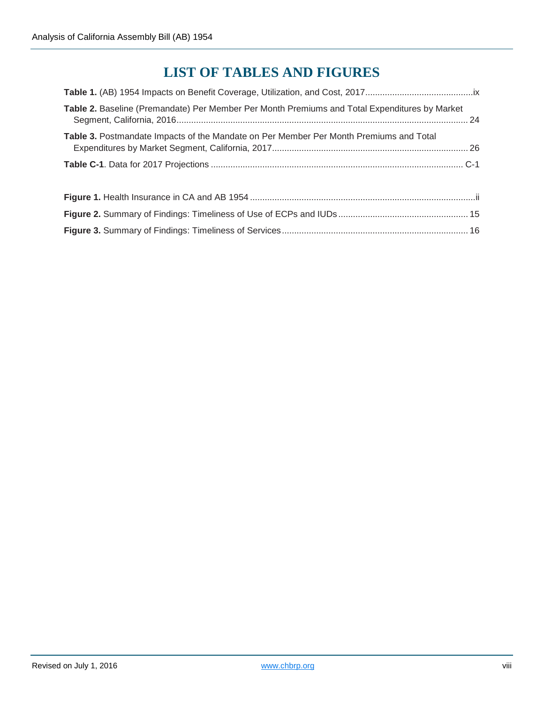# **LIST OF TABLES AND FIGURES**

| Table 2. Baseline (Premandate) Per Member Per Month Premiums and Total Expenditures by Market |  |
|-----------------------------------------------------------------------------------------------|--|
| Table 3. Postmandate Impacts of the Mandate on Per Member Per Month Premiums and Total        |  |
|                                                                                               |  |
|                                                                                               |  |
|                                                                                               |  |
|                                                                                               |  |
|                                                                                               |  |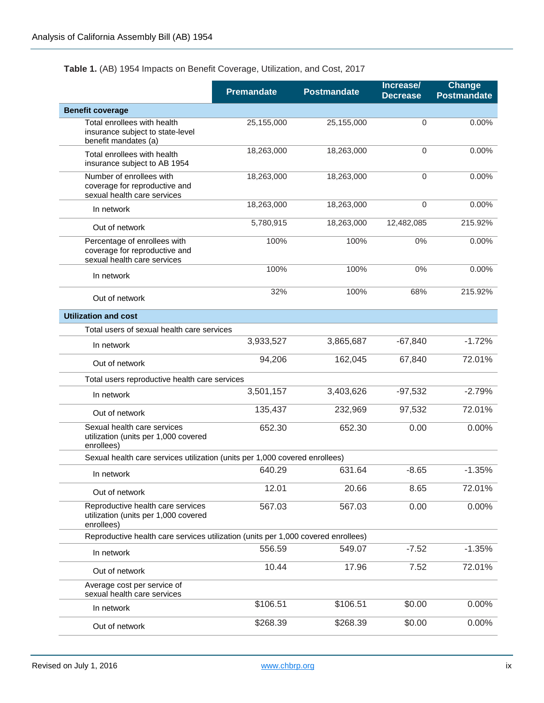#### **Table 1.** (AB) [1954](#page-1-2) Impacts on Benefit Coverage, Utilization, and Cost, 2017

|                                                                                              | <b>Premandate</b> | <b>Postmandate</b> | Increase/<br><b>Decrease</b> | <b>Change</b><br><b>Postmandate</b> |
|----------------------------------------------------------------------------------------------|-------------------|--------------------|------------------------------|-------------------------------------|
| <b>Benefit coverage</b>                                                                      |                   |                    |                              |                                     |
| Total enrollees with health<br>insurance subject to state-level<br>benefit mandates (a)      | 25,155,000        | 25,155,000         | 0                            | 0.00%                               |
| Total enrollees with health<br>insurance subject to AB 1954                                  | 18,263,000        | 18,263,000         | $\mathbf{0}$                 | 0.00%                               |
| Number of enrollees with<br>coverage for reproductive and<br>sexual health care services     | 18,263,000        | 18,263,000         | 0                            | 0.00%                               |
| In network                                                                                   | 18,263,000        | 18,263,000         | $\Omega$                     | 0.00%                               |
| Out of network                                                                               | 5,780,915         | 18,263,000         | 12,482,085                   | 215.92%                             |
| Percentage of enrollees with<br>coverage for reproductive and<br>sexual health care services | 100%              | 100%               | 0%                           | 0.00%                               |
| In network                                                                                   | 100%              | 100%               | 0%                           | $0.00\%$                            |
| Out of network                                                                               | 32%               | 100%               | 68%                          | 215.92%                             |
| <b>Utilization and cost</b>                                                                  |                   |                    |                              |                                     |
| Total users of sexual health care services                                                   |                   |                    |                              |                                     |
| In network                                                                                   | 3,933,527         | 3,865,687          | $-67,840$                    | $-1.72%$                            |
| Out of network                                                                               | 94,206            | 162,045            | 67,840                       | 72.01%                              |
| Total users reproductive health care services                                                |                   |                    |                              |                                     |
| In network                                                                                   | 3,501,157         | 3,403,626          | $-97,532$                    | $-2.79%$                            |
| Out of network                                                                               | 135,437           | 232,969            | 97,532                       | 72.01%                              |
| Sexual health care services<br>utilization (units per 1,000 covered<br>enrollees)            | 652.30            | 652.30             | 0.00                         | 0.00%                               |
| Sexual health care services utilization (units per 1,000 covered enrollees)                  |                   |                    |                              |                                     |
| In network                                                                                   | 640.29            | 631.64             | $-8.65$                      | $-1.35%$                            |
| Out of network                                                                               | 12.01             | 20.66              | 8.65                         | 72.01%                              |
| Reproductive health care services<br>utilization (units per 1,000 covered<br>enrollees)      | 567.03            | 567.03             | 0.00                         | 0.00%                               |
| Reproductive health care services utilization (units per 1,000 covered enrollees)            |                   |                    |                              |                                     |
| In network                                                                                   | 556.59            | 549.07             | $-7.52$                      | $-1.35%$                            |
| Out of network                                                                               | 10.44             | 17.96              | 7.52                         | 72.01%                              |
| Average cost per service of<br>sexual health care services                                   |                   |                    |                              |                                     |
| In network                                                                                   | \$106.51          | \$106.51           | \$0.00                       | 0.00%                               |
| Out of network                                                                               | \$268.39          | \$268.39           | \$0.00                       | 0.00%                               |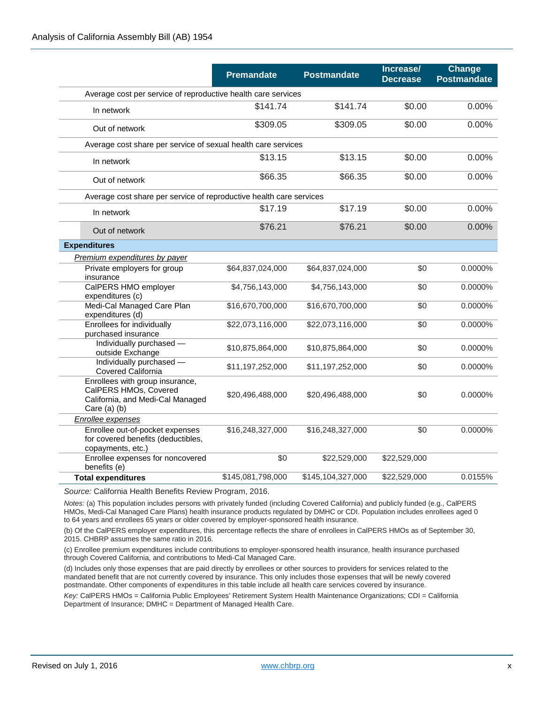|                                                                                                                  | <b>Premandate</b> | <b>Postmandate</b> | Increase/<br><b>Decrease</b> | Change<br><b>Postmandate</b> |  |  |  |  |  |
|------------------------------------------------------------------------------------------------------------------|-------------------|--------------------|------------------------------|------------------------------|--|--|--|--|--|
| Average cost per service of reproductive health care services                                                    |                   |                    |                              |                              |  |  |  |  |  |
| In network                                                                                                       | \$141.74          | \$141.74           | \$0.00                       | 0.00%                        |  |  |  |  |  |
| Out of network                                                                                                   | \$309.05          | \$309.05           | \$0.00                       | 0.00%                        |  |  |  |  |  |
| Average cost share per service of sexual health care services                                                    |                   |                    |                              |                              |  |  |  |  |  |
| In network                                                                                                       | \$13.15           | \$13.15            | \$0.00                       | 0.00%                        |  |  |  |  |  |
| Out of network                                                                                                   | \$66.35           | \$66.35            | \$0.00                       | 0.00%                        |  |  |  |  |  |
| Average cost share per service of reproductive health care services                                              |                   |                    |                              |                              |  |  |  |  |  |
| In network                                                                                                       | \$17.19           | \$17.19            | \$0.00                       | 0.00%                        |  |  |  |  |  |
| Out of network                                                                                                   | \$76.21           | \$76.21            | \$0.00                       | 0.00%                        |  |  |  |  |  |
| <b>Expenditures</b>                                                                                              |                   |                    |                              |                              |  |  |  |  |  |
| Premium expenditures by payer                                                                                    |                   |                    |                              |                              |  |  |  |  |  |
| Private employers for group<br>insurance                                                                         | \$64,837,024,000  | \$64,837,024,000   | \$0                          | 0.0000%                      |  |  |  |  |  |
| CalPERS HMO employer<br>expenditures (c)                                                                         | \$4,756,143,000   | \$4,756,143,000    | \$0                          | 0.0000%                      |  |  |  |  |  |
| Medi-Cal Managed Care Plan<br>expenditures (d)                                                                   | \$16,670,700,000  | \$16,670,700,000   | \$0                          | 0.0000%                      |  |  |  |  |  |
| Enrollees for individually<br>purchased insurance                                                                | \$22,073,116,000  | \$22,073,116,000   | \$0                          | 0.0000%                      |  |  |  |  |  |
| Individually purchased -<br>outside Exchange                                                                     | \$10,875,864,000  | \$10,875,864,000   | \$0                          | 0.0000%                      |  |  |  |  |  |
| Individually purchased -<br>Covered California                                                                   | \$11,197,252,000  | \$11,197,252,000   | \$0                          | 0.0000%                      |  |  |  |  |  |
| Enrollees with group insurance,<br>CalPERS HMOs, Covered<br>California, and Medi-Cal Managed<br>Care $(a)$ $(b)$ | \$20,496,488,000  | \$20,496,488,000   | \$0                          | 0.0000%                      |  |  |  |  |  |
| Enrollee expenses                                                                                                |                   |                    |                              |                              |  |  |  |  |  |
| Enrollee out-of-pocket expenses<br>for covered benefits (deductibles,                                            | \$16,248,327,000  | \$16,248,327,000   | \$0                          | 0.0000%                      |  |  |  |  |  |
| copayments, etc.)<br>Enrollee expenses for noncovered<br>benefits (e)                                            | \$0               | \$22,529,000       | \$22,529,000                 |                              |  |  |  |  |  |
| <b>Total expenditures</b>                                                                                        | \$145,081,798,000 | \$145,104,327,000  | \$22,529,000                 | 0.0155%                      |  |  |  |  |  |

*Source:* California Health Benefits Review Program, 2016.

*Notes:* (a) This population includes persons with privately funded (including Covered California) and publicly funded (e.g., CalPERS HMOs, Medi-Cal Managed Care Plans) health insurance products regulated by DMHC or CDI. Population includes enrollees aged 0 to 64 years and enrollees 65 years or older covered by employer-sponsored health insurance.

(b) Of the CalPERS employer expenditures, this percentage reflects the share of enrollees in CalPERS HMOs as of September 30, 2015. CHBRP assumes the same ratio in 2016.

(c) Enrollee premium expenditures include contributions to employer-sponsored health insurance, health insurance purchased through Covered California, and contributions to Medi-Cal Managed Care.

(d) Includes only those expenses that are paid directly by enrollees or other sources to providers for services related to the mandated benefit that are not currently covered by insurance. This only includes those expenses that will be newly covered postmandate. Other components of expenditures in this table include all health care services covered by insurance.

*Key:* CalPERS HMOs = California Public Employees' Retirement System Health Maintenance Organizations; CDI = California Department of Insurance; DMHC = Department of Managed Health Care.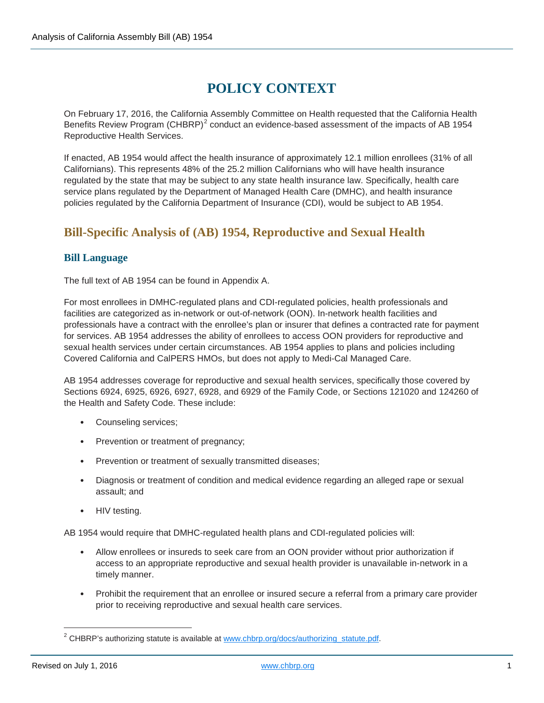# **POLICY CONTEXT**

On February 17, 2016, the California Assembly Committee on Health requested that the California Health Benefits Review Program (CHBRP)<sup>[2](#page-12-0)</sup> conduct an evidence-based assessment of the impacts of AB 1954 Reproductive Health Services.

If enacted, AB 1954 would affect the health insurance of approximately 12.1 million enrollees (31% of all Californians). This represents 48% of the 25.2 million Californians who will have health insurance regulated by the state that may be subject to any state health insurance law. Specifically, health care service plans regulated by the Department of Managed Health Care (DMHC), and health insurance policies regulated by the California Department of Insurance (CDI), would be subject to AB 1954.

## **Bill-Specific Analysis of [\(AB\)](#page-1-2) 1954, Reproductive and Sexual Health**

#### **Bill Language**

The full text of AB 1954 can be found in Appendix A.

For most enrollees in DMHC-regulated plans and CDI-regulated policies, health professionals and facilities are categorized as in-network or out-of-network (OON). In-network health facilities and professionals have a contract with the enrollee's plan or insurer that defines a contracted rate for payment for services. AB 1954 addresses the ability of enrollees to access OON providers for reproductive and sexual health services under certain circumstances. AB 1954 applies to plans and policies including Covered California and CalPERS HMOs, but does not apply to Medi-Cal Managed Care.

AB 1954 addresses coverage for reproductive and sexual health services, specifically those covered by Sections 6924, 6925, 6926, 6927, 6928, and 6929 of the Family Code, or Sections 121020 and 124260 of the Health and Safety Code. These include:

- Counseling services;
- Prevention or treatment of pregnancy;
- Prevention or treatment of sexually transmitted diseases;
- Diagnosis or treatment of condition and medical evidence regarding an alleged rape or sexual assault; and
- HIV testing.

AB 1954 would require that DMHC-regulated health plans and CDI-regulated policies will:

- Allow enrollees or insureds to seek care from an OON provider without prior authorization if access to an appropriate reproductive and sexual health provider is unavailable in-network in a timely manner.
- Prohibit the requirement that an enrollee or insured secure a referral from a primary care provider prior to receiving reproductive and sexual health care services.

<span id="page-12-0"></span><sup>&</sup>lt;sup>2</sup> CHBRP's authorizing statute is available a[t www.chbrp.org/docs/authorizing\\_statute.pdf.](http://www.chbrp.org/docs/authorizing_statute.pdf)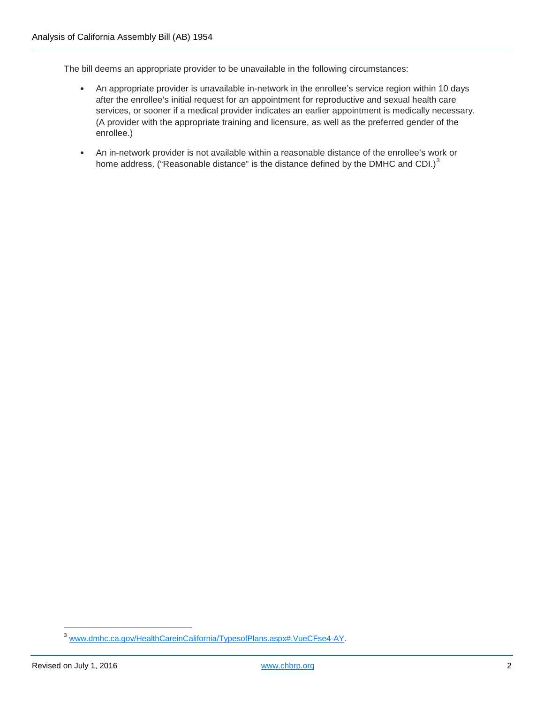The bill deems an appropriate provider to be unavailable in the following circumstances:

- An appropriate provider is unavailable in-network in the enrollee's service region within 10 days after the enrollee's initial request for an appointment for reproductive and sexual health care services, or sooner if a medical provider indicates an earlier appointment is medically necessary. (A provider with the appropriate training and licensure, as well as the preferred gender of the enrollee.)
- An in-network provider is not available within a reasonable distance of the enrollee's work or home address. ("Reasonable distance" is the distance defined by the DMHC and CDI.) $3$

<span id="page-13-0"></span> <sup>3</sup> [www.dmhc.ca.gov/HealthCareinCalifornia/TypesofPlans.aspx#.VueCFse4-AY.](http://www.dmhc.ca.gov/HealthCareinCalifornia/TypesofPlans.aspx#.VueCFse4-AY)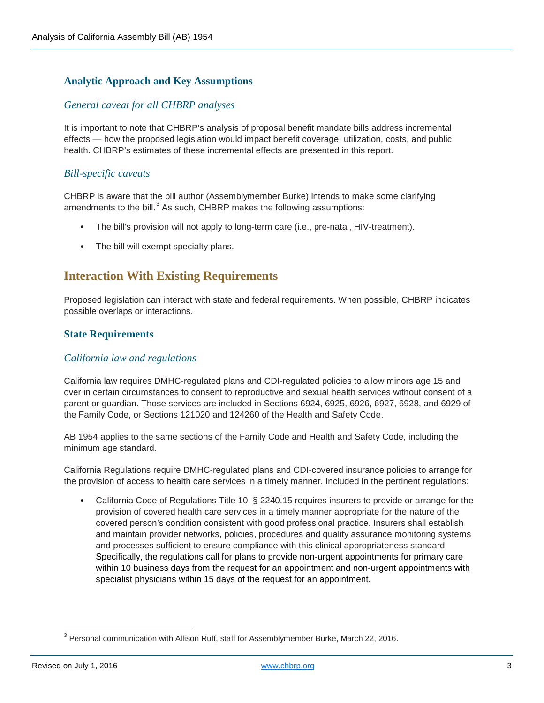#### **Analytic Approach and Key Assumptions**

#### *General caveat for all CHBRP analyses*

It is important to note that CHBRP's analysis of proposal benefit mandate bills address incremental effects — how the proposed legislation would impact benefit coverage, utilization, costs, and public health. CHBRP's estimates of these incremental effects are presented in this report.

#### *Bill-specific caveats*

CHBRP is aware that the bill author (Assemblymember Burke) intends to make some clarifying amendments to the bill.<sup>[3](#page-14-0)</sup> As such, CHBRP makes the following assumptions:

- The bill's provision will not apply to long-term care (i.e., pre-natal, HIV-treatment).
- The bill will exempt specialty plans.

## **Interaction With Existing Requirements**

Proposed legislation can interact with state and federal requirements. When possible, CHBRP indicates possible overlaps or interactions.

#### **State Requirements**

#### *California law and regulations*

California law requires DMHC-regulated plans and CDI-regulated policies to allow minors age 15 and over in certain circumstances to consent to reproductive and sexual health services without consent of a parent or guardian. Those services are included in Sections 6924, 6925, 6926, 6927, 6928, and 6929 of the Family Code, or Sections 121020 and 124260 of the Health and Safety Code.

AB 1954 applies to the same sections of the Family Code and Health and Safety Code, including the minimum age standard.

California Regulations require DMHC-regulated plans and CDI-covered insurance policies to arrange for the provision of access to health care services in a timely manner. Included in the pertinent regulations:

• California Code of Regulations Title 10, § 2240.15 requires insurers to provide or arrange for the provision of covered health care services in a timely manner appropriate for the nature of the covered person's condition consistent with good professional practice. Insurers shall establish and maintain provider networks, policies, procedures and quality assurance monitoring systems and processes sufficient to ensure compliance with this clinical appropriateness standard. Specifically, the regulations call for plans to provide non-urgent appointments for primary care within 10 business days from the request for an appointment and non-urgent appointments with specialist physicians within 15 days of the request for an appointment.

<span id="page-14-0"></span><sup>&</sup>lt;sup>3</sup> Personal communication with Allison Ruff, staff for Assemblymember Burke, March 22, 2016.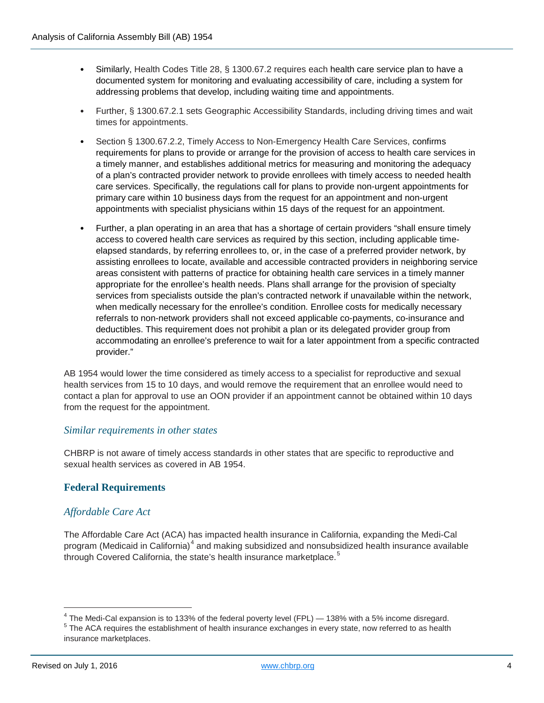- Similarly, Health Codes Title 28, § 1300.67.2 requires each health care service plan to have a documented system for monitoring and evaluating accessibility of care, including a system for addressing problems that develop, including waiting time and appointments.
- Further, § 1300.67.2.1 sets Geographic Accessibility Standards, including driving times and wait times for appointments.
- Section § 1300.67.2.2, Timely Access to Non-Emergency Health Care Services, confirms requirements for plans to provide or arrange for the provision of access to health care services in a timely manner, and establishes additional metrics for measuring and monitoring the adequacy of a plan's contracted provider network to provide enrollees with timely access to needed health care services. Specifically, the regulations call for plans to provide non-urgent appointments for primary care within 10 business days from the request for an appointment and non-urgent appointments with specialist physicians within 15 days of the request for an appointment.
- Further, a plan operating in an area that has a shortage of certain providers "shall ensure timely access to covered health care services as required by this section, including applicable timeelapsed standards, by referring enrollees to, or, in the case of a preferred provider network, by assisting enrollees to locate, available and accessible contracted providers in neighboring service areas consistent with patterns of practice for obtaining health care services in a timely manner appropriate for the enrollee's health needs. Plans shall arrange for the provision of specialty services from specialists outside the plan's contracted network if unavailable within the network, when medically necessary for the enrollee's condition. Enrollee costs for medically necessary referrals to non-network providers shall not exceed applicable co-payments, co-insurance and deductibles. This requirement does not prohibit a plan or its delegated provider group from accommodating an enrollee's preference to wait for a later appointment from a specific contracted provider."

AB 1954 would lower the time considered as timely access to a specialist for reproductive and sexual health services from 15 to 10 days, and would remove the requirement that an enrollee would need to contact a plan for approval to use an OON provider if an appointment cannot be obtained within 10 days from the request for the appointment.

#### *Similar requirements in other states*

CHBRP is not aware of timely access standards in other states that are specific to reproductive and sexual health services as covered in AB 1954.

#### **Federal Requirements**

#### *Affordable Care Act*

The Affordable Care Act (ACA) has impacted health insurance in California, expanding the Medi-Cal program (Medicaid in California)<sup>[4](#page-15-0)</sup> and making subsidized and nonsubsidized health insurance available through Covered California, the state's health insurance marketplace.<sup>[5](#page-15-1)</sup>

<span id="page-15-1"></span><span id="page-15-0"></span> $4$  The Medi-Cal expansion is to 133% of the federal poverty level (FPL)  $-$  138% with a 5% income disregard. <sup>5</sup> The ACA requires the establishment of health insurance exchanges in every state, now referred to as health insurance marketplaces.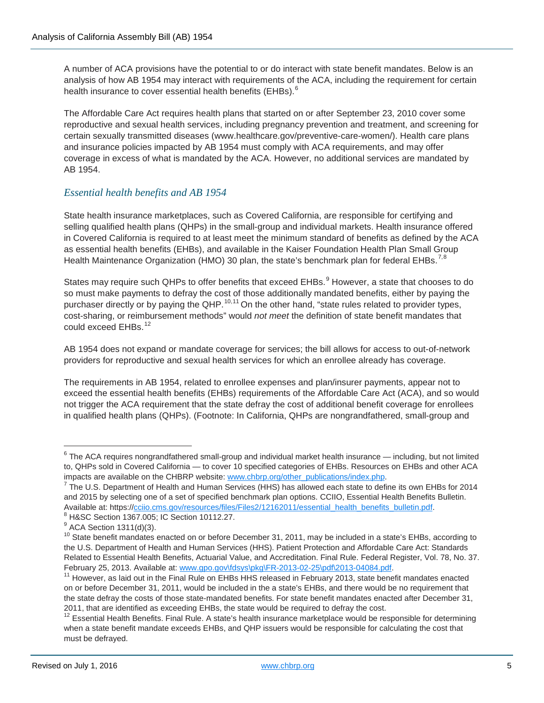A number of ACA provisions have the potential to or do interact with state benefit mandates. Below is an analysis of how AB 1954 may interact with requirements of the ACA, including the requirement for certain health insurance to cover essential health benefits (EHBs).<sup>[6](#page-16-0)</sup>

The Affordable Care Act requires health plans that started on or after September 23, 2010 cover some reproductive and sexual health services, including pregnancy prevention and treatment, and screening for certain sexually transmitted diseases (www.healthcare.gov/preventive-care-women/). Health care plans and insurance policies impacted by AB 1954 must comply with ACA requirements, and may offer coverage in excess of what is mandated by the ACA. However, no additional services are mandated by AB 1954.

#### *Essential health benefits and AB 1954*

State health insurance marketplaces, such as Covered California, are responsible for certifying and selling qualified health plans (QHPs) in the small-group and individual markets. Health insurance offered in Covered California is required to at least meet the minimum standard of benefits as defined by the ACA as essential health benefits (EHBs), and available in the Kaiser Foundation Health Plan Small Group Health Maintenance Organization (HMO) 30 plan, the state's benchmark plan for federal EHBs.<sup>[7,](#page-16-1)[8](#page-16-2)</sup>

States may require such QHPs to offer benefits that exceed EHBs.<sup>[9](#page-16-3)</sup> However, a state that chooses to do so must make payments to defray the cost of those additionally mandated benefits, either by paying the purchaser directly or by paying the QHP.<sup>[10,](#page-16-4)[11](#page-16-5)</sup> On the other hand, "state rules related to provider types, cost-sharing, or reimbursement methods" would *not meet* the definition of state benefit mandates that could exceed EHBs.<sup>[12](#page-16-6)</sup>

AB 1954 does not expand or mandate coverage for services; the bill allows for access to out-of-network providers for reproductive and sexual health services for which an enrollee already has coverage.

The requirements in AB 1954, related to enrollee expenses and plan/insurer payments, appear not to exceed the essential health benefits (EHBs) requirements of the Affordable Care Act (ACA), and so would not trigger the ACA requirement that the state defray the cost of additional benefit coverage for enrollees in qualified health plans (QHPs). (Footnote: In California, QHPs are nongrandfathered, small-group and

<span id="page-16-0"></span> $6$  The ACA requires nongrandfathered small-group and individual market health insurance — including, but not limited to, QHPs sold in Covered California — to cover 10 specified categories of EHBs. Resources on EHBs and other ACA impacts are available on the CHBRP website: [www.chbrp.org/other\\_publications/index.php.](http://www.chbrp.org/other_publications/index.php)

<span id="page-16-1"></span> $7$  The U.S. Department of Health and Human Services (HHS) has allowed each state to define its own EHBs for 2014 and 2015 by selecting one of a set of specified benchmark plan options. CCIIO, Essential Health Benefits Bulletin. Available at: https:[//cciio.cms.gov/resources/files/Files2/12162011/essential\\_health\\_benefits\\_bulletin.pdf.](http://cciio.cms.gov/resources/files/Files2/12162011/essential_health_benefits_bulletin.pdf) <sup>8</sup> H&SC Section 1367.005; IC Section 10112.27.

<span id="page-16-2"></span> $9$  ACA Section 1311(d)(3).

<span id="page-16-4"></span><span id="page-16-3"></span><sup>&</sup>lt;sup>10</sup> State benefit mandates enacted on or before December 31, 2011, may be included in a state's EHBs, according to the U.S. Department of Health and Human Services (HHS). Patient Protection and Affordable Care Act: Standards Related to Essential Health Benefits, Actuarial Value, and Accreditation. Final Rule. Federal Register, Vol. 78, No. 37. February 25, 2013. Available at: [www.gpo.gov\fdsys\pkg\FR-2013-02-25\pdf\2013-04084.pdf.](http://www.gpo.gov/fdsys/pkg/FR-2013-02-25/pdf/2013-04084.pdf)

<span id="page-16-5"></span> $11$  However, as laid out in the Final Rule on EHBs HHS released in February 2013, state benefit mandates enacted on or before December 31, 2011, would be included in the a state's EHBs, and there would be no requirement that the state defray the costs of those state-mandated benefits. For state benefit mandates enacted after December 31, 2011, that are identified as exceeding EHBs, the state would be required to defray the cost.

<span id="page-16-6"></span> $12$  Essential Health Benefits. Final Rule. A state's health insurance marketplace would be responsible for determining when a state benefit mandate exceeds EHBs, and QHP issuers would be responsible for calculating the cost that must be defrayed.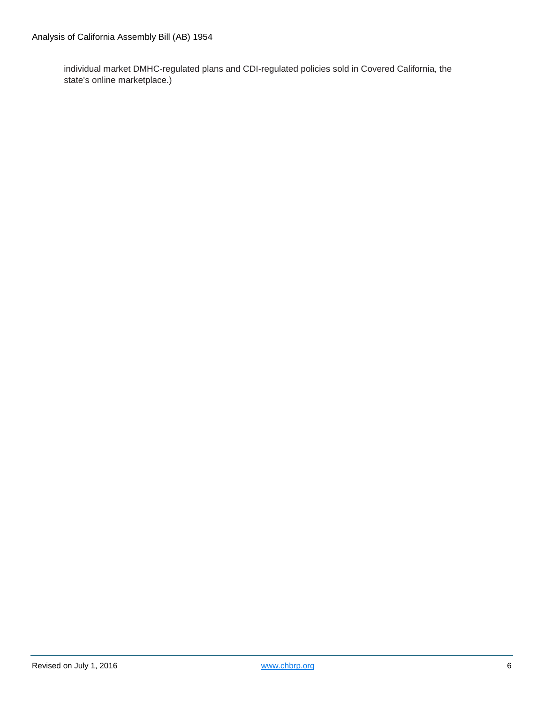individual market DMHC-regulated plans and CDI-regulated policies sold in Covered California, the state's online marketplace.)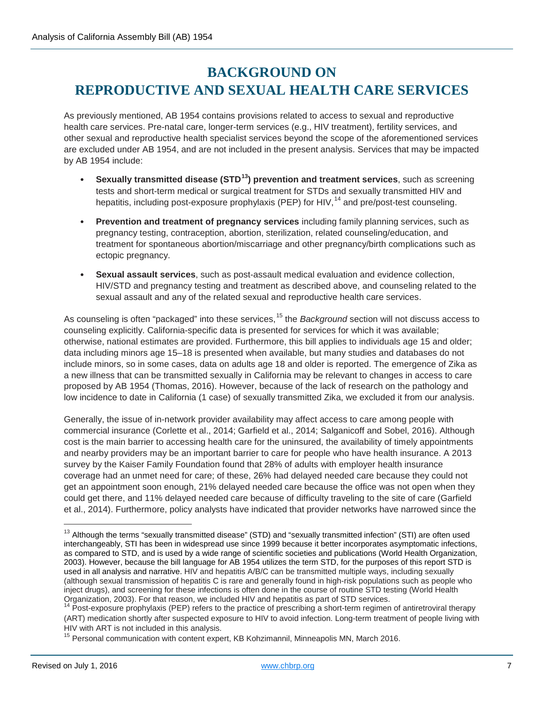# **BACKGROUND ON REPRODUCTIVE AND SEXUAL HEALTH CARE SERVICES**

As previously mentioned, AB 1954 contains provisions related to access to sexual and reproductive health care services. Pre-natal care, longer-term services (e.g., HIV treatment), fertility services, and other sexual and reproductive health specialist services beyond the scope of the aforementioned services are excluded under AB 1954, and are not included in the present analysis. Services that may be impacted by AB 1954 include:

- **Sexually transmitted disease (STD[13](#page-18-0)) prevention and treatment services**, such as screening tests and short-term medical or surgical treatment for STDs and sexually transmitted HIV and hepatitis, including post-exposure prophylaxis (PEP) for HIV,  $^{14}$  $^{14}$  $^{14}$  and pre/post-test counseling.
- **Prevention and treatment of pregnancy services** including family planning services, such as pregnancy testing, contraception, abortion, sterilization, related counseling/education, and treatment for spontaneous abortion/miscarriage and other pregnancy/birth complications such as ectopic pregnancy.
- **Sexual assault services**, such as post-assault medical evaluation and evidence collection, HIV/STD and pregnancy testing and treatment as described above, and counseling related to the sexual assault and any of the related sexual and reproductive health care services.

As counseling is often "packaged" into these services,<sup>[15](#page-18-2)</sup> the *Background* section will not discuss access to counseling explicitly. California-specific data is presented for services for which it was available; otherwise, national estimates are provided. Furthermore, this bill applies to individuals age 15 and older; data including minors age 15–18 is presented when available, but many studies and databases do not include minors, so in some cases, data on adults age 18 and older is reported. The emergence of Zika as a new illness that can be transmitted sexually in California may be relevant to changes in access to care proposed by AB 1954 (Thomas, 2016). However, because of the lack of research on the pathology and low incidence to date in California (1 case) of sexually transmitted Zika, we excluded it from our analysis.

Generally, the issue of in-network provider availability may affect access to care among people with commercial insurance (Corlette et al., 2014; Garfield et al., 2014; Salganicoff and Sobel, 2016). Although cost is the main barrier to accessing health care for the uninsured, the availability of timely appointments and nearby providers may be an important barrier to care for people who have health insurance. A 2013 survey by the Kaiser Family Foundation found that 28% of adults with employer health insurance coverage had an unmet need for care; of these, 26% had delayed needed care because they could not get an appointment soon enough, 21% delayed needed care because the office was not open when they could get there, and 11% delayed needed care because of difficulty traveling to the site of care (Garfield et al., 2014). Furthermore, policy analysts have indicated that provider networks have narrowed since the

<span id="page-18-0"></span> $13$  Although the terms "sexually transmitted disease" (STD) and "sexually transmitted infection" (STI) are often used interchangeably, STI has been in widespread use since 1999 because it better incorporates asymptomatic infections, as compared to STD, and is used by a wide range of scientific societies and publications (World Health Organization, 2003). However, because the bill language for AB 1954 utilizes the term STD, for the purposes of this report STD is used in all analysis and narrative. HIV and hepatitis A/B/C can be transmitted multiple ways, including sexually (although sexual transmission of hepatitis C is rare and generally found in high-risk populations such as people who inject drugs), and screening for these infections is often done in the course of routine STD testing (World Health<br>Organization, 2003). For that reason, we included HIV and hepatitis as part of STD services.

<span id="page-18-1"></span> $14$  Post-exposure prophylaxis (PEP) refers to the practice of prescribing a short-term regimen of antiretroviral therapy (ART) medication shortly after suspected exposure to HIV to avoid infection. Long-term treatment of people living with HIV with ART is not included in this analysis.<br><sup>15</sup> Personal communication with content expert, KB Kohzimannil, Minneapolis MN, March 2016.

<span id="page-18-2"></span>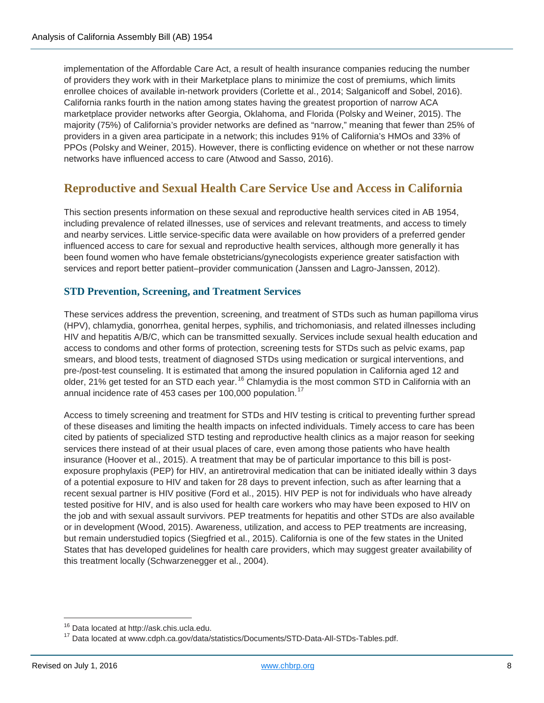implementation of the Affordable Care Act, a result of health insurance companies reducing the number of providers they work with in their Marketplace plans to minimize the cost of premiums, which limits enrollee choices of available in-network providers (Corlette et al., 2014; Salganicoff and Sobel, 2016). California ranks fourth in the nation among states having the greatest proportion of narrow ACA marketplace provider networks after Georgia, Oklahoma, and Florida (Polsky and Weiner, 2015). The majority (75%) of California's provider networks are defined as "narrow," meaning that fewer than 25% of providers in a given area participate in a network; this includes 91% of California's HMOs and 33% of PPOs (Polsky and Weiner, 2015). However, there is conflicting evidence on whether or not these narrow networks have influenced access to care (Atwood and Sasso, 2016).

## **Reproductive and Sexual Health Care Service Use and Access in California**

This section presents information on these sexual and reproductive health services cited in AB 1954, including prevalence of related illnesses, use of services and relevant treatments, and access to timely and nearby services. Little service-specific data were available on how providers of a preferred gender influenced access to care for sexual and reproductive health services, although more generally it has been found women who have female obstetricians/gynecologists experience greater satisfaction with services and report better patient–provider communication (Janssen and Lagro-Janssen, 2012).

#### **STD Prevention, Screening, and Treatment Services**

These services address the prevention, screening, and treatment of STDs such as human papilloma virus (HPV), chlamydia, gonorrhea, genital herpes, syphilis, and trichomoniasis, and related illnesses including HIV and hepatitis A/B/C, which can be transmitted sexually. Services include sexual health education and access to condoms and other forms of protection, screening tests for STDs such as pelvic exams, pap smears, and blood tests, treatment of diagnosed STDs using medication or surgical interventions, and pre-/post-test counseling. It is estimated that among the insured population in California aged 12 and older, 21% get tested for an STD each year.<sup>[16](#page-19-0)</sup> Chlamydia is the most common STD in California with an annual incidence rate of 453 cases per 100,000 population.<sup>[17](#page-19-1)</sup>

Access to timely screening and treatment for STDs and HIV testing is critical to preventing further spread of these diseases and limiting the health impacts on infected individuals. Timely access to care has been cited by patients of specialized STD testing and reproductive health clinics as a major reason for seeking services there instead of at their usual places of care, even among those patients who have health insurance (Hoover et al., 2015). A treatment that may be of particular importance to this bill is postexposure prophylaxis (PEP) for HIV, an antiretroviral medication that can be initiated ideally within 3 days of a potential exposure to HIV and taken for 28 days to prevent infection, such as after learning that a recent sexual partner is HIV positive (Ford et al., 2015). HIV PEP is not for individuals who have already tested positive for HIV, and is also used for health care workers who may have been exposed to HIV on the job and with sexual assault survivors. PEP treatments for hepatitis and other STDs are also available or in development (Wood, 2015). Awareness, utilization, and access to PEP treatments are increasing, but remain understudied topics (Siegfried et al., 2015). California is one of the few states in the United States that has developed guidelines for health care providers, which may suggest greater availability of this treatment locally (Schwarzenegger et al., 2004).

<span id="page-19-1"></span><span id="page-19-0"></span><sup>&</sup>lt;sup>16</sup> Data located at http://ask.chis.ucla.edu.<br><sup>17</sup> Data located at www.cdph.ca.gov/data/statistics/Documents/STD-Data-All-STDs-Tables.pdf.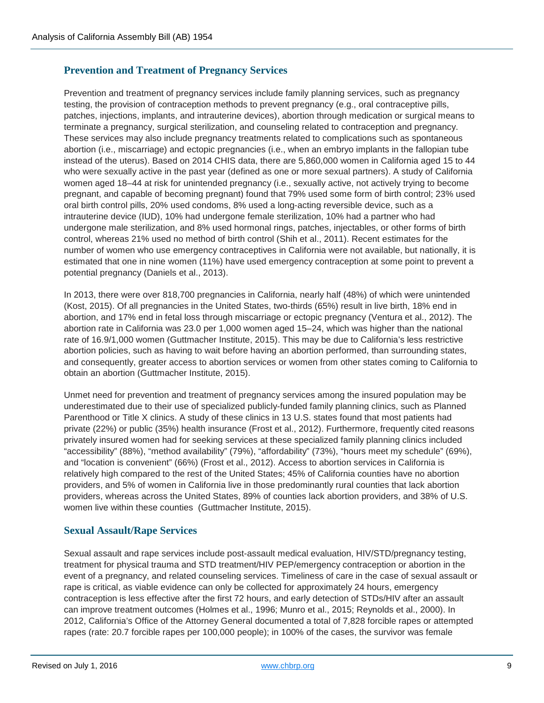#### **Prevention and Treatment of Pregnancy Services**

Prevention and treatment of pregnancy services include family planning services, such as pregnancy testing, the provision of contraception methods to prevent pregnancy (e.g., oral contraceptive pills, patches, injections, implants, and intrauterine devices), abortion through medication or surgical means to terminate a pregnancy, surgical sterilization, and counseling related to contraception and pregnancy. These services may also include pregnancy treatments related to complications such as spontaneous abortion (i.e., miscarriage) and ectopic pregnancies (i.e., when an embryo implants in the fallopian tube instead of the uterus). Based on 2014 CHIS data, there are 5,860,000 women in California aged 15 to 44 who were sexually active in the past year (defined as one or more sexual partners). A study of California women aged 18–44 at risk for unintended pregnancy (i.e., sexually active, not actively trying to become pregnant, and capable of becoming pregnant) found that 79% used some form of birth control; 23% used oral birth control pills, 20% used condoms, 8% used a long-acting reversible device, such as a intrauterine device (IUD), 10% had undergone female sterilization, 10% had a partner who had undergone male sterilization, and 8% used hormonal rings, patches, injectables, or other forms of birth control, whereas 21% used no method of birth control (Shih et al., 2011). Recent estimates for the number of women who use emergency contraceptives in California were not available, but nationally, it is estimated that one in nine women (11%) have used emergency contraception at some point to prevent a potential pregnancy (Daniels et al., 2013).

In 2013, there were over 818,700 pregnancies in California, nearly half (48%) of which were unintended (Kost, 2015). Of all pregnancies in the United States, two-thirds (65%) result in live birth, 18% end in abortion, and 17% end in fetal loss through miscarriage or ectopic pregnancy (Ventura et al., 2012). The abortion rate in California was 23.0 per 1,000 women aged 15–24, which was higher than the national rate of 16.9/1,000 women (Guttmacher Institute, 2015). This may be due to California's less restrictive abortion policies, such as having to wait before having an abortion performed, than surrounding states, and consequently, greater access to abortion services or women from other states coming to California to obtain an abortion (Guttmacher Institute, 2015).

Unmet need for prevention and treatment of pregnancy services among the insured population may be underestimated due to their use of specialized publicly-funded family planning clinics, such as Planned Parenthood or Title X clinics. A study of these clinics in 13 U.S. states found that most patients had private (22%) or public (35%) health insurance (Frost et al., 2012). Furthermore, frequently cited reasons privately insured women had for seeking services at these specialized family planning clinics included "accessibility" (88%), "method availability" (79%), "affordability" (73%), "hours meet my schedule" (69%), and "location is convenient" (66%) (Frost et al., 2012). Access to abortion services in California is relatively high compared to the rest of the United States; 45% of California counties have no abortion providers, and 5% of women in California live in those predominantly rural counties that lack abortion providers, whereas across the United States, 89% of counties lack abortion providers, and 38% of U.S. women live within these counties (Guttmacher Institute, 2015).

#### **Sexual Assault/Rape Services**

Sexual assault and rape services include post-assault medical evaluation, HIV/STD/pregnancy testing, treatment for physical trauma and STD treatment/HIV PEP/emergency contraception or abortion in the event of a pregnancy, and related counseling services. Timeliness of care in the case of sexual assault or rape is critical, as viable evidence can only be collected for approximately 24 hours, emergency contraception is less effective after the first 72 hours, and early detection of STDs/HIV after an assault can improve treatment outcomes (Holmes et al., 1996; Munro et al., 2015; Reynolds et al., 2000). In 2012, California's Office of the Attorney General documented a total of 7,828 forcible rapes or attempted rapes (rate: 20.7 forcible rapes per 100,000 people); in 100% of the cases, the survivor was female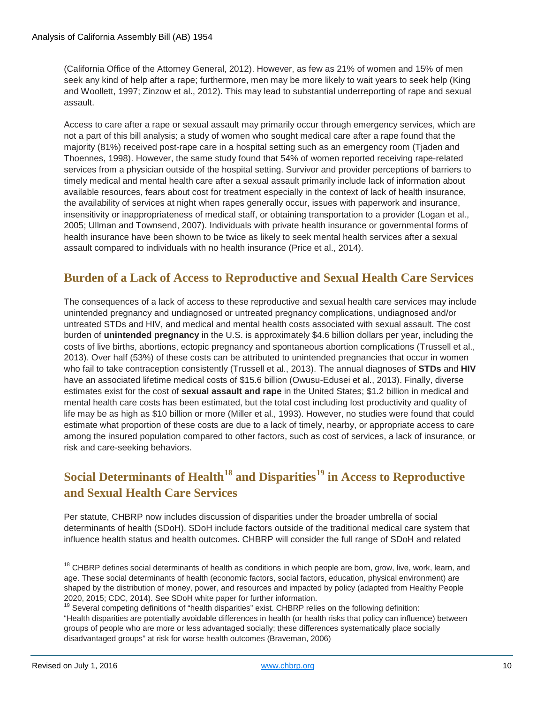(California Office of the Attorney General, 2012). However, as few as 21% of women and 15% of men seek any kind of help after a rape; furthermore, men may be more likely to wait years to seek help (King and Woollett, 1997; Zinzow et al., 2012). This may lead to substantial underreporting of rape and sexual assault.

Access to care after a rape or sexual assault may primarily occur through emergency services, which are not a part of this bill analysis; a study of women who sought medical care after a rape found that the majority (81%) received post-rape care in a hospital setting such as an emergency room (Tjaden and Thoennes, 1998). However, the same study found that 54% of women reported receiving rape-related services from a physician outside of the hospital setting. Survivor and provider perceptions of barriers to timely medical and mental health care after a sexual assault primarily include lack of information about available resources, fears about cost for treatment especially in the context of lack of health insurance, the availability of services at night when rapes generally occur, issues with paperwork and insurance, insensitivity or inappropriateness of medical staff, or obtaining transportation to a provider (Logan et al., 2005; Ullman and Townsend, 2007). Individuals with private health insurance or governmental forms of health insurance have been shown to be twice as likely to seek mental health services after a sexual assault compared to individuals with no health insurance (Price et al., 2014).

# **Burden of a Lack of Access to Reproductive and Sexual Health Care Services**

The consequences of a lack of access to these reproductive and sexual health care services may include unintended pregnancy and undiagnosed or untreated pregnancy complications, undiagnosed and/or untreated STDs and HIV, and medical and mental health costs associated with sexual assault. The cost burden of **unintended pregnancy** in the U.S. is approximately \$4.6 billion dollars per year, including the costs of live births, abortions, ectopic pregnancy and spontaneous abortion complications (Trussell et al., 2013). Over half (53%) of these costs can be attributed to unintended pregnancies that occur in women who fail to take contraception consistently (Trussell et al., 2013). The annual diagnoses of **STDs** and **HIV** have an associated lifetime medical costs of \$15.6 billion (Owusu-Edusei et al., 2013). Finally, diverse estimates exist for the cost of **sexual assault and rape** in the United States; \$1.2 billion in medical and mental health care costs has been estimated, but the total cost including lost productivity and quality of life may be as high as \$10 billion or more (Miller et al., 1993). However, no studies were found that could estimate what proportion of these costs are due to a lack of timely, nearby, or appropriate access to care among the insured population compared to other factors, such as cost of services, a lack of insurance, or risk and care-seeking behaviors.

# **Social Determinants of Health[18](#page-21-0) and Disparities[19](#page-21-1) in Access to Reproductive and Sexual Health Care Services**

Per statute, CHBRP now includes discussion of disparities under the broader umbrella of social determinants of health (SDoH). SDoH include factors outside of the traditional medical care system that influence health status and health outcomes. CHBRP will consider the full range of SDoH and related

<span id="page-21-0"></span><sup>&</sup>lt;sup>18</sup> CHBRP defines social determinants of health as conditions in which people are born, grow, live, work, learn, and age. These social determinants of health (economic factors, social factors, education, physical environment) are shaped by the distribution of money, power, and resources and impacted by policy (adapted from Healthy People 2020, 2015; CDC, 2014). See SDoH white paper for further information.

<span id="page-21-1"></span><sup>&</sup>lt;sup>19</sup> Several competing definitions of "health disparities" exist. CHBRP relies on the following definition: "Health disparities are potentially avoidable differences in health (or health risks that policy can influence) between groups of people who are more or less advantaged socially; these differences systematically place socially disadvantaged groups" at risk for worse health outcomes (Braveman, 2006)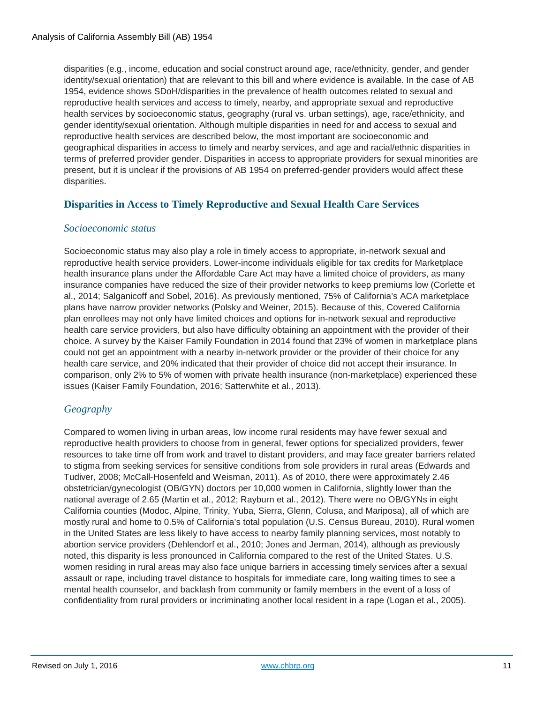disparities (e.g., income, education and social construct around age, race/ethnicity, gender, and gender identity/sexual orientation) that are relevant to this bill and where evidence is available. In the case of AB 1954, evidence shows SDoH/disparities in the prevalence of health outcomes related to sexual and reproductive health services and access to timely, nearby, and appropriate sexual and reproductive health services by socioeconomic status, geography (rural vs. urban settings), age, race/ethnicity, and gender identity/sexual orientation. Although multiple disparities in need for and access to sexual and reproductive health services are described below, the most important are socioeconomic and geographical disparities in access to timely and nearby services, and age and racial/ethnic disparities in terms of preferred provider gender. Disparities in access to appropriate providers for sexual minorities are present, but it is unclear if the provisions of AB 1954 on preferred-gender providers would affect these disparities.

#### **Disparities in Access to Timely Reproductive and Sexual Health Care Services**

#### *Socioeconomic status*

Socioeconomic status may also play a role in timely access to appropriate, in-network sexual and reproductive health service providers. Lower-income individuals eligible for tax credits for Marketplace health insurance plans under the Affordable Care Act may have a limited choice of providers, as many insurance companies have reduced the size of their provider networks to keep premiums low (Corlette et al., 2014; Salganicoff and Sobel, 2016). As previously mentioned, 75% of California's ACA marketplace plans have narrow provider networks (Polsky and Weiner, 2015). Because of this, Covered California plan enrollees may not only have limited choices and options for in-network sexual and reproductive health care service providers, but also have difficulty obtaining an appointment with the provider of their choice. A survey by the Kaiser Family Foundation in 2014 found that 23% of women in marketplace plans could not get an appointment with a nearby in-network provider or the provider of their choice for any health care service, and 20% indicated that their provider of choice did not accept their insurance. In comparison, only 2% to 5% of women with private health insurance (non-marketplace) experienced these issues (Kaiser Family Foundation, 2016; Satterwhite et al., 2013).

#### *Geography*

Compared to women living in urban areas, low income rural residents may have fewer sexual and reproductive health providers to choose from in general, fewer options for specialized providers, fewer resources to take time off from work and travel to distant providers, and may face greater barriers related to stigma from seeking services for sensitive conditions from sole providers in rural areas (Edwards and Tudiver, 2008; McCall-Hosenfeld and Weisman, 2011). As of 2010, there were approximately 2.46 obstetrician/gynecologist (OB/GYN) doctors per 10,000 women in California, slightly lower than the national average of 2.65 (Martin et al., 2012; Rayburn et al., 2012). There were no OB/GYNs in eight California counties (Modoc, Alpine, Trinity, Yuba, Sierra, Glenn, Colusa, and Mariposa), all of which are mostly rural and home to 0.5% of California's total population (U.S. Census Bureau, 2010). Rural women in the United States are less likely to have access to nearby family planning services, most notably to abortion service providers (Dehlendorf et al., 2010; Jones and Jerman, 2014), although as previously noted, this disparity is less pronounced in California compared to the rest of the United States. U.S. women residing in rural areas may also face unique barriers in accessing timely services after a sexual assault or rape, including travel distance to hospitals for immediate care, long waiting times to see a mental health counselor, and backlash from community or family members in the event of a loss of confidentiality from rural providers or incriminating another local resident in a rape (Logan et al., 2005).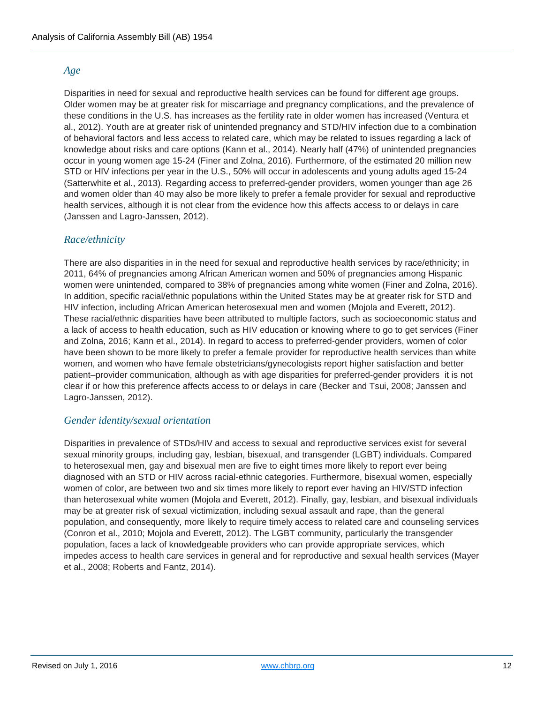#### *Age*

Disparities in need for sexual and reproductive health services can be found for different age groups. Older women may be at greater risk for miscarriage and pregnancy complications, and the prevalence of these conditions in the U.S. has increases as the fertility rate in older women has increased (Ventura et al., 2012). Youth are at greater risk of unintended pregnancy and STD/HIV infection due to a combination of behavioral factors and less access to related care, which may be related to issues regarding a lack of knowledge about risks and care options (Kann et al., 2014). Nearly half (47%) of unintended pregnancies occur in young women age 15-24 (Finer and Zolna, 2016). Furthermore, of the estimated 20 million new STD or HIV infections per year in the U.S., 50% will occur in adolescents and young adults aged 15-24 (Satterwhite et al., 2013). Regarding access to preferred-gender providers, women younger than age 26 and women older than 40 may also be more likely to prefer a female provider for sexual and reproductive health services, although it is not clear from the evidence how this affects access to or delays in care (Janssen and Lagro-Janssen, 2012).

#### *Race/ethnicity*

There are also disparities in in the need for sexual and reproductive health services by race/ethnicity; in 2011, 64% of pregnancies among African American women and 50% of pregnancies among Hispanic women were unintended, compared to 38% of pregnancies among white women (Finer and Zolna, 2016). In addition, specific racial/ethnic populations within the United States may be at greater risk for STD and HIV infection, including African American heterosexual men and women (Mojola and Everett, 2012). These racial/ethnic disparities have been attributed to multiple factors, such as socioeconomic status and a lack of access to health education, such as HIV education or knowing where to go to get services (Finer and Zolna, 2016; Kann et al., 2014). In regard to access to preferred-gender providers, women of color have been shown to be more likely to prefer a female provider for reproductive health services than white women, and women who have female obstetricians/gynecologists report higher satisfaction and better patient–provider communication, although as with age disparities for preferred-gender providers it is not clear if or how this preference affects access to or delays in care (Becker and Tsui, 2008; Janssen and Lagro-Janssen, 2012).

#### *Gender identity/sexual orientation*

Disparities in prevalence of STDs/HIV and access to sexual and reproductive services exist for several sexual minority groups, including gay, lesbian, bisexual, and transgender (LGBT) individuals. Compared to heterosexual men, gay and bisexual men are five to eight times more likely to report ever being diagnosed with an STD or HIV across racial-ethnic categories. Furthermore, bisexual women, especially women of color, are between two and six times more likely to report ever having an HIV/STD infection than heterosexual white women (Mojola and Everett, 2012). Finally, gay, lesbian, and bisexual individuals may be at greater risk of sexual victimization, including sexual assault and rape, than the general population, and consequently, more likely to require timely access to related care and counseling services (Conron et al., 2010; Mojola and Everett, 2012). The LGBT community, particularly the transgender population, faces a lack of knowledgeable providers who can provide appropriate services, which impedes access to health care services in general and for reproductive and sexual health services (Mayer et al., 2008; Roberts and Fantz, 2014).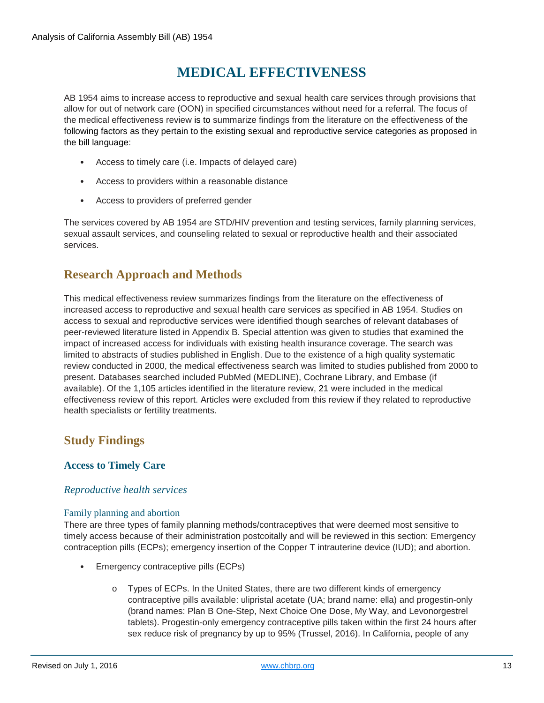# **MEDICAL EFFECTIVENESS**

AB 1954 aims to increase access to reproductive and sexual health care services through provisions that allow for out of network care (OON) in specified circumstances without need for a referral. The focus of the medical effectiveness review is to summarize findings from the literature on the effectiveness of the following factors as they pertain to the existing sexual and reproductive service categories as proposed in the bill language:

- Access to timely care (i.e. Impacts of delayed care)
- Access to providers within a reasonable distance
- Access to providers of preferred gender

The services covered by AB 1954 are STD/HIV prevention and testing services, family planning services, sexual assault services, and counseling related to sexual or reproductive health and their associated services.

## **Research Approach and Methods**

This medical effectiveness review summarizes findings from the literature on the effectiveness of increased access to reproductive and sexual health care services as specified in AB 1954. Studies on access to sexual and reproductive services were identified though searches of relevant databases of peer-reviewed literature listed in Appendix B. Special attention was given to studies that examined the impact of increased access for individuals with existing health insurance coverage. The search was limited to abstracts of studies published in English. Due to the existence of a high quality systematic review conducted in 2000, the medical effectiveness search was limited to studies published from 2000 to present. Databases searched included PubMed (MEDLINE), Cochrane Library, and Embase (if available). Of the 1,105 articles identified in the literature review, 21 were included in the medical effectiveness review of this report. Articles were excluded from this review if they related to reproductive health specialists or fertility treatments.

## **Study Findings**

#### **Access to Timely Care**

#### *Reproductive health services*

#### Family planning and abortion

There are three types of family planning methods/contraceptives that were deemed most sensitive to timely access because of their administration postcoitally and will be reviewed in this section: Emergency contraception pills (ECPs); emergency insertion of the Copper T intrauterine device (IUD); and abortion.

- Emergency contraceptive pills (ECPs)
	- o Types of ECPs. In the United States, there are two different kinds of emergency contraceptive pills available: ulipristal acetate (UA; brand name: ella) and progestin-only (brand names: Plan B One-Step, Next Choice One Dose, My Way, and Levonorgestrel tablets). Progestin-only emergency contraceptive pills taken within the first 24 hours after sex reduce risk of pregnancy by up to 95% (Trussel, 2016). In California, people of any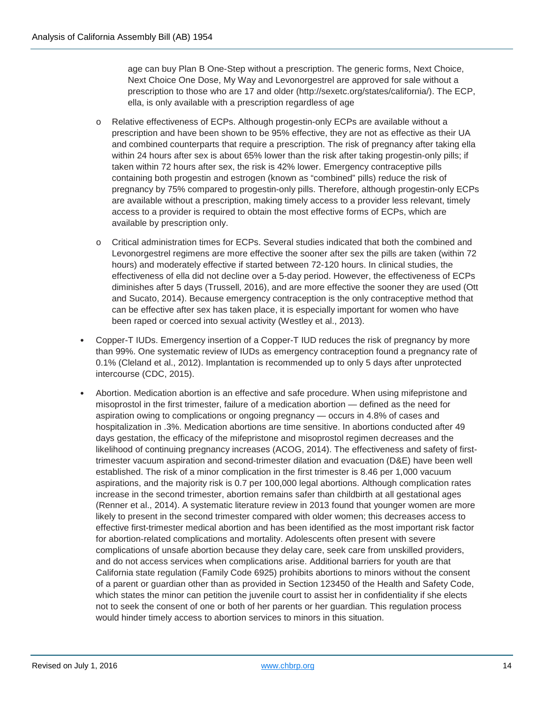age can buy Plan B One-Step without a prescription. The generic forms, Next Choice, Next Choice One Dose, My Way and Levonorgestrel are approved for sale without a prescription to those who are 17 and older (http://sexetc.org/states/california/). The ECP, ella, is only available with a prescription regardless of age

- o Relative effectiveness of ECPs. Although progestin-only ECPs are available without a prescription and have been shown to be 95% effective, they are not as effective as their UA and combined counterparts that require a prescription. The risk of pregnancy after taking ella within 24 hours after sex is about 65% lower than the risk after taking progestin-only pills; if taken within 72 hours after sex, the risk is 42% lower. Emergency contraceptive pills containing both progestin and estrogen (known as "combined" pills) reduce the risk of pregnancy by 75% compared to progestin-only pills. Therefore, although progestin-only ECPs are available without a prescription, making timely access to a provider less relevant, timely access to a provider is required to obtain the most effective forms of ECPs, which are available by prescription only.
- o Critical administration times for ECPs. Several studies indicated that both the combined and Levonorgestrel regimens are more effective the sooner after sex the pills are taken (within 72 hours) and moderately effective if started between 72-120 hours. In clinical studies, the effectiveness of ella did not decline over a 5-day period. However, the effectiveness of ECPs diminishes after 5 days (Trussell, 2016), and are more effective the sooner they are used (Ott and Sucato, 2014). Because emergency contraception is the only contraceptive method that can be effective after sex has taken place, it is especially important for women who have been raped or coerced into sexual activity (Westley et al., 2013).
- Copper-T IUDs. Emergency insertion of a Copper-T IUD reduces the risk of pregnancy by more than 99%. One systematic review of IUDs as emergency contraception found a pregnancy rate of 0.1% (Cleland et al., 2012). Implantation is recommended up to only 5 days after unprotected intercourse (CDC, 2015).
- Abortion. Medication abortion is an effective and safe procedure. When using mifepristone and misoprostol in the first trimester, failure of a medication abortion — defined as the need for aspiration owing to complications or ongoing pregnancy — occurs in 4.8% of cases and hospitalization in .3%. Medication abortions are time sensitive. In abortions conducted after 49 days gestation, the efficacy of the mifepristone and misoprostol regimen decreases and the likelihood of continuing pregnancy increases (ACOG, 2014). The effectiveness and safety of firsttrimester vacuum aspiration and second-trimester dilation and evacuation (D&E) have been well established. The risk of a minor complication in the first trimester is 8.46 per 1,000 vacuum aspirations, and the majority risk is 0.7 per 100,000 legal abortions. Although complication rates increase in the second trimester, abortion remains safer than childbirth at all gestational ages (Renner et al., 2014). A systematic literature review in 2013 found that younger women are more likely to present in the second trimester compared with older women; this decreases access to effective first-trimester medical abortion and has been identified as the most important risk factor for abortion-related complications and mortality. Adolescents often present with severe complications of unsafe abortion because they delay care, seek care from unskilled providers, and do not access services when complications arise. Additional barriers for youth are that California state regulation (Family Code 6925) prohibits abortions to minors without the consent of a parent or guardian other than as provided in Section 123450 of the Health and Safety Code, which states the minor can petition the juvenile court to assist her in confidentiality if she elects not to seek the consent of one or both of her parents or her guardian. This regulation process would hinder timely access to abortion services to minors in this situation.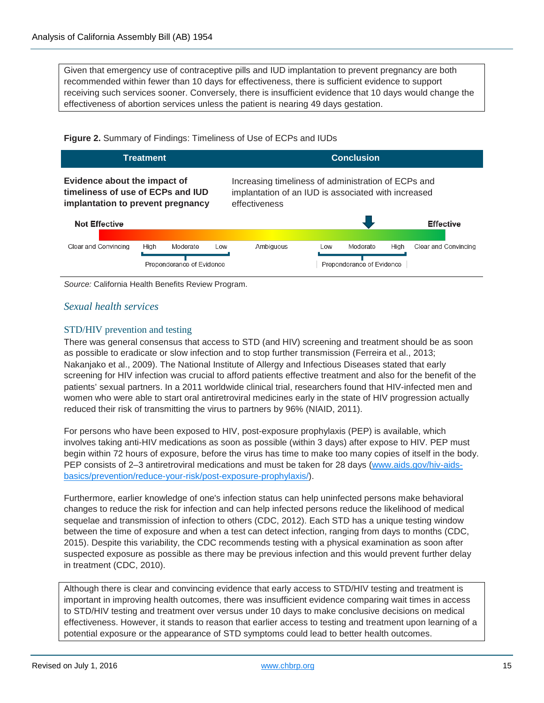Given that emergency use of contraceptive pills and IUD implantation to prevent pregnancy are both recommended within fewer than 10 days for effectiveness, there is sufficient evidence to support receiving such services sooner. Conversely, there is insufficient evidence that 10 days would change the effectiveness of abortion services unless the patient is nearing 49 days gestation.

|  | Figure 2. Summary of Findings: Timeliness of Use of ECPs and IUDs |  |  |
|--|-------------------------------------------------------------------|--|--|
|  |                                                                   |  |  |

| <b>Treatment</b>                                                                                       |      |                           | <b>Conclusion</b> |                                                                                                                             |     |                           |      |                      |  |
|--------------------------------------------------------------------------------------------------------|------|---------------------------|-------------------|-----------------------------------------------------------------------------------------------------------------------------|-----|---------------------------|------|----------------------|--|
| Evidence about the impact of<br>timeliness of use of ECPs and IUD<br>implantation to prevent pregnancy |      |                           |                   | Increasing timeliness of administration of ECPs and<br>implantation of an IUD is associated with increased<br>effectiveness |     |                           |      |                      |  |
| <b>Not Effective</b>                                                                                   |      |                           |                   |                                                                                                                             |     |                           |      | <b>Effective</b>     |  |
| Clear and Convincing                                                                                   | High | Moderate                  | Low               | Ambiguous                                                                                                                   | Low | Moderate                  | High | Clear and Convincing |  |
|                                                                                                        |      | Preponderance of Evidence |                   |                                                                                                                             |     | Preponderance of Evidence |      |                      |  |

*Source:* California Health Benefits Review Program.

#### *Sexual health services*

#### STD/HIV prevention and testing

There was general consensus that access to STD (and HIV) screening and treatment should be as soon as possible to eradicate or slow infection and to stop further transmission (Ferreira et al., 2013; Nakanjako et al., 2009). The National Institute of Allergy and Infectious Diseases stated that early screening for HIV infection was crucial to afford patients effective treatment and also for the benefit of the patients' sexual partners. In a 2011 worldwide clinical trial, researchers found that HIV-infected men and women who were able to start oral antiretroviral medicines early in the state of HIV progression actually reduced their risk of transmitting the virus to partners by 96% (NIAID, 2011).

For persons who have been exposed to HIV, post-exposure prophylaxis (PEP) is available, which involves taking anti-HIV medications as soon as possible (within 3 days) after expose to HIV. PEP must begin within 72 hours of exposure, before the virus has time to make too many copies of itself in the body. PEP consists of 2–3 antiretroviral medications and must be taken for 28 days [\(www.aids.gov/hiv-aids](http://www.aids.gov/hiv-aids-basics/prevention/reduce-your-risk/post-exposure-prophylaxis/)[basics/prevention/reduce-your-risk/post-exposure-prophylaxis/\)](http://www.aids.gov/hiv-aids-basics/prevention/reduce-your-risk/post-exposure-prophylaxis/).

Furthermore, earlier knowledge of one's infection status can help uninfected persons make behavioral changes to reduce the risk for infection and can help infected persons reduce the likelihood of medical sequelae and transmission of infection to others (CDC, 2012). Each STD has a unique testing window between the time of exposure and when a test can detect infection, ranging from days to months (CDC, 2015). Despite this variability, the CDC recommends testing with a physical examination as soon after suspected exposure as possible as there may be previous infection and this would prevent further delay in treatment (CDC, 2010).

Although there is clear and convincing evidence that early access to STD/HIV testing and treatment is important in improving health outcomes, there was insufficient evidence comparing wait times in access to STD/HIV testing and treatment over versus under 10 days to make conclusive decisions on medical effectiveness. However, it stands to reason that earlier access to testing and treatment upon learning of a potential exposure or the appearance of STD symptoms could lead to better health outcomes.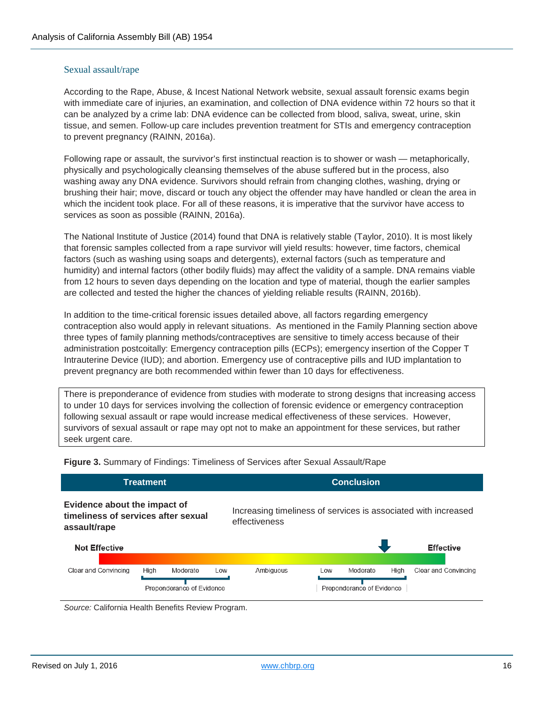#### Sexual assault/rape

According to the Rape, Abuse, & Incest National Network website, sexual assault forensic exams begin with immediate care of injuries, an examination, and collection of DNA evidence within 72 hours so that it can be analyzed by a crime lab: DNA evidence can be collected from blood, saliva, sweat, urine, skin tissue, and semen. Follow-up care includes prevention treatment for STIs and emergency contraception to prevent pregnancy (RAINN, 2016a).

Following rape or assault, the survivor's first instinctual reaction is to shower or wash — metaphorically, physically and psychologically cleansing themselves of the abuse suffered but in the process, also washing away any DNA evidence. Survivors should refrain from changing clothes, washing, drying or brushing their hair; move, discard or touch any object the offender may have handled or clean the area in which the incident took place. For all of these reasons, it is imperative that the survivor have access to services as soon as possible (RAINN, 2016a).

The National Institute of Justice (2014) found that DNA is relatively stable (Taylor, 2010). It is most likely that forensic samples collected from a rape survivor will yield results: however, time factors, chemical factors (such as washing using soaps and detergents), external factors (such as temperature and humidity) and internal factors (other bodily fluids) may affect the validity of a sample. DNA remains viable from 12 hours to seven days depending on the location and type of material, though the earlier samples are collected and tested the higher the chances of yielding reliable results (RAINN, 2016b).

In addition to the time-critical forensic issues detailed above, all factors regarding emergency contraception also would apply in relevant situations. As mentioned in the Family Planning section above three types of family planning methods/contraceptives are sensitive to timely access because of their administration postcoitally: Emergency contraception pills (ECPs); emergency insertion of the Copper T Intrauterine Device (IUD); and abortion. Emergency use of contraceptive pills and IUD implantation to prevent pregnancy are both recommended within fewer than 10 days for effectiveness.

There is preponderance of evidence from studies with moderate to strong designs that increasing access to under 10 days for services involving the collection of forensic evidence or emergency contraception following sexual assault or rape would increase medical effectiveness of these services. However, survivors of sexual assault or rape may opt not to make an appointment for these services, but rather seek urgent care.

**Treatment Conclusion Evidence about the impact of**  Increasing timeliness of services is associated with increased **timeliness of services after sexual**  effectiveness **assault/rape Not Effective Effective** Clear and Convincing Moderate Clear and Convincing High I ow Ambiguous I ow Moderate High Preponderance of Evidence Preponderance of Evidence

**Figure 3.** Summary of Findings: Timeliness of Services after Sexual Assault/Rape

*Source:* California Health Benefits Review Program.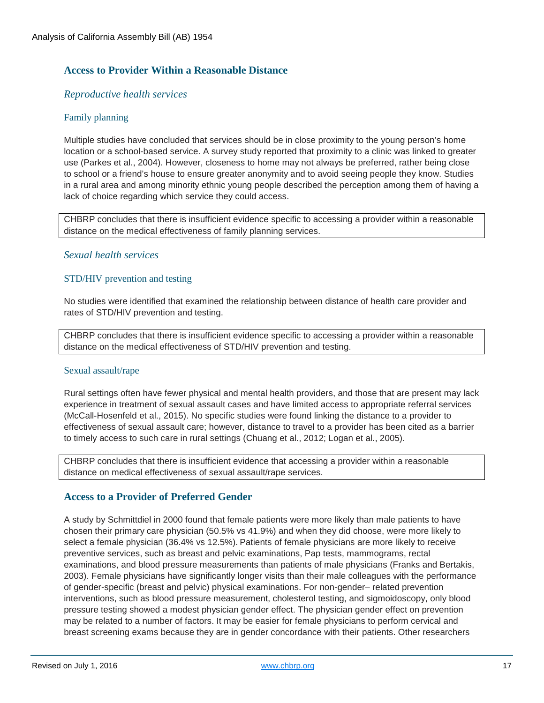#### **Access to Provider Within a Reasonable Distance**

#### *Reproductive health services*

#### Family planning

Multiple studies have concluded that services should be in close proximity to the young person's home location or a school-based service. A survey study reported that proximity to a clinic was linked to greater use (Parkes et al., 2004). However, closeness to home may not always be preferred, rather being close to school or a friend's house to ensure greater anonymity and to avoid seeing people they know. Studies in a rural area and among minority ethnic young people described the perception among them of having a lack of choice regarding which service they could access.

CHBRP concludes that there is insufficient evidence specific to accessing a provider within a reasonable distance on the medical effectiveness of family planning services.

#### *Sexual health services*

#### STD/HIV prevention and testing

No studies were identified that examined the relationship between distance of health care provider and rates of STD/HIV prevention and testing.

CHBRP concludes that there is insufficient evidence specific to accessing a provider within a reasonable distance on the medical effectiveness of STD/HIV prevention and testing.

#### Sexual assault/rape

Rural settings often have fewer physical and mental health providers, and those that are present may lack experience in treatment of sexual assault cases and have limited access to appropriate referral services (McCall-Hosenfeld et al., 2015). No specific studies were found linking the distance to a provider to effectiveness of sexual assault care; however, distance to travel to a provider has been cited as a barrier to timely access to such care in rural settings (Chuang et al., 2012; Logan et al., 2005).

CHBRP concludes that there is insufficient evidence that accessing a provider within a reasonable distance on medical effectiveness of sexual assault/rape services.

#### **Access to a Provider of Preferred Gender**

A study by Schmittdiel in 2000 found that female patients were more likely than male patients to have chosen their primary care physician (50.5% vs 41.9%) and when they did choose, were more likely to select a female physician (36.4% vs 12.5%). Patients of female physicians are more likely to receive preventive services, such as breast and pelvic examinations, Pap tests, mammograms, rectal examinations, and blood pressure measurements than patients of male physicians (Franks and Bertakis, 2003). Female physicians have significantly longer visits than their male colleagues with the performance of gender-specific (breast and pelvic) physical examinations. For non-gender– related prevention interventions, such as blood pressure measurement, cholesterol testing, and sigmoidoscopy, only blood pressure testing showed a modest physician gender effect. The physician gender effect on prevention may be related to a number of factors. It may be easier for female physicians to perform cervical and breast screening exams because they are in gender concordance with their patients. Other researchers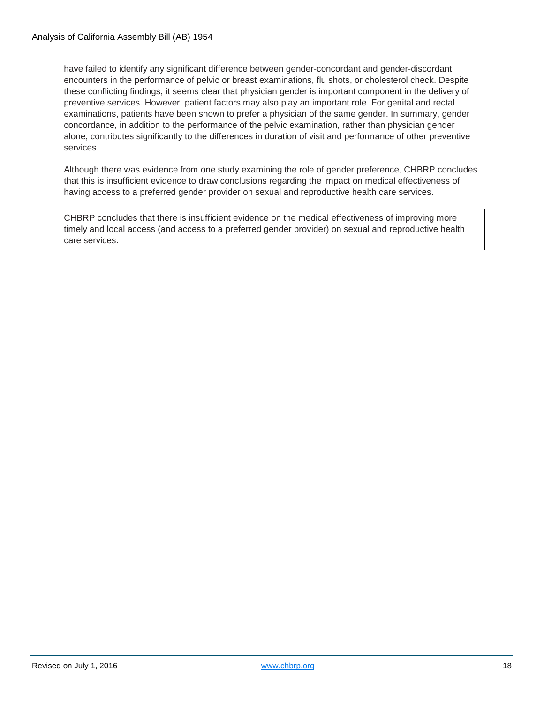have failed to identify any significant difference between gender-concordant and gender-discordant encounters in the performance of pelvic or breast examinations, flu shots, or cholesterol check. Despite these conflicting findings, it seems clear that physician gender is important component in the delivery of preventive services. However, patient factors may also play an important role. For genital and rectal examinations, patients have been shown to prefer a physician of the same gender. In summary, gender concordance, in addition to the performance of the pelvic examination, rather than physician gender alone, contributes significantly to the differences in duration of visit and performance of other preventive services.

Although there was evidence from one study examining the role of gender preference, CHBRP concludes that this is insufficient evidence to draw conclusions regarding the impact on medical effectiveness of having access to a preferred gender provider on sexual and reproductive health care services.

CHBRP concludes that there is insufficient evidence on the medical effectiveness of improving more timely and local access (and access to a preferred gender provider) on sexual and reproductive health care services.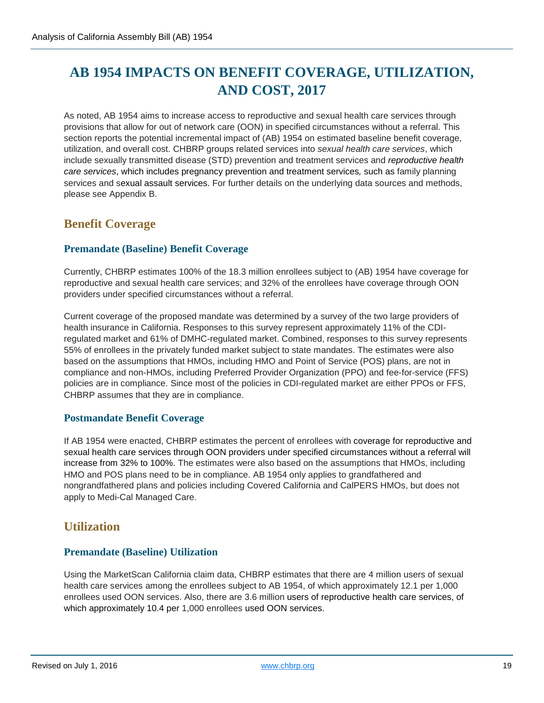# **[AB 1954](#page-1-2) IMPACTS ON BENEFIT COVERAGE, UTILIZATION, AND COST, 2017**

As noted, AB 1954 aims to increase access to reproductive and sexual health care services through provisions that allow for out of network care (OON) in specified circumstances without a referral. This section reports the potential incremental impact of [\(AB\)](#page-1-2) 1954 on estimated baseline benefit coverage, utilization, and overall cost. CHBRP groups related services into *sexual health care services*, which include sexually transmitted disease (STD) prevention and treatment services and *reproductive health care services*, which includes pregnancy prevention and treatment services*,* such as family planning services and sexual assault services. For further details on the underlying data sources and methods, please see Appendix B.

## **Benefit Coverage**

#### **Premandate (Baseline) Benefit Coverage**

Currently, CHBRP estimates 100% of the 18.3 million enrollees subject to (AB) [1954](#page-1-2) have coverage for reproductive and sexual health care services; and 32% of the enrollees have coverage through OON providers under specified circumstances without a referral.

Current coverage of the proposed mandate was determined by a survey of the two large providers of health insurance in California. Responses to this survey represent approximately 11% of the CDIregulated market and 61% of DMHC-regulated market. Combined, responses to this survey represents 55% of enrollees in the privately funded market subject to state mandates. The estimates were also based on the assumptions that HMOs, including HMO and Point of Service (POS) plans, are not in compliance and non-HMOs, including Preferred Provider Organization (PPO) and fee-for-service (FFS) policies are in compliance. Since most of the policies in CDI-regulated market are either PPOs or FFS, CHBRP assumes that they are in compliance.

#### **Postmandate Benefit Coverage**

If AB 1954 were enacted, CHBRP estimates the percent of enrollees with coverage for reproductive and sexual health care services through OON providers under specified circumstances without a referral will increase from 32% to 100%. The estimates were also based on the assumptions that HMOs, including HMO and POS plans need to be in compliance. AB 1954 only applies to grandfathered and nongrandfathered plans and policies including Covered California and CalPERS HMOs, but does not apply to Medi-Cal Managed Care.

## **Utilization**

#### **Premandate (Baseline) Utilization**

Using the MarketScan California claim data, CHBRP estimates that there are 4 million users of sexual health care services among the enrollees subject to AB 1954, of which approximately 12.1 per 1,000 enrollees used OON services. Also, there are 3.6 million users of reproductive health care services, of which approximately 10.4 per 1,000 enrollees used OON services.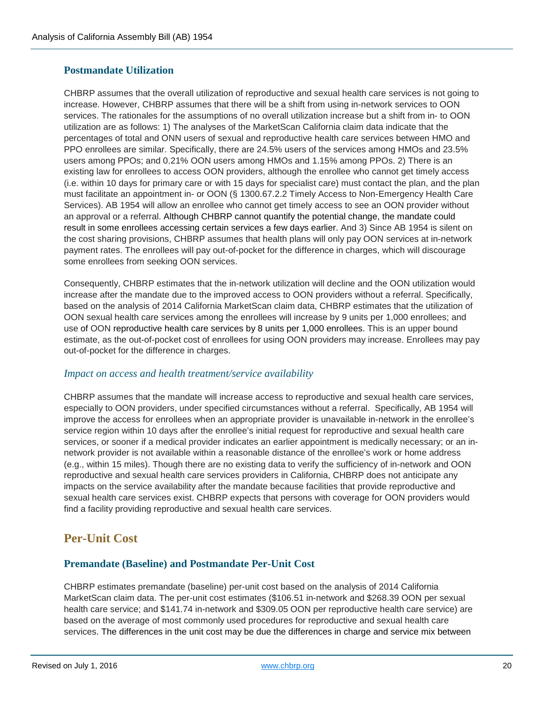#### **Postmandate Utilization**

CHBRP assumes that the overall utilization of reproductive and sexual health care services is not going to increase. However, CHBRP assumes that there will be a shift from using in-network services to OON services. The rationales for the assumptions of no overall utilization increase but a shift from in- to OON utilization are as follows: 1) The analyses of the MarketScan California claim data indicate that the percentages of total and ONN users of sexual and reproductive health care services between HMO and PPO enrollees are similar. Specifically, there are 24.5% users of the services among HMOs and 23.5% users among PPOs; and 0.21% OON users among HMOs and 1.15% among PPOs. 2) There is an existing law for enrollees to access OON providers, although the enrollee who cannot get timely access (i.e. within 10 days for primary care or with 15 days for specialist care) must contact the plan, and the plan must facilitate an appointment in- or OON (§ 1300.67.2.2 Timely Access to Non-Emergency Health Care Services). AB 1954 will allow an enrollee who cannot get timely access to see an OON provider without an approval or a referral. Although CHBRP cannot quantify the potential change, the mandate could result in some enrollees accessing certain services a few days earlier. And 3) Since AB 1954 is silent on the cost sharing provisions, CHBRP assumes that health plans will only pay OON services at in-network payment rates. The enrollees will pay out-of-pocket for the difference in charges, which will discourage some enrollees from seeking OON services.

Consequently, CHBRP estimates that the in-network utilization will decline and the OON utilization would increase after the mandate due to the improved access to OON providers without a referral. Specifically, based on the analysis of 2014 California MarketScan claim data, CHBRP estimates that the utilization of OON sexual health care services among the enrollees will increase by 9 units per 1,000 enrollees; and use of OON reproductive health care services by 8 units per 1,000 enrollees. This is an upper bound estimate, as the out-of-pocket cost of enrollees for using OON providers may increase. Enrollees may pay out-of-pocket for the difference in charges.

#### *Impact on access and health treatment/service availability*

CHBRP assumes that the mandate will increase access to reproductive and sexual health care services, especially to OON providers, under specified circumstances without a referral. Specifically, AB 1954 will improve the access for enrollees when an appropriate provider is unavailable in-network in the enrollee's service region within 10 days after the enrollee's initial request for reproductive and sexual health care services, or sooner if a medical provider indicates an earlier appointment is medically necessary; or an innetwork provider is not available within a reasonable distance of the enrollee's work or home address (e.g., within 15 miles). Though there are no existing data to verify the sufficiency of in-network and OON reproductive and sexual health care services providers in California, CHBRP does not anticipate any impacts on the service availability after the mandate because facilities that provide reproductive and sexual health care services exist. CHBRP expects that persons with coverage for OON providers would find a facility providing reproductive and sexual health care services.

## **Per-Unit Cost**

#### **Premandate (Baseline) and Postmandate Per-Unit Cost**

CHBRP estimates premandate (baseline) per-unit cost based on the analysis of 2014 California MarketScan claim data. The per-unit cost estimates (\$106.51 in-network and \$268.39 OON per sexual health care service; and \$141.74 in-network and \$309.05 OON per reproductive health care service) are based on the average of most commonly used procedures for reproductive and sexual health care services. The differences in the unit cost may be due the differences in charge and service mix between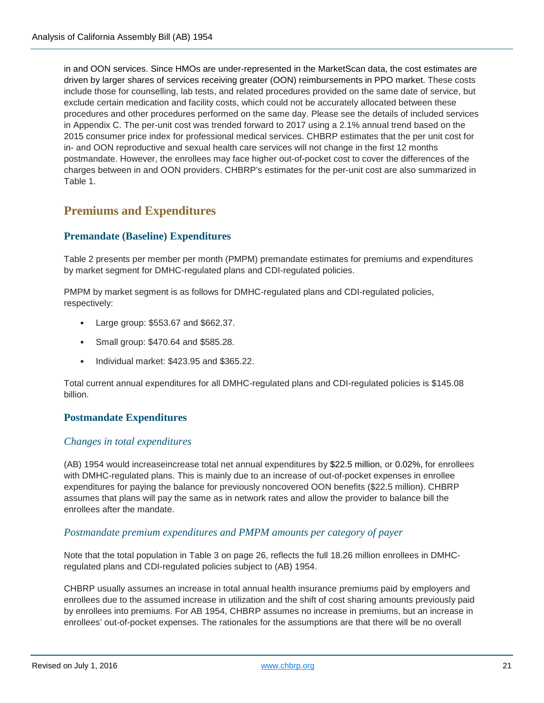in and OON services. Since HMOs are under-represented in the MarketScan data, the cost estimates are driven by larger shares of services receiving greater (OON) reimbursements in PPO market. These costs include those for counselling, lab tests, and related procedures provided on the same date of service, but exclude certain medication and facility costs, which could not be accurately allocated between these procedures and other procedures performed on the same day. Please see the details of included services in Appendix C. The per-unit cost was trended forward to 2017 using a 2.1% annual trend based on the 2015 consumer price index for professional medical services. CHBRP estimates that the per unit cost for in- and OON reproductive and sexual health care services will not change in the first 12 months postmandate. However, the enrollees may face higher out-of-pocket cost to cover the differences of the charges between in and OON providers. CHBRP's estimates for the per-unit cost are also summarized in Table 1.

## **Premiums and Expenditures**

#### **Premandate (Baseline) Expenditures**

Table 2 presents per member per month (PMPM) premandate estimates for premiums and expenditures by market segment for DMHC-regulated plans and CDI-regulated policies.

PMPM by market segment is as follows for DMHC-regulated plans and CDI-regulated policies, respectively:

- Large group: \$553.67 and \$662.37.
- Small group: \$470.64 and \$585.28.
- Individual market: \$423.95 and \$365.22.

Total current annual expenditures for all DMHC-regulated plans and CDI-regulated policies is \$145.08 billion.

#### **Postmandate Expenditures**

#### *Changes in total expenditures*

[\(AB\) 1954](#page-1-2) would increaseincrease total net annual expenditures by \$22.5 million, or 0.02%, for enrollees with DMHC-regulated plans. This is mainly due to an increase of out-of-pocket expenses in enrollee expenditures for paying the balance for previously noncovered OON benefits (\$22.5 million). CHBRP assumes that plans will pay the same as in network rates and allow the provider to balance bill the enrollees after the mandate.

#### *Postmandate premium expenditures and PMPM amounts per category of payer*

Note that the total population in Table 3 on page [26,](#page-37-0) reflects the full 18.26 million enrollees in DMHCregulated plans and CDI-regulated policies subject to (AB) [1954.](#page-1-2)

CHBRP usually assumes an increase in total annual health insurance premiums paid by employers and enrollees due to the assumed increase in utilization and the shift of cost sharing amounts previously paid by enrollees into premiums. For AB 1954, CHBRP assumes no increase in premiums, but an increase in enrollees' out-of-pocket expenses. The rationales for the assumptions are that there will be no overall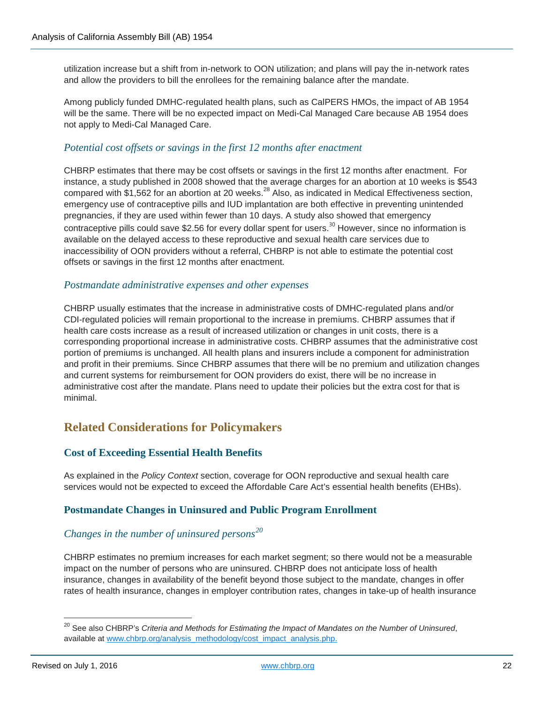utilization increase but a shift from in-network to OON utilization; and plans will pay the in-network rates and allow the providers to bill the enrollees for the remaining balance after the mandate.

Among publicly funded DMHC-regulated health plans, such as CalPERS HMOs, the impact of AB 1954 will be the same. There will be no expected impact on Medi-Cal Managed Care because AB 1954 does not apply to Medi-Cal Managed Care.

#### *Potential cost offsets or savings in the first 12 months after enactment*

CHBRP estimates that there may be cost offsets or savings in the first 12 months after enactment. For instance, a study published in 2008 showed that the average charges for an abortion at 10 weeks is \$543 compared with \$1,562 for an abortion at 20 weeks.<sup>28</sup> Also, as indicated in Medical Effectiveness section, emergency use of contraceptive pills and IUD implantation are both effective in preventing unintended pregnancies, if they are used within fewer than 10 days. A study also showed that emergency contraceptive pills could save \$2.56 for every dollar spent for users.<sup>30</sup> However, since no information is available on the delayed access to these reproductive and sexual health care services due to inaccessibility of OON providers without a referral, CHBRP is not able to estimate the potential cost offsets or savings in the first 12 months after enactment.

#### *Postmandate administrative expenses and other expenses*

CHBRP usually estimates that the increase in administrative costs of DMHC-regulated plans and/or CDI-regulated policies will remain proportional to the increase in premiums. CHBRP assumes that if health care costs increase as a result of increased utilization or changes in unit costs, there is a corresponding proportional increase in administrative costs. CHBRP assumes that the administrative cost portion of premiums is unchanged. All health plans and insurers include a component for administration and profit in their premiums. Since CHBRP assumes that there will be no premium and utilization changes and current systems for reimbursement for OON providers do exist, there will be no increase in administrative cost after the mandate. Plans need to update their policies but the extra cost for that is minimal.

## **Related Considerations for Policymakers**

#### **Cost of Exceeding Essential Health Benefits**

As explained in the *Policy Context* section, coverage for OON reproductive and sexual health care services would not be expected to exceed the Affordable Care Act's essential health benefits (EHBs).

#### **Postmandate Changes in Uninsured and Public Program Enrollment**

#### *Changes in the number of uninsured persons[20](#page-33-0)*

CHBRP estimates no premium increases for each market segment; so there would not be a measurable impact on the number of persons who are uninsured. CHBRP does not anticipate loss of health insurance, changes in availability of the benefit beyond those subject to the mandate, changes in offer rates of health insurance, changes in employer contribution rates, changes in take-up of health insurance

<span id="page-33-0"></span> <sup>20</sup> See also CHBRP's *Criteria and Methods for Estimating the Impact of Mandates on the Number of Uninsured*, available at [www.chbrp.org/analysis\\_methodology/cost\\_impact\\_analysis.php.](http://www.chbrp.org/analysis_methodology/cost_impact_analysis.php)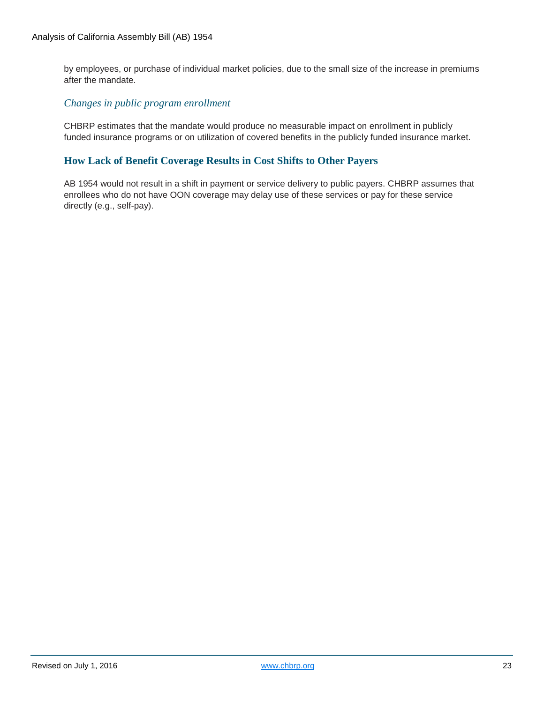by employees, or purchase of individual market policies, due to the small size of the increase in premiums after the mandate.

#### *Changes in public program enrollment*

CHBRP estimates that the mandate would produce no measurable impact on enrollment in publicly funded insurance programs or on utilization of covered benefits in the publicly funded insurance market.

#### **How Lack of Benefit Coverage Results in Cost Shifts to Other Payers**

AB 1954 would not result in a shift in payment or service delivery to public payers. CHBRP assumes that enrollees who do not have OON coverage may delay use of these services or pay for these service directly (e.g., self-pay).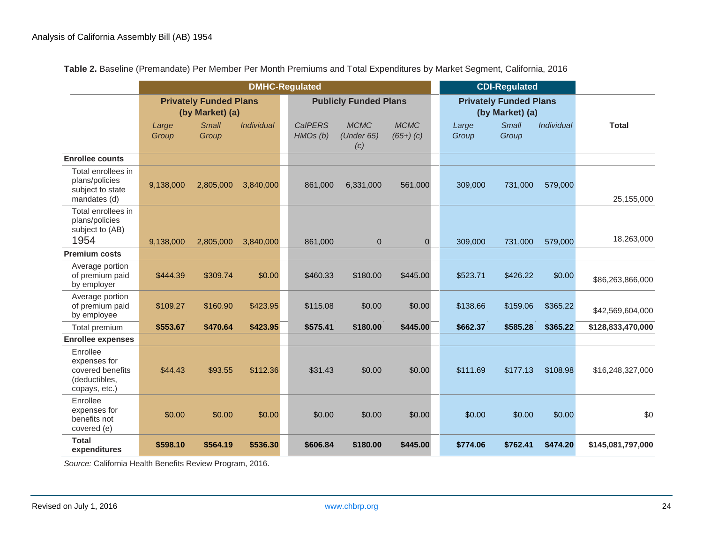**Table 2.** Baseline (Premandate) Per Member Per Month Premiums and Total Expenditures by Market Segment, California, 2016

|                                                                                | <b>DMHC-Regulated</b> |                                                  |                   |                           |                                  |                            | <b>CDI-Regulated</b> |                                                  |            |                   |
|--------------------------------------------------------------------------------|-----------------------|--------------------------------------------------|-------------------|---------------------------|----------------------------------|----------------------------|----------------------|--------------------------------------------------|------------|-------------------|
|                                                                                |                       | <b>Privately Funded Plans</b><br>(by Market) (a) |                   |                           | <b>Publicly Funded Plans</b>     |                            |                      | <b>Privately Funded Plans</b><br>(by Market) (a) |            |                   |
|                                                                                | Large<br>Group        | <b>Small</b><br>Group                            | <b>Individual</b> | <b>CaIPERS</b><br>HMOs(b) | <b>MCMC</b><br>(Under 65)<br>(c) | <b>MCMC</b><br>$(65+) (c)$ | Large<br>Group       | <b>Small</b><br>Group                            | Individual | <b>Total</b>      |
| <b>Enrollee counts</b>                                                         |                       |                                                  |                   |                           |                                  |                            |                      |                                                  |            |                   |
| Total enrollees in<br>plans/policies<br>subject to state<br>mandates (d)       | 9,138,000             | 2,805,000                                        | 3,840,000         | 861,000                   | 6,331,000                        | 561,000                    | 309,000              | 731,000                                          | 579,000    | 25,155,000        |
| Total enrollees in<br>plans/policies<br>subject to (AB)<br>1954                | 9,138,000             | 2,805,000                                        | 3,840,000         | 861,000                   | $\Omega$                         | $\Omega$                   | 309,000              | 731,000                                          | 579,000    | 18,263,000        |
| <b>Premium costs</b>                                                           |                       |                                                  |                   |                           |                                  |                            |                      |                                                  |            |                   |
| Average portion<br>of premium paid<br>by employer                              | \$444.39              | \$309.74                                         | \$0.00            | \$460.33                  | \$180.00                         | \$445.00                   | \$523.71             | \$426.22                                         | \$0.00     | \$86,263,866,000  |
| Average portion<br>of premium paid<br>by employee                              | \$109.27              | \$160.90                                         | \$423.95          | \$115.08                  | \$0.00                           | \$0.00                     | \$138.66             | \$159.06                                         | \$365.22   | \$42,569,604,000  |
| Total premium                                                                  | \$553.67              | \$470.64                                         | \$423.95          | \$575.41                  | \$180.00                         | \$445.00                   | \$662.37             | \$585.28                                         | \$365.22   | \$128,833,470,000 |
| <b>Enrollee expenses</b>                                                       |                       |                                                  |                   |                           |                                  |                            |                      |                                                  |            |                   |
| Enrollee<br>expenses for<br>covered benefits<br>(deductibles,<br>copays, etc.) | \$44.43               | \$93.55                                          | \$112.36          | \$31.43                   | \$0.00                           | \$0.00                     | \$111.69             | \$177.13                                         | \$108.98   | \$16,248,327,000  |
| Enrollee<br>expenses for<br>benefits not<br>covered (e)                        | \$0.00                | \$0.00                                           | \$0.00            | \$0.00                    | \$0.00                           | \$0.00                     | \$0.00               | \$0.00                                           | \$0.00     | \$0               |
| <b>Total</b><br>expenditures                                                   | \$598.10              | \$564.19                                         | \$536.30          | \$606.84                  | \$180.00                         | \$445.00                   | \$774.06             | \$762.41                                         | \$474.20   | \$145,081,797,000 |

*Source:* California Health Benefits Review Program, 2016.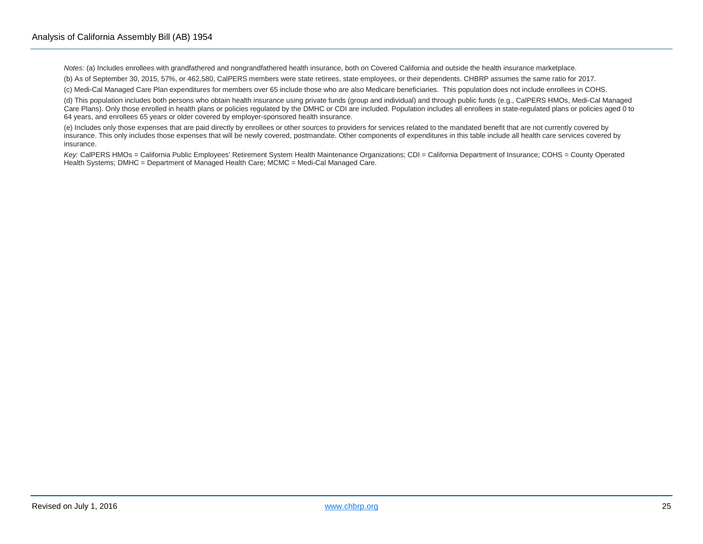*Notes:* (a) Includes enrollees with grandfathered and nongrandfathered health insurance, both on Covered California and outside the health insurance marketplace.

(b) As of September 30, 2015, 57%, or 462,580, CalPERS members were state retirees, state employees, or their dependents. CHBRP assumes the same ratio for 2017.

(c) Medi-Cal Managed Care Plan expenditures for members over 65 include those who are also Medicare beneficiaries. This population does not include enrollees in COHS.

(d) This population includes both persons who obtain health insurance using private funds (group and individual) and through public funds (e.g., CalPERS HMOs, Medi-Cal Managed Care Plans). Only those enrolled in health plans or policies regulated by the DMHC or CDI are included. Population includes all enrollees in state-regulated plans or policies aged 0 to 64 years, and enrollees 65 years or older covered by employer-sponsored health insurance.

(e) Includes only those expenses that are paid directly by enrollees or other sources to providers for services related to the mandated benefit that are not currently covered by insurance. This only includes those expenses that will be newly covered, postmandate. Other components of expenditures in this table include all health care services covered by insurance.

Key: CalPERS HMOs = California Public Employees' Retirement System Health Maintenance Organizations; CDI = California Department of Insurance; COHS = County Operated Health Systems; DMHC = Department of Managed Health Care; MCMC = Medi-Cal Managed Care.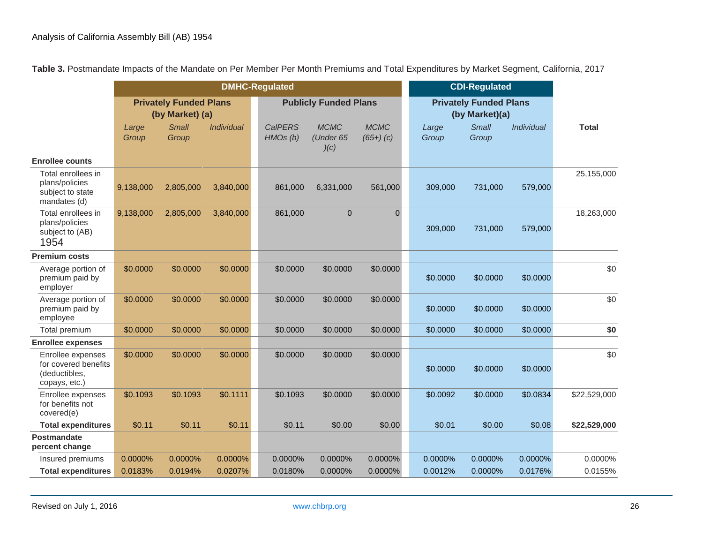**Table 3.** Postmandate Impacts of the Mandate on Per Member Per Month Premiums and Total Expenditures by Market Segment, California, 2017

<span id="page-37-0"></span>

|                                                                             | <b>DMHC-Regulated</b>                            |                       |            |                           |                                  | <b>CDI-Regulated</b>       |                |                                                 |                          |              |
|-----------------------------------------------------------------------------|--------------------------------------------------|-----------------------|------------|---------------------------|----------------------------------|----------------------------|----------------|-------------------------------------------------|--------------------------|--------------|
|                                                                             | <b>Privately Funded Plans</b><br>(by Market) (a) |                       |            |                           | <b>Publicly Funded Plans</b>     |                            |                | <b>Privately Funded Plans</b><br>(by Market)(a) |                          |              |
|                                                                             | Large<br>Group                                   | <b>Small</b><br>Group | Individual | <b>CalPERS</b><br>HMOs(b) | <b>MCMC</b><br>(Under 65<br>)(c) | <b>MCMC</b><br>$(65+) (c)$ | Large<br>Group | <b>Small</b><br>Group                           | <i><b>Individual</b></i> | <b>Total</b> |
| <b>Enrollee counts</b>                                                      |                                                  |                       |            |                           |                                  |                            |                |                                                 |                          |              |
| Total enrollees in<br>plans/policies<br>subject to state<br>mandates (d)    | 9,138,000                                        | 2,805,000             | 3,840,000  | 861,000                   | 6,331,000                        | 561,000                    | 309,000        | 731,000                                         | 579,000                  | 25,155,000   |
| Total enrollees in<br>plans/policies<br>subject to (AB)<br>1954             | 9,138,000                                        | 2,805,000             | 3,840,000  | 861,000                   | 0                                | $\mathbf{0}$               | 309,000        | 731,000                                         | 579,000                  | 18,263,000   |
| <b>Premium costs</b>                                                        |                                                  |                       |            |                           |                                  |                            |                |                                                 |                          |              |
| Average portion of<br>premium paid by<br>employer                           | \$0.0000                                         | \$0.0000              | \$0.0000   | \$0.0000                  | \$0.0000                         | \$0.0000                   | \$0.0000       | \$0.0000                                        | \$0.0000                 | \$0          |
| Average portion of<br>premium paid by<br>employee                           | \$0.0000                                         | \$0.0000              | \$0.0000   | \$0.0000                  | \$0.0000                         | \$0.0000                   | \$0.0000       | \$0.0000                                        | \$0.0000                 | \$0          |
| Total premium                                                               | \$0.0000                                         | \$0.0000              | \$0.0000   | \$0,0000                  | \$0.0000                         | \$0.0000                   | \$0.0000       | \$0.0000                                        | \$0.0000                 | \$0          |
| <b>Enrollee expenses</b>                                                    |                                                  |                       |            |                           |                                  |                            |                |                                                 |                          |              |
| Enrollee expenses<br>for covered benefits<br>(deductibles,<br>copays, etc.) | \$0.0000                                         | \$0.0000              | \$0.0000   | \$0.0000                  | \$0.0000                         | \$0.0000                   | \$0.0000       | \$0.0000                                        | \$0.0000                 | \$0          |
| Enrollee expenses<br>for benefits not<br>covered(e)                         | \$0.1093                                         | \$0.1093              | \$0.1111   | \$0.1093                  | \$0.0000                         | \$0.0000                   | \$0.0092       | \$0.0000                                        | \$0.0834                 | \$22,529,000 |
| <b>Total expenditures</b>                                                   | \$0.11                                           | \$0.11                | \$0.11     | \$0.11                    | \$0.00                           | \$0.00                     | \$0.01         | \$0.00                                          | \$0.08                   | \$22,529,000 |
| Postmandate<br>percent change                                               |                                                  |                       |            |                           |                                  |                            |                |                                                 |                          |              |
| Insured premiums                                                            | 0.0000%                                          | 0.0000%               | 0.0000%    | 0.0000%                   | 0.0000%                          | 0.0000%                    | 0.0000%        | 0.0000%                                         | 0.0000%                  | 0.0000%      |
| <b>Total expenditures</b>                                                   | 0.0183%                                          | 0.0194%               | 0.0207%    | 0.0180%                   | 0.0000%                          | 0.0000%                    | 0.0012%        | 0.0000%                                         | 0.0176%                  | 0.0155%      |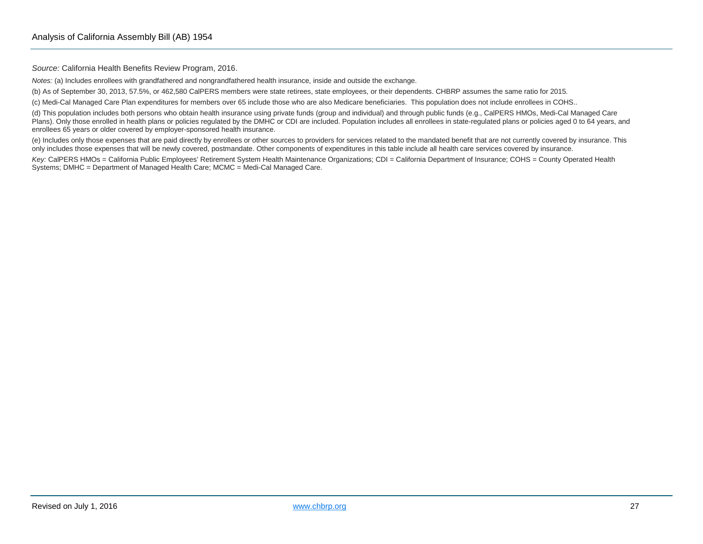*Source:* California Health Benefits Review Program, 2016.

*Notes:* (a) Includes enrollees with grandfathered and nongrandfathered health insurance, inside and outside the exchange.

(b) As of September 30, 2013, 57.5%, or 462,580 CalPERS members were state retirees, state employees, or their dependents. CHBRP assumes the same ratio for 2015.

(c) Medi-Cal Managed Care Plan expenditures for members over 65 include those who are also Medicare beneficiaries. This population does not include enrollees in COHS..

(d) This population includes both persons who obtain health insurance using private funds (group and individual) and through public funds (e.g., CalPERS HMOs, Medi-Cal Managed Care Plans). Only those enrolled in health plans or policies regulated by the DMHC or CDI are included. Population includes all enrollees in state-regulated plans or policies aged 0 to 64 years, and enrollees 65 years or older covered by employer-sponsored health insurance.

(e) Includes only those expenses that are paid directly by enrollees or other sources to providers for services related to the mandated benefit that are not currently covered by insurance. This only includes those expenses that will be newly covered, postmandate. Other components of expenditures in this table include all health care services covered by insurance.

Key: CalPERS HMOs = California Public Employees' Retirement System Health Maintenance Organizations; CDI = California Department of Insurance; COHS = County Operated Health Systems; DMHC = Department of Managed Health Care; MCMC = Medi-Cal Managed Care.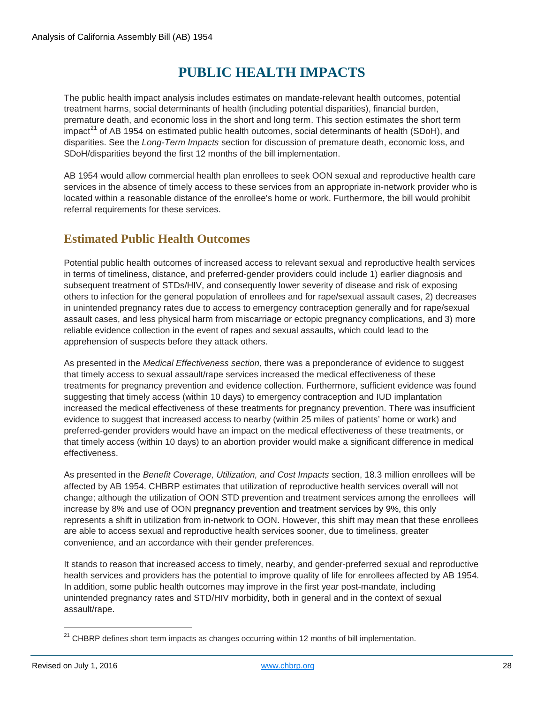# **PUBLIC HEALTH IMPACTS**

The public health impact analysis includes estimates on mandate-relevant health outcomes, potential treatment harms, social determinants of health (including potential disparities), financial burden, premature death, and economic loss in the short and long term. This section estimates the short term impact<sup>[21](#page-39-0)</sup> of AB 1954 on estimated public health outcomes, social determinants of health (SDoH), and disparities. See the *Long-Term Impacts* section for discussion of premature death, economic loss, and SDoH/disparities beyond the first 12 months of the bill implementation.

AB 1954 would allow commercial health plan enrollees to seek OON sexual and reproductive health care services in the absence of timely access to these services from an appropriate in-network provider who is located within a reasonable distance of the enrollee's home or work. Furthermore, the bill would prohibit referral requirements for these services.

## **Estimated Public Health Outcomes**

Potential public health outcomes of increased access to relevant sexual and reproductive health services in terms of timeliness, distance, and preferred-gender providers could include 1) earlier diagnosis and subsequent treatment of STDs/HIV, and consequently lower severity of disease and risk of exposing others to infection for the general population of enrollees and for rape/sexual assault cases, 2) decreases in unintended pregnancy rates due to access to emergency contraception generally and for rape/sexual assault cases, and less physical harm from miscarriage or ectopic pregnancy complications, and 3) more reliable evidence collection in the event of rapes and sexual assaults, which could lead to the apprehension of suspects before they attack others.

As presented in the *Medical Effectiveness section,* there was a preponderance of evidence to suggest that timely access to sexual assault/rape services increased the medical effectiveness of these treatments for pregnancy prevention and evidence collection. Furthermore, sufficient evidence was found suggesting that timely access (within 10 days) to emergency contraception and IUD implantation increased the medical effectiveness of these treatments for pregnancy prevention. There was insufficient evidence to suggest that increased access to nearby (within 25 miles of patients' home or work) and preferred-gender providers would have an impact on the medical effectiveness of these treatments, or that timely access (within 10 days) to an abortion provider would make a significant difference in medical effectiveness.

As presented in the *Benefit Coverage, Utilization, and Cost Impacts* section, 18.3 million enrollees will be affected by AB 1954. CHBRP estimates that utilization of reproductive health services overall will not change; although the utilization of OON STD prevention and treatment services among the enrollees will increase by 8% and use of OON pregnancy prevention and treatment services by 9%, this only represents a shift in utilization from in-network to OON. However, this shift may mean that these enrollees are able to access sexual and reproductive health services sooner, due to timeliness, greater convenience, and an accordance with their gender preferences.

It stands to reason that increased access to timely, nearby, and gender-preferred sexual and reproductive health services and providers has the potential to improve quality of life for enrollees affected by AB 1954. In addition, some public health outcomes may improve in the first year post-mandate, including unintended pregnancy rates and STD/HIV morbidity, both in general and in the context of sexual assault/rape.

<span id="page-39-0"></span> $21$  CHBRP defines short term impacts as changes occurring within 12 months of bill implementation.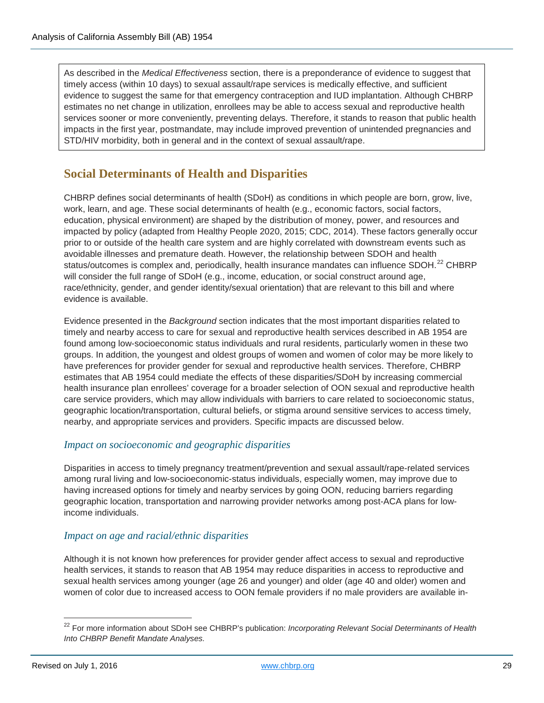As described in the *Medical Effectiveness* section, there is a preponderance of evidence to suggest that timely access (within 10 days) to sexual assault/rape services is medically effective, and sufficient evidence to suggest the same for that emergency contraception and IUD implantation. Although CHBRP estimates no net change in utilization, enrollees may be able to access sexual and reproductive health services sooner or more conveniently, preventing delays. Therefore, it stands to reason that public health impacts in the first year, postmandate, may include improved prevention of unintended pregnancies and STD/HIV morbidity, both in general and in the context of sexual assault/rape.

## **Social Determinants of Health and Disparities**

CHBRP defines social determinants of health (SDoH) as conditions in which people are born, grow, live, work, learn, and age. These social determinants of health (e.g., economic factors, social factors, education, physical environment) are shaped by the distribution of money, power, and resources and impacted by policy (adapted from Healthy People 2020, 2015; CDC, 2014). These factors generally occur prior to or outside of the health care system and are highly correlated with downstream events such as avoidable illnesses and premature death. However, the relationship between SDOH and health status/outcomes is complex and, periodically, health insurance mandates can influence SDOH.<sup>[22](#page-40-0)</sup> CHBRP will consider the full range of SDoH (e.g., income, education, or social construct around age, race/ethnicity, gender, and gender identity/sexual orientation) that are relevant to this bill and where evidence is available.

Evidence presented in the *Background* section indicates that the most important disparities related to timely and nearby access to care for sexual and reproductive health services described in AB 1954 are found among low-socioeconomic status individuals and rural residents, particularly women in these two groups. In addition, the youngest and oldest groups of women and women of color may be more likely to have preferences for provider gender for sexual and reproductive health services. Therefore, CHBRP estimates that AB 1954 could mediate the effects of these disparities/SDoH by increasing commercial health insurance plan enrollees' coverage for a broader selection of OON sexual and reproductive health care service providers, which may allow individuals with barriers to care related to socioeconomic status, geographic location/transportation, cultural beliefs, or stigma around sensitive services to access timely, nearby, and appropriate services and providers. Specific impacts are discussed below.

#### *Impact on socioeconomic and geographic disparities*

Disparities in access to timely pregnancy treatment/prevention and sexual assault/rape-related services among rural living and low-socioeconomic-status individuals, especially women, may improve due to having increased options for timely and nearby services by going OON, reducing barriers regarding geographic location, transportation and narrowing provider networks among post-ACA plans for lowincome individuals.

#### *Impact on age and racial/ethnic disparities*

Although it is not known how preferences for provider gender affect access to sexual and reproductive health services, it stands to reason that AB 1954 may reduce disparities in access to reproductive and sexual health services among younger (age 26 and younger) and older (age 40 and older) women and women of color due to increased access to OON female providers if no male providers are available in-

<span id="page-40-0"></span> <sup>22</sup> For more information about SDoH see CHBRP's publication: *Incorporating Relevant Social Determinants of Health Into CHBRP Benefit Mandate Analyses.*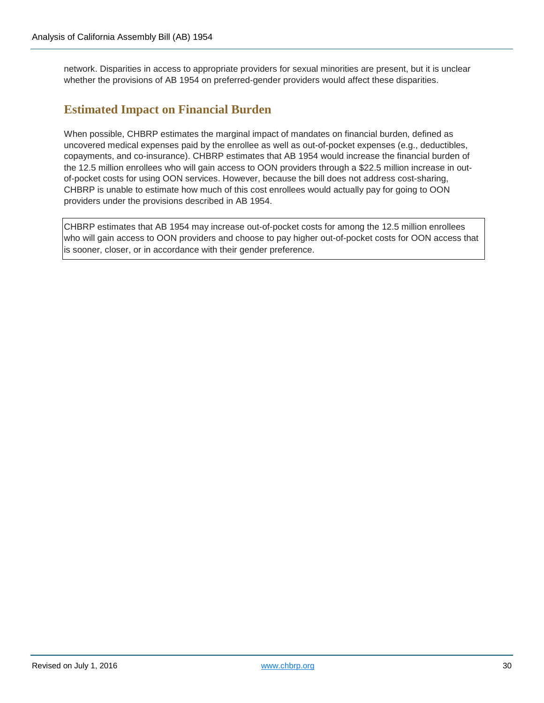network. Disparities in access to appropriate providers for sexual minorities are present, but it is unclear whether the provisions of AB 1954 on preferred-gender providers would affect these disparities.

## **Estimated Impact on Financial Burden**

When possible, CHBRP estimates the marginal impact of mandates on financial burden, defined as uncovered medical expenses paid by the enrollee as well as out-of-pocket expenses (e.g., deductibles, copayments, and co-insurance). CHBRP estimates that AB 1954 would increase the financial burden of the 12.5 million enrollees who will gain access to OON providers through a \$22.5 million increase in outof-pocket costs for using OON services. However, because the bill does not address cost-sharing, CHBRP is unable to estimate how much of this cost enrollees would actually pay for going to OON providers under the provisions described in AB 1954.

CHBRP estimates that AB 1954 may increase out-of-pocket costs for among the 12.5 million enrollees who will gain access to OON providers and choose to pay higher out-of-pocket costs for OON access that is sooner, closer, or in accordance with their gender preference.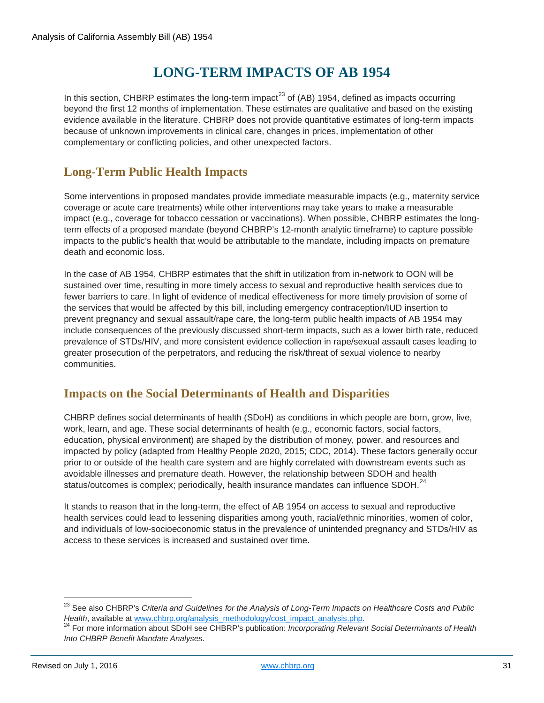# **LONG-TERM IMPACTS OF AB 1954**

In this section, CHBRP estimates the long-term impact<sup>[23](#page-42-0)</sup> of (AB) [1954,](#page-1-2) defined as impacts occurring beyond the first 12 months of implementation. These estimates are qualitative and based on the existing evidence available in the literature. CHBRP does not provide quantitative estimates of long-term impacts because of unknown improvements in clinical care, changes in prices, implementation of other complementary or conflicting policies, and other unexpected factors.

# **Long-Term Public Health Impacts**

Some interventions in proposed mandates provide immediate measurable impacts (e.g., maternity service coverage or acute care treatments) while other interventions may take years to make a measurable impact (e.g., coverage for tobacco cessation or vaccinations). When possible, CHBRP estimates the longterm effects of a proposed mandate (beyond CHBRP's 12-month analytic timeframe) to capture possible impacts to the public's health that would be attributable to the mandate, including impacts on premature death and economic loss.

In the case of AB 1954, CHBRP estimates that the shift in utilization from in-network to OON will be sustained over time, resulting in more timely access to sexual and reproductive health services due to fewer barriers to care. In light of evidence of medical effectiveness for more timely provision of some of the services that would be affected by this bill, including emergency contraception/IUD insertion to prevent pregnancy and sexual assault/rape care, the long-term public health impacts of AB 1954 may include consequences of the previously discussed short-term impacts, such as a lower birth rate, reduced prevalence of STDs/HIV, and more consistent evidence collection in rape/sexual assault cases leading to greater prosecution of the perpetrators, and reducing the risk/threat of sexual violence to nearby communities.

## **Impacts on the Social Determinants of Health and Disparities**

CHBRP defines social determinants of health (SDoH) as conditions in which people are born, grow, live, work, learn, and age. These social determinants of health (e.g., economic factors, social factors, education, physical environment) are shaped by the distribution of money, power, and resources and impacted by policy (adapted from Healthy People 2020, 2015; CDC, 2014). These factors generally occur prior to or outside of the health care system and are highly correlated with downstream events such as avoidable illnesses and premature death. However, the relationship between SDOH and health status/outcomes is complex; periodically, health insurance mandates can influence SDOH.<sup>[24](#page-42-1)</sup>

It stands to reason that in the long-term, the effect of AB 1954 on access to sexual and reproductive health services could lead to lessening disparities among youth, racial/ethnic minorities, women of color, and individuals of low-socioeconomic status in the prevalence of unintended pregnancy and STDs/HIV as access to these services is increased and sustained over time.

<span id="page-42-0"></span> <sup>23</sup> See also CHBRP's *Criteria and Guidelines for the Analysis of Long-Term Impacts on Healthcare Costs and Public Health*, available at [www.chbrp.org/analysis\\_methodology/cost\\_impact\\_analysis.php](http://www.chbrp.org/analysis_methodology/cost_impact_analysis.php)*.*

<span id="page-42-1"></span><sup>24</sup> For more information about SDoH see CHBRP's publication: *Incorporating Relevant Social Determinants of Health Into CHBRP Benefit Mandate Analyses.*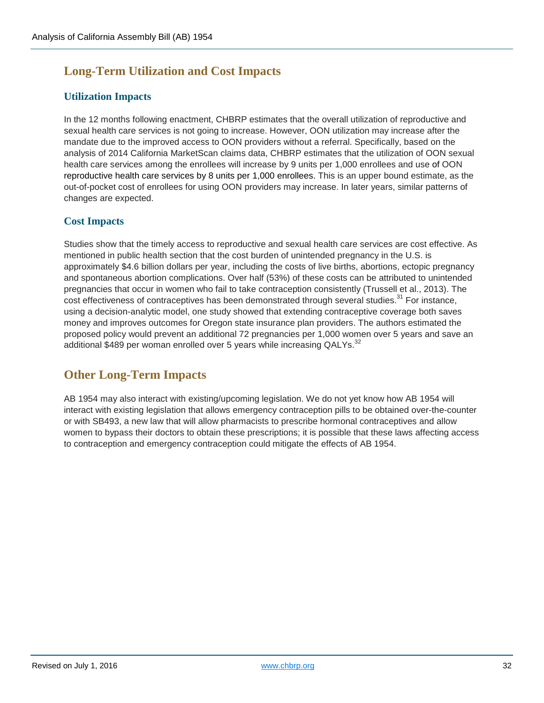# **Long-Term Utilization and Cost Impacts**

#### **Utilization Impacts**

In the 12 months following enactment, CHBRP estimates that the overall utilization of reproductive and sexual health care services is not going to increase. However, OON utilization may increase after the mandate due to the improved access to OON providers without a referral. Specifically, based on the analysis of 2014 California MarketScan claims data, CHBRP estimates that the utilization of OON sexual health care services among the enrollees will increase by 9 units per 1,000 enrollees and use of OON reproductive health care services by 8 units per 1,000 enrollees. This is an upper bound estimate, as the out-of-pocket cost of enrollees for using OON providers may increase. In later years, similar patterns of changes are expected.

#### **Cost Impacts**

Studies show that the timely access to reproductive and sexual health care services are cost effective. As mentioned in public health section that the cost burden of unintended pregnancy in the U.S. is approximately \$4.6 billion dollars per year, including the costs of live births, abortions, ectopic pregnancy and spontaneous abortion complications. Over half (53%) of these costs can be attributed to unintended pregnancies that occur in women who fail to take contraception consistently (Trussell et al., 2013). The cost effectiveness of contraceptives has been demonstrated through several studies.<sup>31</sup> For instance, using a decision-analytic model, one study showed that extending contraceptive coverage both saves money and improves outcomes for Oregon state insurance plan providers. The authors estimated the proposed policy would prevent an additional 72 pregnancies per 1,000 women over 5 years and save an additional \$489 per woman enrolled over 5 years while increasing QALYs.<sup>32</sup>

# **Other Long-Term Impacts**

AB 1954 may also interact with existing/upcoming legislation. We do not yet know how AB 1954 will interact with existing legislation that allows emergency contraception pills to be obtained over-the-counter or with SB493, a new law that will allow pharmacists to prescribe hormonal contraceptives and allow women to bypass their doctors to obtain these prescriptions; it is possible that these laws affecting access to contraception and emergency contraception could mitigate the effects of AB 1954.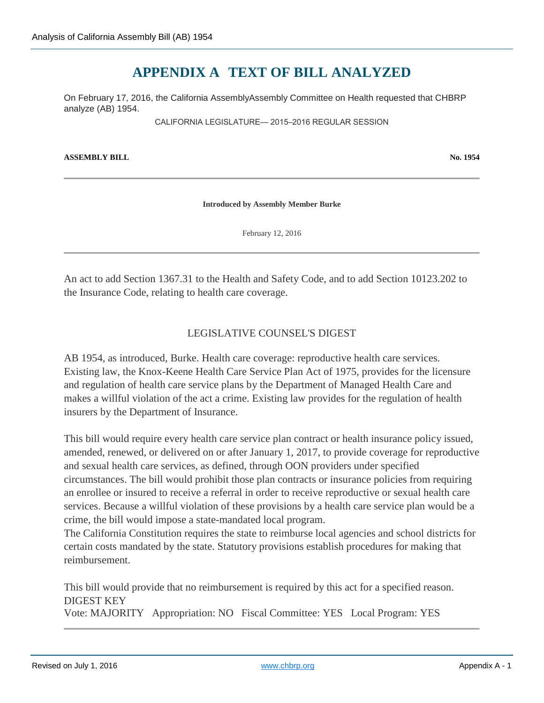# **APPENDIX A TEXT OF BILL ANALYZED**

On February 17, 2016, the California AssemblyAssembly Committee on Health requested that CHBRP analyze (AB) [1954.](#page-1-2)

CALIFORNIA LEGISLATURE— 2015–2016 REGULAR SESSION

#### **ASSEMBLY BILL** No. 1954

**Introduced by Assembly Member Burke**

February 12, 2016

An act to add Section 1367.31 to the Health and Safety Code, and to add Section 10123.202 to the Insurance Code, relating to health care coverage.

#### LEGISLATIVE COUNSEL'S DIGEST

AB 1954, as introduced, Burke. Health care coverage: reproductive health care services. Existing law, the Knox-Keene Health Care Service Plan Act of 1975, provides for the licensure and regulation of health care service plans by the Department of Managed Health Care and makes a willful violation of the act a crime. Existing law provides for the regulation of health insurers by the Department of Insurance.

This bill would require every health care service plan contract or health insurance policy issued, amended, renewed, or delivered on or after January 1, 2017, to provide coverage for reproductive and sexual health care services, as defined, through OON providers under specified circumstances. The bill would prohibit those plan contracts or insurance policies from requiring an enrollee or insured to receive a referral in order to receive reproductive or sexual health care services. Because a willful violation of these provisions by a health care service plan would be a crime, the bill would impose a state-mandated local program.

The California Constitution requires the state to reimburse local agencies and school districts for certain costs mandated by the state. Statutory provisions establish procedures for making that reimbursement.

This bill would provide that no reimbursement is required by this act for a specified reason. DIGEST KEY Vote: MAJORITY Appropriation: NO Fiscal Committee: YES Local Program: YES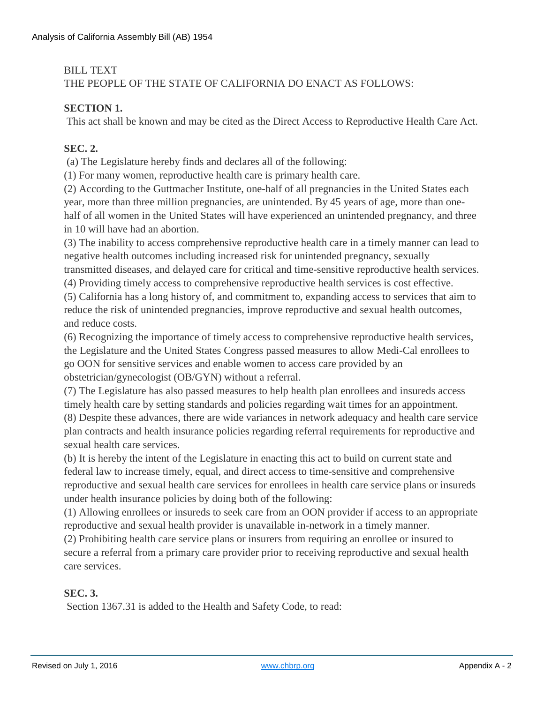#### BILL TEXT THE PEOPLE OF THE STATE OF CALIFORNIA DO ENACT AS FOLLOWS:

#### **SECTION 1.**

This act shall be known and may be cited as the Direct Access to Reproductive Health Care Act.

#### **SEC. 2.**

(a) The Legislature hereby finds and declares all of the following:

(1) For many women, reproductive health care is primary health care.

(2) According to the Guttmacher Institute, one-half of all pregnancies in the United States each year, more than three million pregnancies, are unintended. By 45 years of age, more than onehalf of all women in the United States will have experienced an unintended pregnancy, and three in 10 will have had an abortion.

(3) The inability to access comprehensive reproductive health care in a timely manner can lead to negative health outcomes including increased risk for unintended pregnancy, sexually transmitted diseases, and delayed care for critical and time-sensitive reproductive health services.

(4) Providing timely access to comprehensive reproductive health services is cost effective.

(5) California has a long history of, and commitment to, expanding access to services that aim to reduce the risk of unintended pregnancies, improve reproductive and sexual health outcomes, and reduce costs.

(6) Recognizing the importance of timely access to comprehensive reproductive health services, the Legislature and the United States Congress passed measures to allow Medi-Cal enrollees to go OON for sensitive services and enable women to access care provided by an obstetrician/gynecologist (OB/GYN) without a referral.

(7) The Legislature has also passed measures to help health plan enrollees and insureds access timely health care by setting standards and policies regarding wait times for an appointment.

(8) Despite these advances, there are wide variances in network adequacy and health care service plan contracts and health insurance policies regarding referral requirements for reproductive and sexual health care services.

(b) It is hereby the intent of the Legislature in enacting this act to build on current state and federal law to increase timely, equal, and direct access to time-sensitive and comprehensive reproductive and sexual health care services for enrollees in health care service plans or insureds under health insurance policies by doing both of the following:

(1) Allowing enrollees or insureds to seek care from an OON provider if access to an appropriate reproductive and sexual health provider is unavailable in-network in a timely manner.

(2) Prohibiting health care service plans or insurers from requiring an enrollee or insured to secure a referral from a primary care provider prior to receiving reproductive and sexual health care services.

#### **SEC. 3.**

Section 1367.31 is added to the Health and Safety Code, to read: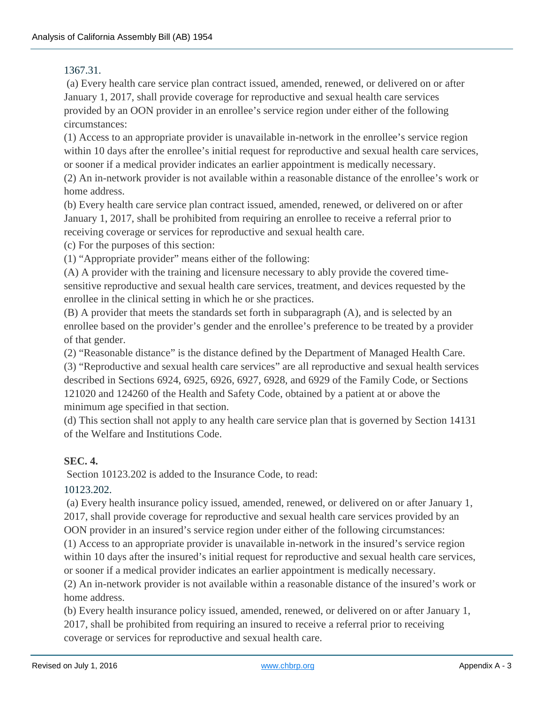#### 1367.31.

(a) Every health care service plan contract issued, amended, renewed, or delivered on or after January 1, 2017, shall provide coverage for reproductive and sexual health care services provided by an OON provider in an enrollee's service region under either of the following circumstances:

(1) Access to an appropriate provider is unavailable in-network in the enrollee's service region within 10 days after the enrollee's initial request for reproductive and sexual health care services, or sooner if a medical provider indicates an earlier appointment is medically necessary.

(2) An in-network provider is not available within a reasonable distance of the enrollee's work or home address.

(b) Every health care service plan contract issued, amended, renewed, or delivered on or after January 1, 2017, shall be prohibited from requiring an enrollee to receive a referral prior to receiving coverage or services for reproductive and sexual health care.

(c) For the purposes of this section:

(1) "Appropriate provider" means either of the following:

(A) A provider with the training and licensure necessary to ably provide the covered timesensitive reproductive and sexual health care services, treatment, and devices requested by the enrollee in the clinical setting in which he or she practices.

(B) A provider that meets the standards set forth in subparagraph (A), and is selected by an enrollee based on the provider's gender and the enrollee's preference to be treated by a provider of that gender.

(2) "Reasonable distance" is the distance defined by the Department of Managed Health Care.

(3) "Reproductive and sexual health care services" are all reproductive and sexual health services described in Sections 6924, 6925, 6926, 6927, 6928, and 6929 of the Family Code, or Sections 121020 and 124260 of the Health and Safety Code, obtained by a patient at or above the minimum age specified in that section.

(d) This section shall not apply to any health care service plan that is governed by Section 14131 of the Welfare and Institutions Code.

#### **SEC. 4.**

Section 10123.202 is added to the Insurance Code, to read:

10123.202.

(a) Every health insurance policy issued, amended, renewed, or delivered on or after January 1, 2017, shall provide coverage for reproductive and sexual health care services provided by an OON provider in an insured's service region under either of the following circumstances:

(1) Access to an appropriate provider is unavailable in-network in the insured's service region within 10 days after the insured's initial request for reproductive and sexual health care services, or sooner if a medical provider indicates an earlier appointment is medically necessary.

(2) An in-network provider is not available within a reasonable distance of the insured's work or home address.

(b) Every health insurance policy issued, amended, renewed, or delivered on or after January 1, 2017, shall be prohibited from requiring an insured to receive a referral prior to receiving coverage or services for reproductive and sexual health care.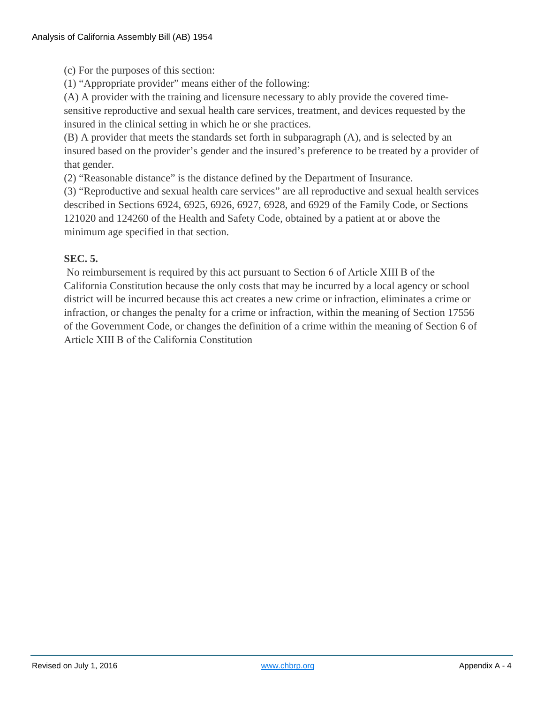(c) For the purposes of this section:

(1) "Appropriate provider" means either of the following:

(A) A provider with the training and licensure necessary to ably provide the covered timesensitive reproductive and sexual health care services, treatment, and devices requested by the insured in the clinical setting in which he or she practices.

(B) A provider that meets the standards set forth in subparagraph (A), and is selected by an insured based on the provider's gender and the insured's preference to be treated by a provider of that gender.

(2) "Reasonable distance" is the distance defined by the Department of Insurance.

(3) "Reproductive and sexual health care services" are all reproductive and sexual health services described in Sections 6924, 6925, 6926, 6927, 6928, and 6929 of the Family Code, or Sections 121020 and 124260 of the Health and Safety Code, obtained by a patient at or above the minimum age specified in that section.

#### **SEC. 5.**

No reimbursement is required by this act pursuant to Section 6 of Article XIII B of the California Constitution because the only costs that may be incurred by a local agency or school district will be incurred because this act creates a new crime or infraction, eliminates a crime or infraction, or changes the penalty for a crime or infraction, within the meaning of Section 17556 of the Government Code, or changes the definition of a crime within the meaning of Section 6 of Article XIII B of the California Constitution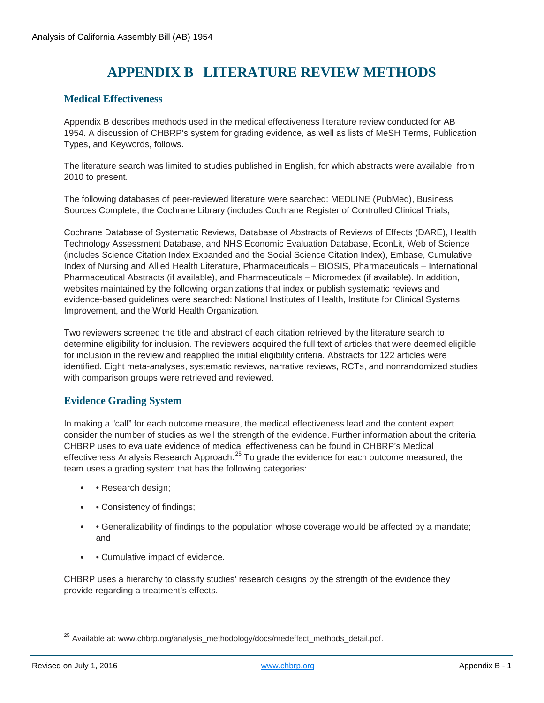# **APPENDIX B LITERATURE REVIEW METHODS**

#### **Medical Effectiveness**

Appendix B describes methods used in the medical effectiveness literature review conducted for AB 1954. A discussion of CHBRP's system for grading evidence, as well as lists of MeSH Terms, Publication Types, and Keywords, follows.

The literature search was limited to studies published in English, for which abstracts were available, from 2010 to present.

The following databases of peer-reviewed literature were searched: MEDLINE (PubMed), Business Sources Complete, the Cochrane Library (includes Cochrane Register of Controlled Clinical Trials,

Cochrane Database of Systematic Reviews, Database of Abstracts of Reviews of Effects (DARE), Health Technology Assessment Database, and NHS Economic Evaluation Database, EconLit, Web of Science (includes Science Citation Index Expanded and the Social Science Citation Index), Embase, Cumulative Index of Nursing and Allied Health Literature, Pharmaceuticals – BIOSIS, Pharmaceuticals – International Pharmaceutical Abstracts (if available), and Pharmaceuticals – Micromedex (if available). In addition, websites maintained by the following organizations that index or publish systematic reviews and evidence-based guidelines were searched: National Institutes of Health, Institute for Clinical Systems Improvement, and the World Health Organization.

Two reviewers screened the title and abstract of each citation retrieved by the literature search to determine eligibility for inclusion. The reviewers acquired the full text of articles that were deemed eligible for inclusion in the review and reapplied the initial eligibility criteria. Abstracts for 122 articles were identified. Eight meta-analyses, systematic reviews, narrative reviews, RCTs, and nonrandomized studies with comparison groups were retrieved and reviewed.

#### **Evidence Grading System**

In making a "call" for each outcome measure, the medical effectiveness lead and the content expert consider the number of studies as well the strength of the evidence. Further information about the criteria CHBRP uses to evaluate evidence of medical effectiveness can be found in CHBRP's Medical effectiveness Analysis Research Approach.<sup>[25](#page-48-0)</sup> To grade the evidence for each outcome measured, the team uses a grading system that has the following categories:

- • Research design;
- • Consistency of findings;
- • Generalizability of findings to the population whose coverage would be affected by a mandate; and
- • Cumulative impact of evidence.

CHBRP uses a hierarchy to classify studies' research designs by the strength of the evidence they provide regarding a treatment's effects.

<span id="page-48-0"></span><sup>&</sup>lt;sup>25</sup> Available at: www.chbrp.org/analysis\_methodology/docs/medeffect\_methods\_detail.pdf.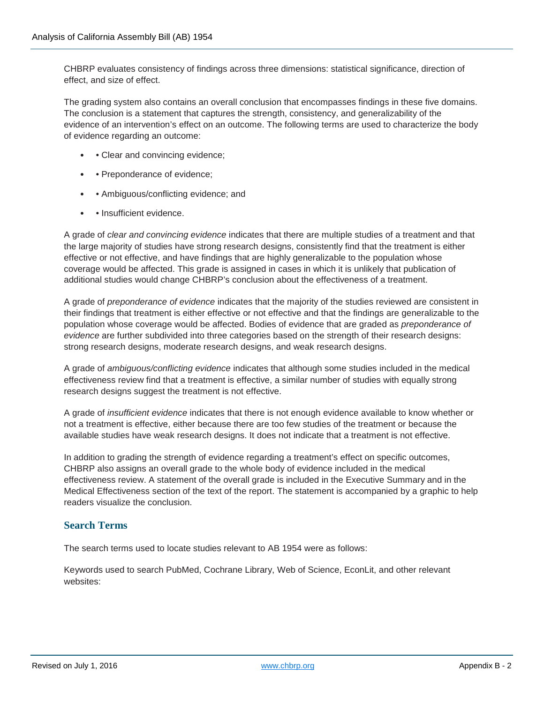CHBRP evaluates consistency of findings across three dimensions: statistical significance, direction of effect, and size of effect.

The grading system also contains an overall conclusion that encompasses findings in these five domains. The conclusion is a statement that captures the strength, consistency, and generalizability of the evidence of an intervention's effect on an outcome. The following terms are used to characterize the body of evidence regarding an outcome:

- • Clear and convincing evidence;
- • Preponderance of evidence;
- • Ambiguous/conflicting evidence; and
- • Insufficient evidence.

A grade of *clear and convincing evidence* indicates that there are multiple studies of a treatment and that the large majority of studies have strong research designs, consistently find that the treatment is either effective or not effective, and have findings that are highly generalizable to the population whose coverage would be affected. This grade is assigned in cases in which it is unlikely that publication of additional studies would change CHBRP's conclusion about the effectiveness of a treatment.

A grade of *preponderance of evidence* indicates that the majority of the studies reviewed are consistent in their findings that treatment is either effective or not effective and that the findings are generalizable to the population whose coverage would be affected. Bodies of evidence that are graded as *preponderance of evidence* are further subdivided into three categories based on the strength of their research designs: strong research designs, moderate research designs, and weak research designs.

A grade of *ambiguous/conflicting evidence* indicates that although some studies included in the medical effectiveness review find that a treatment is effective, a similar number of studies with equally strong research designs suggest the treatment is not effective.

A grade of *insufficient evidence* indicates that there is not enough evidence available to know whether or not a treatment is effective, either because there are too few studies of the treatment or because the available studies have weak research designs. It does not indicate that a treatment is not effective.

In addition to grading the strength of evidence regarding a treatment's effect on specific outcomes, CHBRP also assigns an overall grade to the whole body of evidence included in the medical effectiveness review. A statement of the overall grade is included in the Executive Summary and in the Medical Effectiveness section of the text of the report. The statement is accompanied by a graphic to help readers visualize the conclusion.

#### **Search Terms**

The search terms used to locate studies relevant to AB 1954 were as follows:

Keywords used to search PubMed, Cochrane Library, Web of Science, EconLit, and other relevant websites: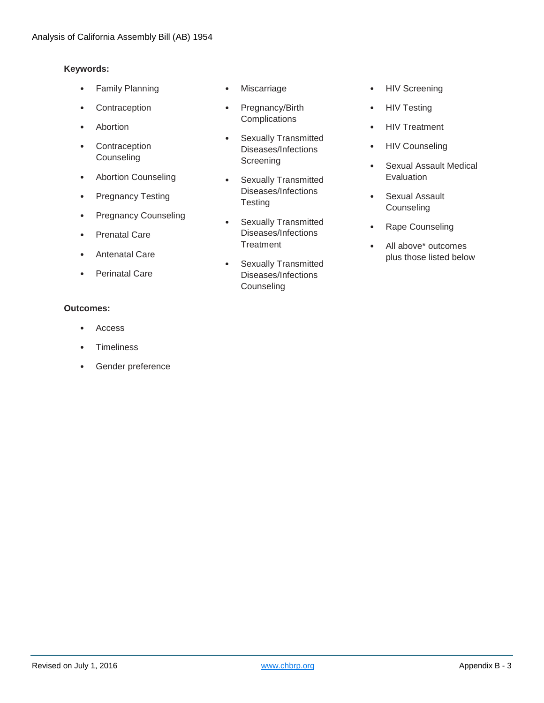#### **Keywords:**

- Family Planning
- **Contraception**
- Abortion
- Contraception **Counseling**
- Abortion Counseling
- Pregnancy Testing
- Pregnancy Counseling
- Prenatal Care
- Antenatal Care
- Perinatal Care

#### **Outcomes:**

- Access
- **Timeliness**
- Gender preference
- Miscarriage
- Pregnancy/Birth **Complications**
- Sexually Transmitted Diseases/Infections **Screening**
- Sexually Transmitted Diseases/Infections **Testing**
- Sexually Transmitted Diseases/Infections **Treatment**
- Sexually Transmitted Diseases/Infections **Counseling**
- HIV Screening
- **HIV Testing**
- HIV Treatment
- HIV Counseling
- Sexual Assault Medical Evaluation
- Sexual Assault **Counseling**
- Rape Counseling
- All above\* outcomes plus those listed below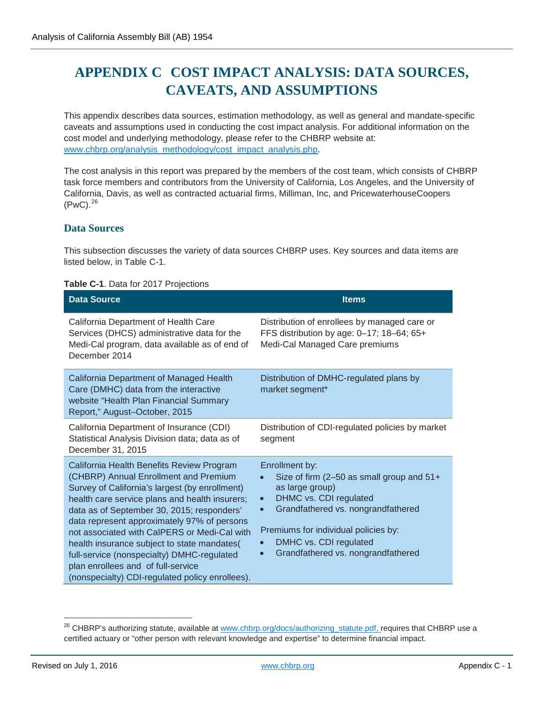# **APPENDIX C COST IMPACT ANALYSIS: DATA SOURCES, CAVEATS, AND ASSUMPTIONS**

This appendix describes data sources, estimation methodology, as well as general and mandate-specific caveats and assumptions used in conducting the cost impact analysis. For additional information on the cost model and underlying methodology, please refer to the CHBRP website at: [www.chbrp.org/analysis\\_methodology/cost\\_impact\\_analysis.php.](http://www.chbrp.org/analysis_methodology/cost_impact_analysis.php)

The cost analysis in this report was prepared by the members of the cost team, which consists of CHBRP task force members and contributors from the University of California, Los Angeles, and the University of California, Davis, as well as contracted actuarial firms, Milliman, Inc, and PricewaterhouseCoopers  $(PwC)<sup>26</sup>$  $(PwC)<sup>26</sup>$  $(PwC)<sup>26</sup>$ 

#### **Data Sources**

This subsection discusses the variety of data sources CHBRP uses. Key sources and data items are listed below, in Table C-1.

#### **Table C-1**. Data for 2017 Projections

| <b>Data Source</b>                                                                                                                                                                                                                                                                                                                                                                                                                                                                                                        | <b>Items</b>                                                                                                                                                                                                                                                                       |
|---------------------------------------------------------------------------------------------------------------------------------------------------------------------------------------------------------------------------------------------------------------------------------------------------------------------------------------------------------------------------------------------------------------------------------------------------------------------------------------------------------------------------|------------------------------------------------------------------------------------------------------------------------------------------------------------------------------------------------------------------------------------------------------------------------------------|
| California Department of Health Care<br>Services (DHCS) administrative data for the<br>Medi-Cal program, data available as of end of<br>December 2014                                                                                                                                                                                                                                                                                                                                                                     | Distribution of enrollees by managed care or<br>FFS distribution by age: 0-17; 18-64; 65+<br>Medi-Cal Managed Care premiums                                                                                                                                                        |
| California Department of Managed Health<br>Care (DMHC) data from the interactive<br>website "Health Plan Financial Summary<br>Report," August-October, 2015                                                                                                                                                                                                                                                                                                                                                               | Distribution of DMHC-regulated plans by<br>market segment*                                                                                                                                                                                                                         |
| California Department of Insurance (CDI)<br>Statistical Analysis Division data; data as of<br>December 31, 2015                                                                                                                                                                                                                                                                                                                                                                                                           | Distribution of CDI-regulated policies by market<br>segment                                                                                                                                                                                                                        |
| California Health Benefits Review Program<br>(CHBRP) Annual Enrollment and Premium<br>Survey of California's largest (by enrollment)<br>health care service plans and health insurers;<br>data as of September 30, 2015; responders'<br>data represent approximately 97% of persons<br>not associated with CalPERS or Medi-Cal with<br>health insurance subject to state mandates(<br>full-service (nonspecialty) DMHC-regulated<br>plan enrollees and of full-service<br>(nonspecialty) CDI-regulated policy enrollees). | Enrollment by:<br>Size of firm (2-50 as small group and $51+$<br>as large group)<br>DHMC vs. CDI regulated<br>$\bullet$<br>Grandfathered vs. nongrandfathered<br>$\bullet$<br>Premiums for individual policies by:<br>DMHC vs. CDI regulated<br>Grandfathered vs. nongrandfathered |

<span id="page-51-0"></span><sup>&</sup>lt;sup>26</sup> CHBRP's authorizing statute, available at [www.chbrp.org/docs/authorizing\\_statute.pdf,](http://www.chbrp.org/docs/authorizing_statute.pdf) requires that CHBRP use a certified actuary or "other person with relevant knowledge and expertise" to determine financial impact.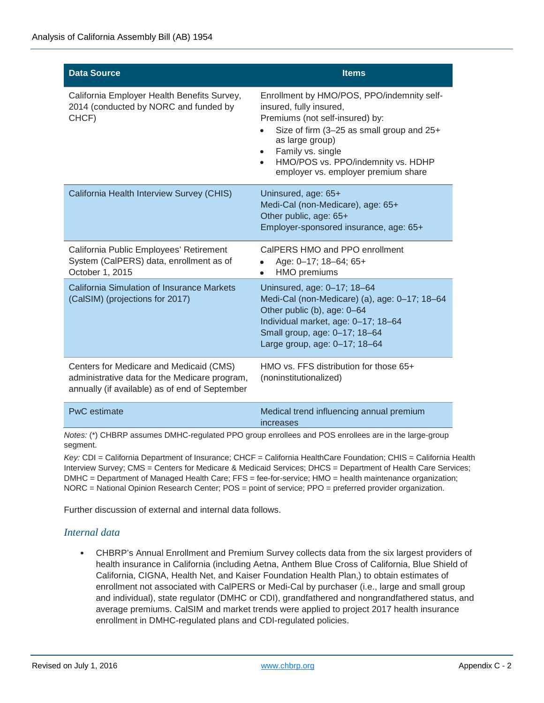| <b>Data Source</b>                                                                                                                         | <b>Items</b>                                                                                                                                                                                                                                                                                                      |
|--------------------------------------------------------------------------------------------------------------------------------------------|-------------------------------------------------------------------------------------------------------------------------------------------------------------------------------------------------------------------------------------------------------------------------------------------------------------------|
| California Employer Health Benefits Survey,<br>2014 (conducted by NORC and funded by<br>CHCF)                                              | Enrollment by HMO/POS, PPO/indemnity self-<br>insured, fully insured,<br>Premiums (not self-insured) by:<br>Size of firm (3-25 as small group and 25+<br>$\bullet$<br>as large group)<br>Family vs. single<br>$\bullet$<br>HMO/POS vs. PPO/indemnity vs. HDHP<br>$\bullet$<br>employer vs. employer premium share |
| California Health Interview Survey (CHIS)                                                                                                  | Uninsured, age: 65+<br>Medi-Cal (non-Medicare), age: 65+<br>Other public, age: 65+<br>Employer-sponsored insurance, age: 65+                                                                                                                                                                                      |
| California Public Employees' Retirement<br>System (CalPERS) data, enrollment as of<br>October 1, 2015                                      | CalPERS HMO and PPO enrollment<br>Age: 0-17; 18-64; 65+<br><b>HMO</b> premiums<br>$\bullet$                                                                                                                                                                                                                       |
| California Simulation of Insurance Markets<br>(CalSIM) (projections for 2017)                                                              | Uninsured, age: 0-17; 18-64<br>Medi-Cal (non-Medicare) (a), age: 0-17; 18-64<br>Other public (b), age: 0-64<br>Individual market, age: 0-17; 18-64<br>Small group, age: 0-17; 18-64<br>Large group, age: 0-17; 18-64                                                                                              |
| Centers for Medicare and Medicaid (CMS)<br>administrative data for the Medicare program,<br>annually (if available) as of end of September | HMO vs. FFS distribution for those 65+<br>(noninstitutionalized)                                                                                                                                                                                                                                                  |
| <b>PwC</b> estimate                                                                                                                        | Medical trend influencing annual premium                                                                                                                                                                                                                                                                          |

*Notes:* (\*) CHBRP assumes DMHC-regulated PPO group enrollees and POS enrollees are in the large-group segment.

*Key:* CDI = California Department of Insurance; CHCF = California HealthCare Foundation; CHIS = California Health Interview Survey; CMS = Centers for Medicare & Medicaid Services; DHCS = Department of Health Care Services; DMHC = Department of Managed Health Care; FFS = fee-for-service; HMO = health maintenance organization; NORC = National Opinion Research Center; POS = point of service; PPO = preferred provider organization.

increases

Further discussion of external and internal data follows.

#### *Internal data*

• CHBRP's Annual Enrollment and Premium Survey collects data from the six largest providers of health insurance in California (including Aetna, Anthem Blue Cross of California, Blue Shield of California, CIGNA, Health Net, and Kaiser Foundation Health Plan,) to obtain estimates of enrollment not associated with CalPERS or Medi-Cal by purchaser (i.e., large and small group and individual), state regulator (DMHC or CDI), grandfathered and nongrandfathered status, and average premiums. CalSIM and market trends were applied to project 2017 health insurance enrollment in DMHC-regulated plans and CDI-regulated policies.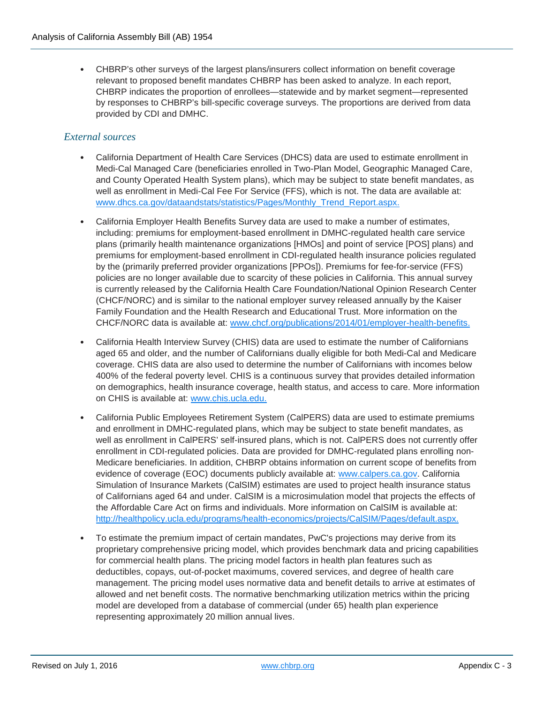• CHBRP's other surveys of the largest plans/insurers collect information on benefit coverage relevant to proposed benefit mandates CHBRP has been asked to analyze. In each report, CHBRP indicates the proportion of enrollees—statewide and by market segment—represented by responses to CHBRP's bill-specific coverage surveys. The proportions are derived from data provided by CDI and DMHC.

#### *External sources*

- California Department of Health Care Services (DHCS) data are used to estimate enrollment in Medi-Cal Managed Care (beneficiaries enrolled in Two-Plan Model, Geographic Managed Care, and County Operated Health System plans), which may be subject to state benefit mandates, as well as enrollment in Medi-Cal Fee For Service (FFS), which is not. The data are available at: [www.dhcs.ca.gov/dataandstats/statistics/Pages/Monthly\\_Trend\\_Report.aspx.](http://www.dhcs.ca.gov/dataandstats/statistics/Pages/Monthly_Trend_Report.aspx)
- California Employer Health Benefits Survey data are used to make a number of estimates, including: premiums for employment-based enrollment in DMHC-regulated health care service plans (primarily health maintenance organizations [HMOs] and point of service [POS] plans) and premiums for employment-based enrollment in CDI-regulated health insurance policies regulated by the (primarily preferred provider organizations [PPOs]). Premiums for fee-for-service (FFS) policies are no longer available due to scarcity of these policies in California. This annual survey is currently released by the California Health Care Foundation/National Opinion Research Center (CHCF/NORC) and is similar to the national employer survey released annually by the Kaiser Family Foundation and the Health Research and Educational Trust. More information on the CHCF/NORC data is available at: [www.chcf.org/publications/2014/01/employer-health-benefits.](https://sp.ucop.edu/sites/chbrp/Other%20Analyses/Cost%20and%20Utilization/www.chcf.org/publications/2014/01/employer-health-benefits)
- California Health Interview Survey (CHIS) data are used to estimate the number of Californians aged 65 and older, and the number of Californians dually eligible for both Medi-Cal and Medicare coverage. CHIS data are also used to determine the number of Californians with incomes below 400% of the federal poverty level. CHIS is a continuous survey that provides detailed information on demographics, health insurance coverage, health status, and access to care. More information on CHIS is available at: [www.chis.ucla.edu.](http://www.chis.ucla.edu/)
- California Public Employees Retirement System (CalPERS) data are used to estimate premiums and enrollment in DMHC-regulated plans, which may be subject to state benefit mandates, as well as enrollment in CalPERS' self-insured plans, which is not. CalPERS does not currently offer enrollment in CDI-regulated policies. Data are provided for DMHC-regulated plans enrolling non-Medicare beneficiaries. In addition, CHBRP obtains information on current scope of benefits from evidence of coverage (EOC) documents publicly available at: [www.calpers.ca.gov.](http://www.calpers.ca.gov/) California Simulation of Insurance Markets (CalSIM) estimates are used to project health insurance status of Californians aged 64 and under. CalSIM is a microsimulation model that projects the effects of the Affordable Care Act on firms and individuals. More information on CalSIM is available at: [http://healthpolicy.ucla.edu/programs/health-economics/projects/CalSIM/Pages/default.aspx.](http://healthpolicy.ucla.edu/programs/health-economics/projects/CalSIM/Pages/default.aspx)
- To estimate the premium impact of certain mandates, PwC's projections may derive from its proprietary comprehensive pricing model, which provides benchmark data and pricing capabilities for commercial health plans. The pricing model factors in health plan features such as deductibles, copays, out-of-pocket maximums, covered services, and degree of health care management. The pricing model uses normative data and benefit details to arrive at estimates of allowed and net benefit costs. The normative benchmarking utilization metrics within the pricing model are developed from a database of commercial (under 65) health plan experience representing approximately 20 million annual lives.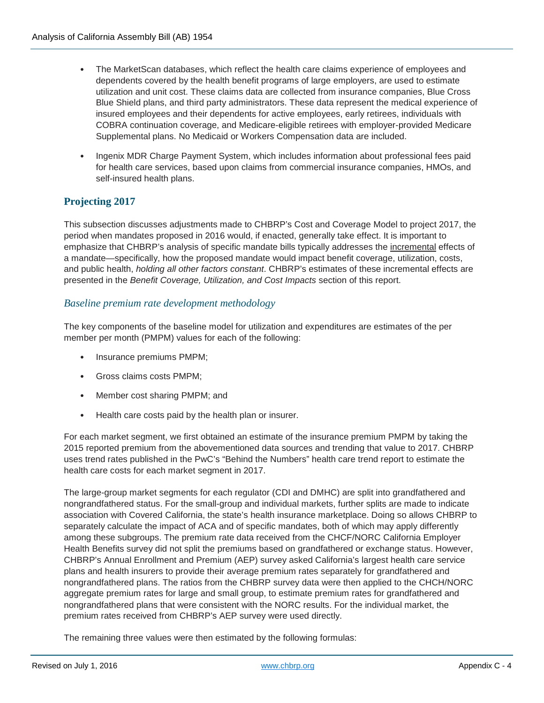- The MarketScan databases, which reflect the health care claims experience of employees and dependents covered by the health benefit programs of large employers, are used to estimate utilization and unit cost. These claims data are collected from insurance companies, Blue Cross Blue Shield plans, and third party administrators. These data represent the medical experience of insured employees and their dependents for active employees, early retirees, individuals with COBRA continuation coverage, and Medicare-eligible retirees with employer-provided Medicare Supplemental plans. No Medicaid or Workers Compensation data are included.
- Ingenix MDR Charge Payment System, which includes information about professional fees paid for health care services, based upon claims from commercial insurance companies, HMOs, and self-insured health plans.

#### **Projecting 2017**

This subsection discusses adjustments made to CHBRP's Cost and Coverage Model to project 2017, the period when mandates proposed in 2016 would, if enacted, generally take effect. It is important to emphasize that CHBRP's analysis of specific mandate bills typically addresses the incremental effects of a mandate—specifically, how the proposed mandate would impact benefit coverage, utilization, costs, and public health, *holding all other factors constant*. CHBRP's estimates of these incremental effects are presented in the *Benefit Coverage, Utilization, and Cost Impacts* section of this report.

#### *Baseline premium rate development methodology*

The key components of the baseline model for utilization and expenditures are estimates of the per member per month (PMPM) values for each of the following:

- Insurance premiums PMPM;
- Gross claims costs PMPM;
- Member cost sharing PMPM; and
- Health care costs paid by the health plan or insurer.

For each market segment, we first obtained an estimate of the insurance premium PMPM by taking the 2015 reported premium from the abovementioned data sources and trending that value to 2017. CHBRP uses trend rates published in the PwC's "Behind the Numbers" health care trend report to estimate the health care costs for each market segment in 2017.

The large-group market segments for each regulator (CDI and DMHC) are split into grandfathered and nongrandfathered status. For the small-group and individual markets, further splits are made to indicate association with Covered California, the state's health insurance marketplace. Doing so allows CHBRP to separately calculate the impact of ACA and of specific mandates, both of which may apply differently among these subgroups. The premium rate data received from the CHCF/NORC California Employer Health Benefits survey did not split the premiums based on grandfathered or exchange status. However, CHBRP's Annual Enrollment and Premium (AEP) survey asked California's largest health care service plans and health insurers to provide their average premium rates separately for grandfathered and nongrandfathered plans. The ratios from the CHBRP survey data were then applied to the CHCH/NORC aggregate premium rates for large and small group, to estimate premium rates for grandfathered and nongrandfathered plans that were consistent with the NORC results. For the individual market, the premium rates received from CHBRP's AEP survey were used directly.

The remaining three values were then estimated by the following formulas: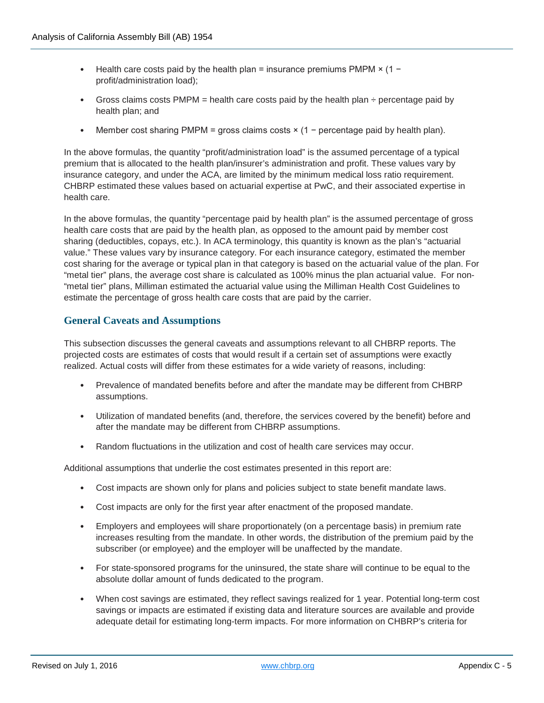- Health care costs paid by the health plan = insurance premiums PMPM × (1 − profit/administration load);
- Gross claims costs PMPM = health care costs paid by the health plan  $\div$  percentage paid by health plan; and
- Member cost sharing PMPM = gross claims costs × (1 − percentage paid by health plan).

In the above formulas, the quantity "profit/administration load" is the assumed percentage of a typical premium that is allocated to the health plan/insurer's administration and profit. These values vary by insurance category, and under the ACA, are limited by the minimum medical loss ratio requirement. CHBRP estimated these values based on actuarial expertise at PwC, and their associated expertise in health care.

In the above formulas, the quantity "percentage paid by health plan" is the assumed percentage of gross health care costs that are paid by the health plan, as opposed to the amount paid by member cost sharing (deductibles, copays, etc.). In ACA terminology, this quantity is known as the plan's "actuarial value." These values vary by insurance category. For each insurance category, estimated the member cost sharing for the average or typical plan in that category is based on the actuarial value of the plan. For "metal tier" plans, the average cost share is calculated as 100% minus the plan actuarial value. For non- "metal tier" plans, Milliman estimated the actuarial value using the Milliman Health Cost Guidelines to estimate the percentage of gross health care costs that are paid by the carrier.

#### **General Caveats and Assumptions**

This subsection discusses the general caveats and assumptions relevant to all CHBRP reports. The projected costs are estimates of costs that would result if a certain set of assumptions were exactly realized. Actual costs will differ from these estimates for a wide variety of reasons, including:

- Prevalence of mandated benefits before and after the mandate may be different from CHBRP assumptions.
- Utilization of mandated benefits (and, therefore, the services covered by the benefit) before and after the mandate may be different from CHBRP assumptions.
- Random fluctuations in the utilization and cost of health care services may occur.

Additional assumptions that underlie the cost estimates presented in this report are:

- Cost impacts are shown only for plans and policies subject to state benefit mandate laws.
- Cost impacts are only for the first year after enactment of the proposed mandate.
- Employers and employees will share proportionately (on a percentage basis) in premium rate increases resulting from the mandate. In other words, the distribution of the premium paid by the subscriber (or employee) and the employer will be unaffected by the mandate.
- For state-sponsored programs for the uninsured, the state share will continue to be equal to the absolute dollar amount of funds dedicated to the program.
- When cost savings are estimated, they reflect savings realized for 1 year. Potential long-term cost savings or impacts are estimated if existing data and literature sources are available and provide adequate detail for estimating long-term impacts. For more information on CHBRP's criteria for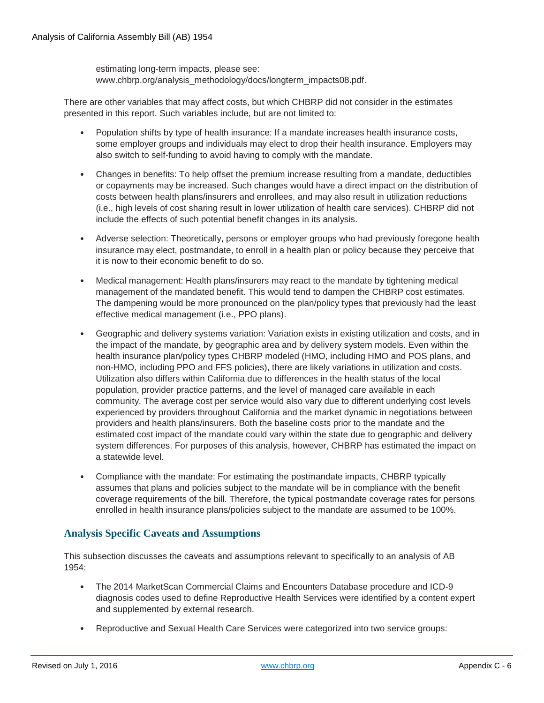estimating long-term impacts, please see: [www.chbrp.org/analysis\\_methodology/docs/longterm\\_impacts08.pdf.](http://www.chbrp.org/analysis_methodology/docs/longterm_impacts08.pdf)

There are other variables that may affect costs, but which CHBRP did not consider in the estimates presented in this report. Such variables include, but are not limited to:

- Population shifts by type of health insurance: If a mandate increases health insurance costs, some employer groups and individuals may elect to drop their health insurance. Employers may also switch to self-funding to avoid having to comply with the mandate.
- Changes in benefits: To help offset the premium increase resulting from a mandate, deductibles or copayments may be increased. Such changes would have a direct impact on the distribution of costs between health plans/insurers and enrollees, and may also result in utilization reductions (i.e., high levels of cost sharing result in lower utilization of health care services). CHBRP did not include the effects of such potential benefit changes in its analysis.
- Adverse selection: Theoretically, persons or employer groups who had previously foregone health insurance may elect, postmandate, to enroll in a health plan or policy because they perceive that it is now to their economic benefit to do so.
- Medical management: Health plans/insurers may react to the mandate by tightening medical management of the mandated benefit. This would tend to dampen the CHBRP cost estimates. The dampening would be more pronounced on the plan/policy types that previously had the least effective medical management (i.e., PPO plans).
- Geographic and delivery systems variation: Variation exists in existing utilization and costs, and in the impact of the mandate, by geographic area and by delivery system models. Even within the health insurance plan/policy types CHBRP modeled (HMO, including HMO and POS plans, and non-HMO, including PPO and FFS policies), there are likely variations in utilization and costs. Utilization also differs within California due to differences in the health status of the local population, provider practice patterns, and the level of managed care available in each community. The average cost per service would also vary due to different underlying cost levels experienced by providers throughout California and the market dynamic in negotiations between providers and health plans/insurers. Both the baseline costs prior to the mandate and the estimated cost impact of the mandate could vary within the state due to geographic and delivery system differences. For purposes of this analysis, however, CHBRP has estimated the impact on a statewide level.
- Compliance with the mandate: For estimating the postmandate impacts, CHBRP typically assumes that plans and policies subject to the mandate will be in compliance with the benefit coverage requirements of the bill. Therefore, the typical postmandate coverage rates for persons enrolled in health insurance plans/policies subject to the mandate are assumed to be 100%.

#### **Analysis Specific Caveats and Assumptions**

This subsection discusses the caveats and assumptions relevant to specifically to an analysis of AB 1954:

- The 2014 MarketScan Commercial Claims and Encounters Database procedure and ICD-9 diagnosis codes used to define Reproductive Health Services were identified by a content expert and supplemented by external research.
- Reproductive and Sexual Health Care Services were categorized into two service groups: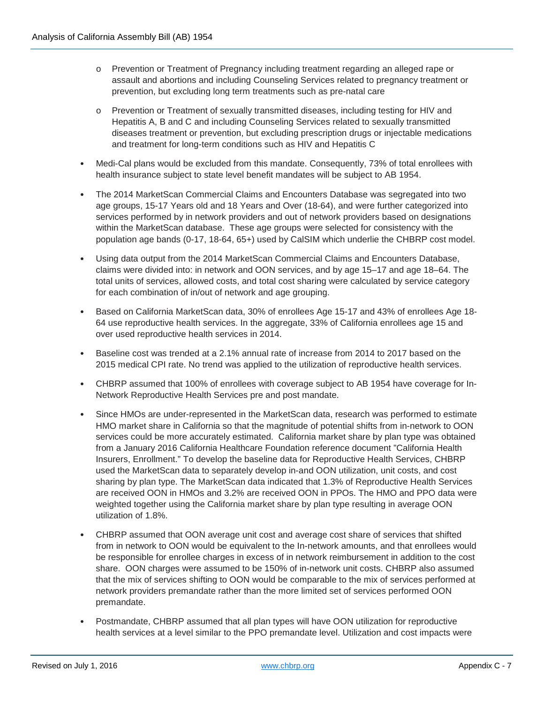- o Prevention or Treatment of Pregnancy including treatment regarding an alleged rape or assault and abortions and including Counseling Services related to pregnancy treatment or prevention, but excluding long term treatments such as pre-natal care
- o Prevention or Treatment of sexually transmitted diseases, including testing for HIV and Hepatitis A, B and C and including Counseling Services related to sexually transmitted diseases treatment or prevention, but excluding prescription drugs or injectable medications and treatment for long-term conditions such as HIV and Hepatitis C
- Medi-Cal plans would be excluded from this mandate. Consequently, 73% of total enrollees with health insurance subject to state level benefit mandates will be subject to AB 1954.
- The 2014 MarketScan Commercial Claims and Encounters Database was segregated into two age groups, 15-17 Years old and 18 Years and Over (18-64), and were further categorized into services performed by in network providers and out of network providers based on designations within the MarketScan database. These age groups were selected for consistency with the population age bands (0-17, 18-64, 65+) used by CalSIM which underlie the CHBRP cost model.
- Using data output from the 2014 MarketScan Commercial Claims and Encounters Database, claims were divided into: in network and OON services, and by age 15–17 and age 18–64. The total units of services, allowed costs, and total cost sharing were calculated by service category for each combination of in/out of network and age grouping.
- Based on California MarketScan data, 30% of enrollees Age 15-17 and 43% of enrollees Age 18- 64 use reproductive health services. In the aggregate, 33% of California enrollees age 15 and over used reproductive health services in 2014.
- Baseline cost was trended at a 2.1% annual rate of increase from 2014 to 2017 based on the 2015 medical CPI rate. No trend was applied to the utilization of reproductive health services.
- CHBRP assumed that 100% of enrollees with coverage subject to AB 1954 have coverage for In-Network Reproductive Health Services pre and post mandate.
- Since HMOs are under-represented in the MarketScan data, research was performed to estimate HMO market share in California so that the magnitude of potential shifts from in-network to OON services could be more accurately estimated. California market share by plan type was obtained from a January 2016 California Healthcare Foundation reference document "California Health Insurers, Enrollment." To develop the baseline data for Reproductive Health Services, CHBRP used the MarketScan data to separately develop in-and OON utilization, unit costs, and cost sharing by plan type. The MarketScan data indicated that 1.3% of Reproductive Health Services are received OON in HMOs and 3.2% are received OON in PPOs. The HMO and PPO data were weighted together using the California market share by plan type resulting in average OON utilization of 1.8%.
- CHBRP assumed that OON average unit cost and average cost share of services that shifted from in network to OON would be equivalent to the In-network amounts, and that enrollees would be responsible for enrollee charges in excess of in network reimbursement in addition to the cost share. OON charges were assumed to be 150% of in-network unit costs. CHBRP also assumed that the mix of services shifting to OON would be comparable to the mix of services performed at network providers premandate rather than the more limited set of services performed OON premandate.
- Postmandate, CHBRP assumed that all plan types will have OON utilization for reproductive health services at a level similar to the PPO premandate level. Utilization and cost impacts were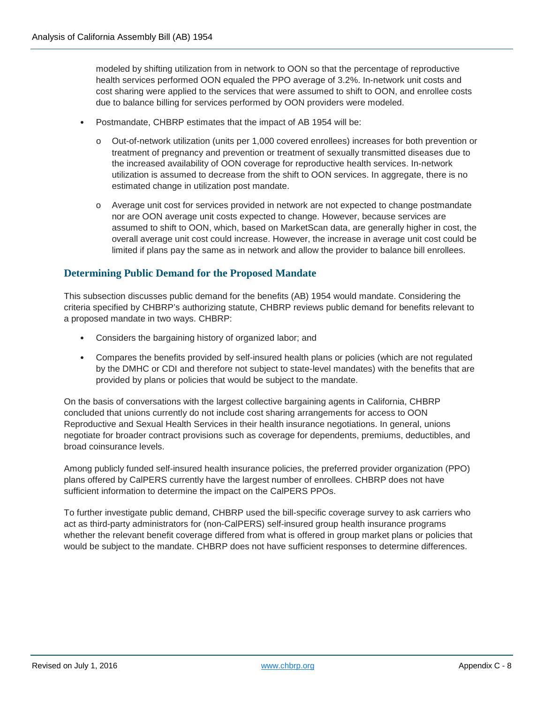modeled by shifting utilization from in network to OON so that the percentage of reproductive health services performed OON equaled the PPO average of 3.2%. In-network unit costs and cost sharing were applied to the services that were assumed to shift to OON, and enrollee costs due to balance billing for services performed by OON providers were modeled.

- Postmandate, CHBRP estimates that the impact of AB 1954 will be:
	- o Out-of-network utilization (units per 1,000 covered enrollees) increases for both prevention or treatment of pregnancy and prevention or treatment of sexually transmitted diseases due to the increased availability of OON coverage for reproductive health services. In-network utilization is assumed to decrease from the shift to OON services. In aggregate, there is no estimated change in utilization post mandate.
	- o Average unit cost for services provided in network are not expected to change postmandate nor are OON average unit costs expected to change. However, because services are assumed to shift to OON, which, based on MarketScan data, are generally higher in cost, the overall average unit cost could increase. However, the increase in average unit cost could be limited if plans pay the same as in network and allow the provider to balance bill enrollees.

#### **Determining Public Demand for the Proposed Mandate**

This subsection discusses public demand for the benefits [\(AB\) 1954](#page-1-2) would mandate. Considering the criteria specified by CHBRP's authorizing statute, CHBRP reviews public demand for benefits relevant to a proposed mandate in two ways. CHBRP:

- Considers the bargaining history of organized labor; and
- Compares the benefits provided by self-insured health plans or policies (which are not regulated by the DMHC or CDI and therefore not subject to state-level mandates) with the benefits that are provided by plans or policies that would be subject to the mandate.

On the basis of conversations with the largest collective bargaining agents in California, CHBRP concluded that unions currently do not include cost sharing arrangements for access to OON Reproductive and Sexual Health Services in their health insurance negotiations. In general, unions negotiate for broader contract provisions such as coverage for dependents, premiums, deductibles, and broad coinsurance levels.

Among publicly funded self-insured health insurance policies, the preferred provider organization (PPO) plans offered by CalPERS currently have the largest number of enrollees. CHBRP does not have sufficient information to determine the impact on the CalPERS PPOs.

To further investigate public demand, CHBRP used the bill-specific coverage survey to ask carriers who act as third-party administrators for (non-CalPERS) self-insured group health insurance programs whether the relevant benefit coverage differed from what is offered in group market plans or policies that would be subject to the mandate. CHBRP does not have sufficient responses to determine differences.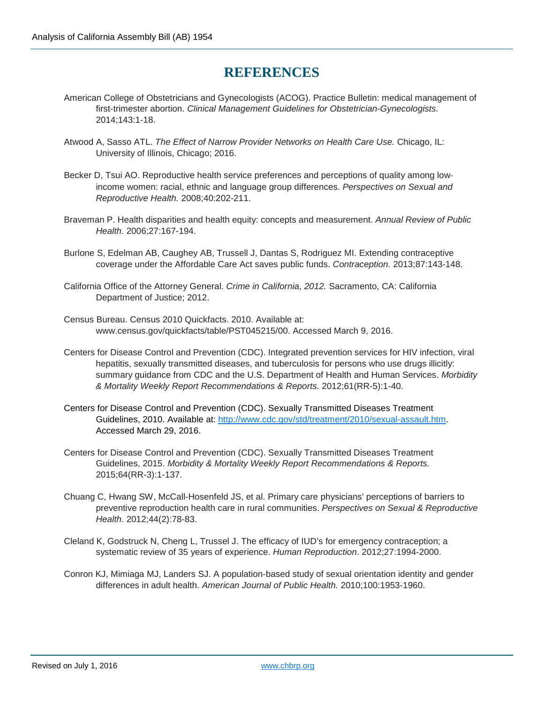# **REFERENCES**

- American College of Obstetricians and Gynecologists (ACOG). Practice Bulletin: medical management of first-trimester abortion. *Clinical Management Guidelines for Obstetrician-Gynecologists.* 2014;143:1-18.
- Atwood A, Sasso ATL. *The Effect of Narrow Provider Networks on Health Care Use.* Chicago, IL: University of Illinois, Chicago; 2016.
- Becker D, Tsui AO. Reproductive health service preferences and perceptions of quality among lowincome women: racial, ethnic and language group differences. *Perspectives on Sexual and Reproductive Health.* 2008;40:202-211.
- Braveman P. Health disparities and health equity: concepts and measurement. *Annual Review of Public Health*. 2006;27:167-194.
- Burlone S, Edelman AB, Caughey AB, Trussell J, Dantas S, Rodriguez MI. Extending contraceptive coverage under the Affordable Care Act saves public funds. *Contraception.* 2013;87:143-148.
- California Office of the Attorney General. *Crime in California, 2012.* Sacramento, CA: California Department of Justice; 2012.
- Census Bureau. Census 2010 Quickfacts. 2010. Available at: www.census.gov/quickfacts/table/PST045215/00. Accessed March 9, 2016.
- Centers for Disease Control and Prevention (CDC). Integrated prevention services for HIV infection, viral hepatitis, sexually transmitted diseases, and tuberculosis for persons who use drugs illicitly: summary guidance from CDC and the U.S. Department of Health and Human Services. *Morbidity & Mortality Weekly Report Recommendations & Reports.* 2012;61(RR-5):1-40.
- Centers for Disease Control and Prevention (CDC). Sexually Transmitted Diseases Treatment Guidelines, 2010. Available at: [http://www.cdc.gov/std/treatment/2010/sexual-assault.htm.](http://www.cdc.gov/std/treatment/2010/sexual-assault.htm) Accessed March 29, 2016.
- Centers for Disease Control and Prevention (CDC). Sexually Transmitted Diseases Treatment Guidelines, 2015. *Morbidity & Mortality Weekly Report Recommendations & Reports.* 2015;64(RR-3):1-137.
- Chuang C, Hwang SW, McCall-Hosenfeld JS, et al. Primary care physicians' perceptions of barriers to preventive reproduction health care in rural communities. *Perspectives on Sexual & Reproductive Health*. 2012;44(2):78-83.
- Cleland K, Godstruck N, Cheng L, Trussel J. The efficacy of IUD's for emergency contraception; a systematic review of 35 years of experience. *Human Reproduction*. 2012;27:1994-2000.
- Conron KJ, Mimiaga MJ, Landers SJ. A population-based study of sexual orientation identity and gender differences in adult health. *American Journal of Public Health.* 2010;100:1953-1960.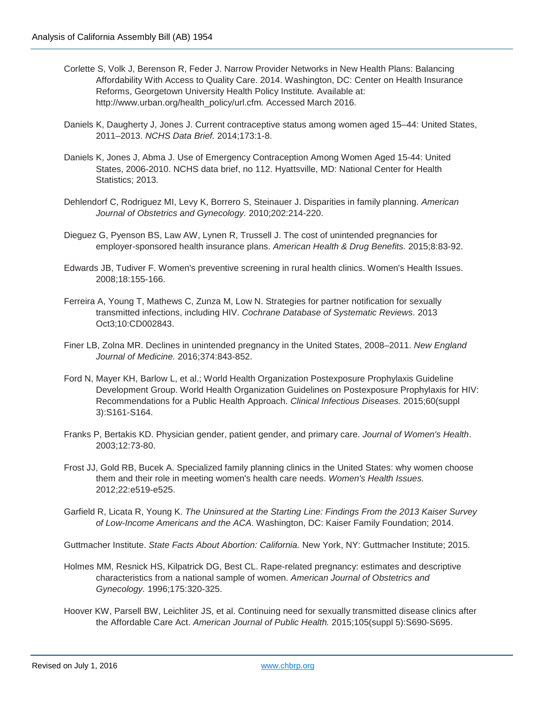- Corlette S, Volk J, Berenson R, Feder J. Narrow Provider Networks in New Health Plans: Balancing Affordability With Access to Quality Care. 2014. Washington, DC: Center on Health Insurance Reforms, Georgetown University Health Policy Institute*.* Available at: http://www.urban.org/health\_policy/url.cfm*.* Accessed March 2016.
- Daniels K, Daugherty J, Jones J. Current contraceptive status among women aged 15–44: United States, 2011–2013. *NCHS Data Brief.* 2014;173:1-8.
- Daniels K, Jones J, Abma J. Use of Emergency Contraception Among Women Aged 15-44: United States, 2006-2010. NCHS data brief, no 112. Hyattsville, MD: National Center for Health Statistics; 2013.
- Dehlendorf C, Rodriguez MI, Levy K, Borrero S, Steinauer J. Disparities in family planning. *American Journal of Obstetrics and Gynecology.* 2010;202:214-220.
- Dieguez G, Pyenson BS, Law AW, Lynen R, Trussell J. The cost of unintended pregnancies for employer-sponsored health insurance plans. *American Health & Drug Benefits.* 2015;8:83-92.
- Edwards JB, Tudiver F. Women's preventive screening in rural health clinics. Women's Health Issues. 2008;18:155-166.
- Ferreira A, Young T, Mathews C, Zunza M, Low N. Strategies for partner notification for sexually transmitted infections, including HIV. *Cochrane Database of Systematic Reviews*. 2013 Oct3;10:CD002843.
- Finer LB, Zolna MR. Declines in unintended pregnancy in the United States, 2008–2011. *New England Journal of Medicine.* 2016;374:843-852.
- Ford N, Mayer KH, Barlow L, et al.; World Health Organization Postexposure Prophylaxis Guideline Development Group. World Health Organization Guidelines on Postexposure Prophylaxis for HIV: Recommendations for a Public Health Approach. *Clinical Infectious Diseases.* 2015;60(suppl 3):S161-S164.
- Franks P, Bertakis KD. Physician gender, patient gender, and primary care. *Journal of Women's Health*. 2003;12:73-80.
- Frost JJ, Gold RB, Bucek A. Specialized family planning clinics in the United States: why women choose them and their role in meeting women's health care needs. *Women's Health Issues.*  2012;22:e519-e525.
- Garfield R, Licata R, Young K. *The Uninsured at the Starting Line: Findings From the 2013 Kaiser Survey of Low-Income Americans and the ACA*. Washington, DC: Kaiser Family Foundation; 2014.

Guttmacher Institute. *State Facts About Abortion: California.* New York, NY: Guttmacher Institute; 2015.

- Holmes MM, Resnick HS, Kilpatrick DG, Best CL. Rape-related pregnancy: estimates and descriptive characteristics from a national sample of women. *American Journal of Obstetrics and Gynecology.* 1996;175:320-325.
- Hoover KW, Parsell BW, Leichliter JS, et al. Continuing need for sexually transmitted disease clinics after the Affordable Care Act. *American Journal of Public Health.* 2015;105(suppl 5):S690-S695.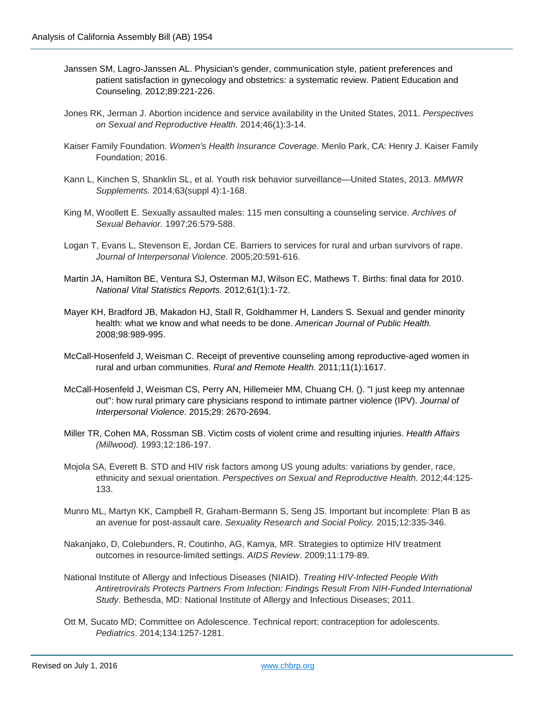- Janssen SM, Lagro-Janssen AL. Physician's gender, communication style, patient preferences and patient satisfaction in gynecology and obstetrics: a systematic review. Patient Education and Counseling. 2012;89:221-226.
- Jones RK, Jerman J. Abortion incidence and service availability in the United States, 2011. *Perspectives on Sexual and Reproductive Health.* 2014;46(1):3-14.
- Kaiser Family Foundation. *Women's Health Insurance Coverage.* Menlo Park, CA: Henry J. Kaiser Family Foundation; 2016.
- Kann L, Kinchen S, Shanklin SL, et al. Youth risk behavior surveillance—United States, 2013. *MMWR Supplements.* 2014;63(suppl 4):1-168.
- King M, Woollett E. Sexually assaulted males: 115 men consulting a counseling service. *Archives of Sexual Behavior.* 1997;26:579-588.
- Logan T, Evans L, Stevenson E, Jordan CE. Barriers to services for rural and urban survivors of rape. *Journal of Interpersonal Violence.* 2005;20:591-616.
- Martin JA, Hamilton BE, Ventura SJ, Osterman MJ, Wilson EC, Mathews T. Births: final data for 2010. *National Vital Statistics Reports.* 2012;61(1):1-72.
- Mayer KH, Bradford JB, Makadon HJ, Stall R, Goldhammer H, Landers S. Sexual and gender minority health: what we know and what needs to be done. *American Journal of Public Health.*  2008;98:989-995.
- McCall-Hosenfeld J, Weisman C. Receipt of preventive counseling among reproductive-aged women in rural and urban communities. *Rural and Remote Health.* 2011;11(1):1617.
- McCall-Hosenfeld J, Weisman CS, Perry AN, Hillemeier MM, Chuang CH. (). "I just keep my antennae out": how rural primary care physicians respond to intimate partner violence (IPV). *Journal of Interpersonal Violence*. 2015;29: 2670-2694.
- Miller TR, Cohen MA, Rossman SB. Victim costs of violent crime and resulting injuries. *Health Affairs (Millwood).* 1993;12:186-197.
- Mojola SA, Everett B. STD and HIV risk factors among US young adults: variations by gender, race, ethnicity and sexual orientation. *Perspectives on Sexual and Reproductive Health.* 2012;44:125- 133.
- Munro ML, Martyn KK, Campbell R, Graham-Bermann S, Seng JS. Important but incomplete: Plan B as an avenue for post-assault care. *Sexuality Research and Social Policy.* 2015;12:335-346.
- Nakanjako, D, Colebunders, R, Coutinho, AG, Kamya, MR. Strategies to optimize HIV treatment outcomes in resource-limited settings. *AIDS Review*. 2009;11:179-89.
- National Institute of Allergy and Infectious Diseases (NIAID). *Treating HIV-Infected People With Antiretrovirals Protects Partners From Infection: Findings Result From NIH-Funded International Study.* Bethesda, MD: National Institute of Allergy and Infectious Diseases; 2011.
- Ott M, Sucato MD; Committee on Adolescence. Technical report: contraception for adolescents. *Pediatrics*. 2014;134:1257-1281.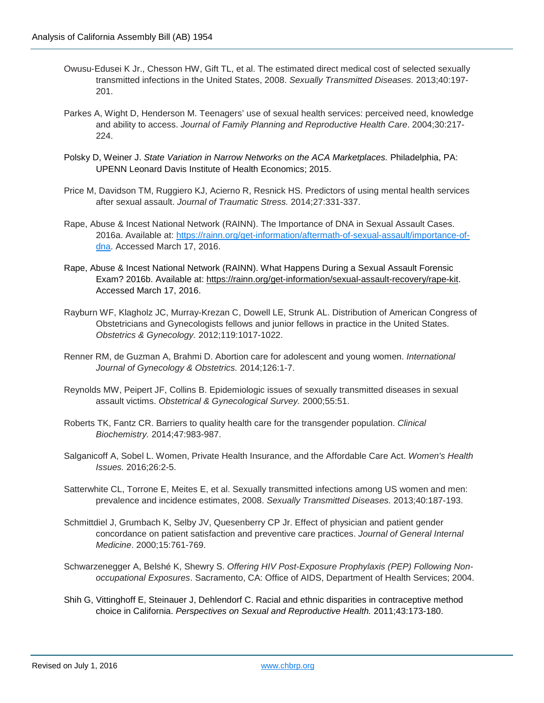- Owusu-Edusei K Jr., Chesson HW, Gift TL, et al. The estimated direct medical cost of selected sexually transmitted infections in the United States, 2008. *Sexually Transmitted Diseases.* 2013;40:197- 201.
- Parkes A, Wight D, Henderson M. Teenagers' use of sexual health services: perceived need, knowledge and ability to access. *Journal of Family Planning and Reproductive Health Care*. 2004;30:217- 224.
- Polsky D, Weiner J. *State Variation in Narrow Networks on the ACA Marketplaces.* Philadelphia, PA: UPENN Leonard Davis Institute of Health Economics; 2015.
- Price M, Davidson TM, Ruggiero KJ, Acierno R, Resnick HS. Predictors of using mental health services after sexual assault. *Journal of Traumatic Stress.* 2014;27:331-337.
- Rape, Abuse & Incest National Network (RAINN). The Importance of DNA in Sexual Assault Cases. 2016a. Available at: [https://rainn.org/get-information/aftermath-of-sexual-assault/importance-of](https://rainn.org/get-information/aftermath-of-sexual-assault/importance-of-dna)[dna.](https://rainn.org/get-information/aftermath-of-sexual-assault/importance-of-dna) Accessed March 17, 2016.
- Rape, Abuse & Incest National Network (RAINN). What Happens During a Sexual Assault Forensic Exam? 2016b. Available at: [https://rainn.org/get-information/sexual-assault-recovery/rape-kit.](https://rainn.org/get-information/sexual-assault-recovery/rape-kit) Accessed March 17, 2016.
- Rayburn WF, Klagholz JC, Murray-Krezan C, Dowell LE, Strunk AL. Distribution of American Congress of Obstetricians and Gynecologists fellows and junior fellows in practice in the United States. *Obstetrics & Gynecology.* 2012;119:1017-1022.
- Renner RM, de Guzman A, Brahmi D. Abortion care for adolescent and young women. *International Journal of Gynecology & Obstetrics.* 2014;126:1-7.
- Reynolds MW, Peipert JF, Collins B. Epidemiologic issues of sexually transmitted diseases in sexual assault victims. *Obstetrical & Gynecological Survey.* 2000;55:51.
- Roberts TK, Fantz CR. Barriers to quality health care for the transgender population. *Clinical Biochemistry.* 2014;47:983-987.
- Salganicoff A, Sobel L. Women, Private Health Insurance, and the Affordable Care Act. *Women's Health Issues.* 2016;26:2-5.
- Satterwhite CL, Torrone E, Meites E, et al. Sexually transmitted infections among US women and men: prevalence and incidence estimates, 2008. *Sexually Transmitted Diseases.* 2013;40:187-193.
- Schmittdiel J, Grumbach K, Selby JV, Quesenberry CP Jr. Effect of physician and patient gender concordance on patient satisfaction and preventive care practices. *Journal of General Internal Medicine*. 2000;15:761-769.
- Schwarzenegger A, Belshé K, Shewry S. *Offering HIV Post-Exposure Prophylaxis (PEP) Following Nonoccupational Exposures*. Sacramento, CA: Office of AIDS, Department of Health Services; 2004.
- Shih G, Vittinghoff E, Steinauer J, Dehlendorf C. Racial and ethnic disparities in contraceptive method choice in California. *Perspectives on Sexual and Reproductive Health.* 2011;43:173-180.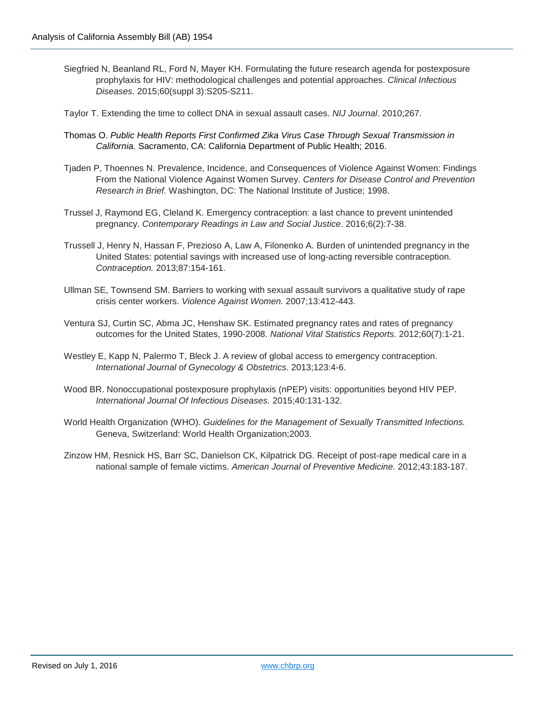Siegfried N, Beanland RL, Ford N, Mayer KH. Formulating the future research agenda for postexposure prophylaxis for HIV: methodological challenges and potential approaches. *Clinical Infectious Diseases.* 2015;60(suppl 3):S205-S211.

Taylor T. Extending the time to collect DNA in sexual assault cases. *NIJ Journal*. 2010;267.

- Thomas O. *Public Health Reports First Confirmed Zika Virus Case Through Sexual Transmission in California.* Sacramento, CA: California Department of Public Health; 2016.
- Tjaden P, Thoennes N. Prevalence, Incidence, and Consequences of Violence Against Women: Findings From the National Violence Against Women Survey. *Centers for Disease Control and Prevention Research in Brief.* Washington, DC: The National Institute of Justice; 1998.
- Trussel J, Raymond EG, Cleland K. Emergency contraception: a last chance to prevent unintended pregnancy. *Contemporary Readings in Law and Social Justice*. 2016;6(2):7-38.
- Trussell J, Henry N, Hassan F, Prezioso A, Law A, Filonenko A. Burden of unintended pregnancy in the United States: potential savings with increased use of long-acting reversible contraception. *Contraception.* 2013;87:154-161.
- Ullman SE, Townsend SM. Barriers to working with sexual assault survivors a qualitative study of rape crisis center workers. *Violence Against Women.* 2007;13:412-443.
- Ventura SJ, Curtin SC, Abma JC, Henshaw SK. Estimated pregnancy rates and rates of pregnancy outcomes for the United States, 1990-2008. *National Vital Statistics Reports.* 2012;60(7):1-21.
- Westley E, Kapp N, Palermo T, Bleck J. A review of global access to emergency contraception. *International Journal of Gynecology & Obstetrics*. 2013;123:4-6.
- Wood BR. Nonoccupational postexposure prophylaxis (nPEP) visits: opportunities beyond HIV PEP. *International Journal Of Infectious Diseases.* 2015;40:131-132.
- World Health Organization (WHO). *Guidelines for the Management of Sexually Transmitted Infections.* Geneva, Switzerland: World Health Organization;2003.
- Zinzow HM, Resnick HS, Barr SC, Danielson CK, Kilpatrick DG. Receipt of post-rape medical care in a national sample of female victims. *American Journal of Preventive Medicine.* 2012;43:183-187.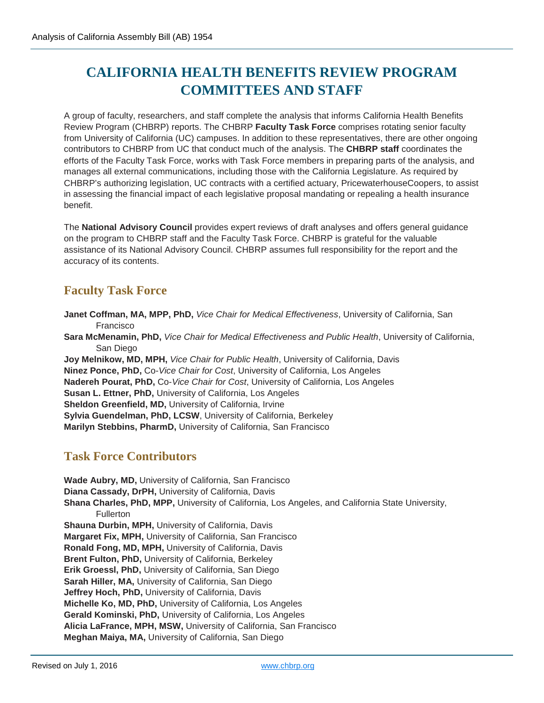# **CALIFORNIA HEALTH BENEFITS REVIEW PROGRAM COMMITTEES AND STAFF**

A group of faculty, researchers, and staff complete the analysis that informs California Health Benefits Review Program (CHBRP) reports. The CHBRP **Faculty Task Force** comprises rotating senior faculty from University of California (UC) campuses. In addition to these representatives, there are other ongoing contributors to CHBRP from UC that conduct much of the analysis. The **CHBRP staff** coordinates the efforts of the Faculty Task Force, works with Task Force members in preparing parts of the analysis, and manages all external communications, including those with the California Legislature. As required by CHBRP's authorizing legislation, UC contracts with a certified actuary, PricewaterhouseCoopers, to assist in assessing the financial impact of each legislative proposal mandating or repealing a health insurance benefit.

The **National Advisory Council** provides expert reviews of draft analyses and offers general guidance on the program to CHBRP staff and the Faculty Task Force. CHBRP is grateful for the valuable assistance of its National Advisory Council. CHBRP assumes full responsibility for the report and the accuracy of its contents.

## **Faculty Task Force**

**Janet Coffman, MA, MPP, PhD,** *Vice Chair for Medical Effectiveness*, University of California, San Francisco

**Sara McMenamin, PhD,** *Vice Chair for Medical Effectiveness and Public Health*, University of California, San Diego

**Joy Melnikow, MD, MPH,** *Vice Chair for Public Health*, University of California, Davis **Ninez Ponce, PhD,** Co-*Vice Chair for Cost*, University of California, Los Angeles **Nadereh Pourat, PhD,** Co-*Vice Chair for Cost*, University of California, Los Angeles **Susan L. Ettner, PhD,** University of California, Los Angeles **Sheldon Greenfield, MD,** University of California, Irvine **Sylvia Guendelman, PhD, LCSW**, University of California, Berkeley **Marilyn Stebbins, PharmD,** University of California, San Francisco

## **Task Force Contributors**

**Wade Aubry, MD,** University of California, San Francisco **Diana Cassady, DrPH,** University of California, Davis **Shana Charles, PhD, MPP,** University of California, Los Angeles, and California State University, **Fullerton Shauna Durbin, MPH,** University of California, Davis **Margaret Fix, MPH,** University of California, San Francisco **Ronald Fong, MD, MPH,** University of California, Davis **Brent Fulton, PhD,** University of California, Berkeley **Erik Groessl, PhD,** University of California, San Diego **Sarah Hiller, MA,** University of California, San Diego **Jeffrey Hoch, PhD,** University of California, Davis **Michelle Ko, MD, PhD,** University of California, Los Angeles **Gerald Kominski, PhD,** University of California, Los Angeles **Alicia LaFrance, MPH, MSW,** University of California, San Francisco **Meghan Maiya, MA,** University of California, San Diego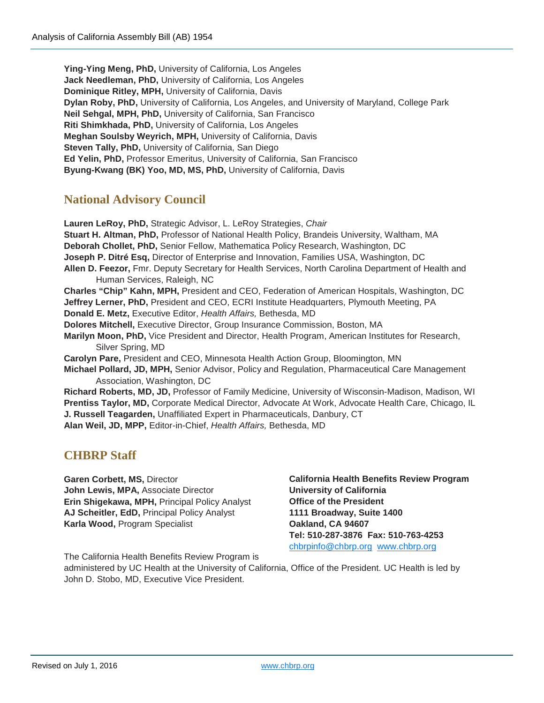**Ying-Ying Meng, PhD,** University of California, Los Angeles **Jack Needleman, PhD,** University of California, Los Angeles **Dominique Ritley, MPH,** University of California, Davis **Dylan Roby, PhD,** University of California, Los Angeles, and University of Maryland, College Park **Neil Sehgal, MPH, PhD,** University of California, San Francisco **Riti Shimkhada, PhD,** University of California, Los Angeles **Meghan Soulsby Weyrich, MPH,** University of California, Davis **Steven Tally, PhD,** University of California, San Diego **Ed Yelin, PhD,** Professor Emeritus, University of California, San Francisco **Byung-Kwang (BK) Yoo, MD, MS, PhD,** University of California, Davis

# **National Advisory Council**

**Lauren LeRoy, PhD,** Strategic Advisor, L. LeRoy Strategies, *Chair* **Stuart H. Altman, PhD,** Professor of National Health Policy, Brandeis University, Waltham, MA **Deborah Chollet, PhD,** Senior Fellow, Mathematica Policy Research, Washington, DC **Joseph P. Ditré Esq,** Director of Enterprise and Innovation, Families USA, Washington, DC **Allen D. Feezor,** Fmr. Deputy Secretary for Health Services, North Carolina Department of Health and Human Services, Raleigh, NC **Charles "Chip" Kahn, MPH,** President and CEO, Federation of American Hospitals, Washington, DC **Jeffrey Lerner, PhD,** President and CEO, ECRI Institute Headquarters, Plymouth Meeting, PA **Donald E. Metz,** Executive Editor, *Health Affairs,* Bethesda, MD **Dolores Mitchell,** Executive Director, Group Insurance Commission, Boston, MA **Marilyn Moon, PhD,** Vice President and Director, Health Program, American Institutes for Research, Silver Spring, MD **Carolyn Pare,** President and CEO, Minnesota Health Action Group, Bloomington, MN **Michael Pollard, JD, MPH,** Senior Advisor, Policy and Regulation, Pharmaceutical Care Management Association, Washington, DC **Richard Roberts, MD, JD,** Professor of Family Medicine, University of Wisconsin-Madison, Madison, WI **Prentiss Taylor, MD,** Corporate Medical Director, Advocate At Work, Advocate Health Care, Chicago, IL **J. Russell Teagarden,** Unaffiliated Expert in Pharmaceuticals, Danbury, CT **Alan Weil, JD, MPP,** Editor-in-Chief, *Health Affairs,* Bethesda, MD

## **CHBRP Staff**

**Garen Corbett, MS,** Director **John Lewis, MPA,** Associate Director **Erin Shigekawa, MPH,** Principal Policy Analyst **AJ Scheitler, EdD,** Principal Policy Analyst **Karla Wood,** Program Specialist

**California Health Benefits Review Program University of California Office of the President 1111 Broadway, Suite 1400 Oakland, CA 94607 Tel: 510-287-3876 Fax: 510-763-4253** [chbrpinfo@chbrp.org](mailto:chbrpinfo@chbrp.org) [www.chbrp.org](http://www.chbrp.org/)

The California Health Benefits Review Program is administered by UC Health at the University of California, Office of the President. UC Health is led by John D. Stobo, MD, Executive Vice President.